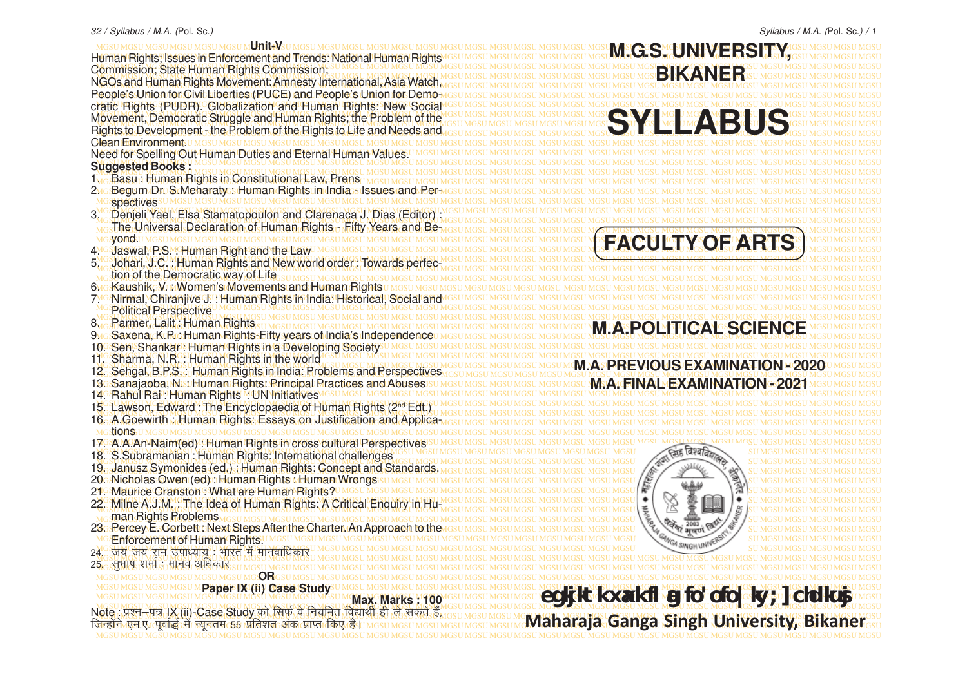Human Rights; Issues in Enforcement and Trends: National Human Rights IGSU MGSU MGSU MGSU MGSU MGSU MGSU MGLO TION TIMO TION NATIONAL PICSU MGSU MGSU MGSU MGSU MG MGSU MGSU MGSU MGSU MGSU MGSU MGSU MGSU MGSU MGSU MGSU MGSU MGSU MGSU MGSU MGSU MGSU MGSU MGSU MGSU MGSU MGSU MGSU MGSU MGSU MGSU MGSU MGSU MGSU MGSU MGSU MGSU Commission; State Human Rights Commission; MGSU MGSU MGSU MGSU MGSU MGSU MGSU MGSU MGSU MGSU MGSU MGSU MGSU MGSU MGSU MGSU MGSU MGSU MGSU MGSU MGSU MGSU MGSU MGSU MGSU MGSU MGSU MGSU MGSU MGSU MGSU MGSU MGSU MGSU MGSU MGSU MGSU MGSU MGSU MGSU MGSU MGSU MGSU MGSU MGSU MGSU MGSU MGSU MGSU MGSU MGSU MGSU MGSU MGSU MGSU MGSU MGSU MGSU MGSU MGSU MGSU MGSU MGSU MGSU NGOs and Human Rights Movement: Amnesty International, Asia Watch, MGSU MGSU MGSU MGSU MGSU MGSU MGSU MGSU MGSU MGSU MGSU MGSU MGSU MGSU MGSU MGSU MGSU MGSU MGSU MGSU MGSU MGSU MGSU MGSU MGSU MGSU MGSU MGSU MGSU MGSU MGSU MGSU People's Union for Civil Liberties (PUCE) and People's Union for Demo-MGSU MGSU MGSU MGSU MGSU MGSU MGSU MGSU MGSU MGSU MGSU MGSU MGSU MGSU MGSU MGSU MGSU MGSU MGSU MGSU MGSU MGSU MGSU MGSU MGSU MGSU MGSU MGSU MGSU MGSU MGSU MGSU cratic Rights (PUDR). Globalization and Human Rights: New Social MGSU MGSU MGSU MGSU MGSU MGSU MGSU MGSU MGSU MGSU MGSU MGSU MGSU MGSU MGSU MGSU MGSU MGSU MGSU MGSU MGSU MGSU MGSU MGSU MGSU MGSU MGSU MGSU MGSU MGSU MGSU MGSU MGSU MGSU MGSU MGSU MGSU MGSU MGSU MGSU MGSU MGSU MGSU MGSU MGSU MGSU MGSU MGSU MGSU MGSU MGSU MGSU MGSU MGSU MGSU MGSU MGSU MGSU MGSU MGSU MGSU MGSU MGSU MGSU Movement, Democratic Struggle and Human Rights; the Problem of the MGSU MGSU MGSU MGSU MGSU MGSU MGSU MGSU MGSU MGSU MGSU MGSU MGSU MGSU MGSU MGSU MGSU MGSU MGSU MGSU MGSU MGSU MGSU MGSU MGSU MGSU MGSU MGSU MGSU MGSU MGSU MGSU Rights to Development - the Problem of the Rights to Life and Needs and MGSU MGSU MGSU MGSU MGSU MGSU MGSU MGSU MGSU MGSU MGSU MGSU MGSU MGSU MGSU MGSU MGSU MGSU MGSU MGSU MGSU MGSU MGSU MGSU MGSU MGSU MGSU MGSU MGSU MGSU MGSU MGSU Clean Environment. MGSU MGSU MGSU MGSU MGSU MGSU MGSU MGSU MGSU MGSU MGSU MGSU MGSU MGSU MGSU MGSU MGSU MGSU MGSU MGSU MGSU MGSU MGSU MGSU MGSU MGSU MGSU MGSU MGSU MGSU MGSU MGSU Need for Spelling Out Human Duties and Eternal Human Values. MGSU MGSU MGSU MGSU MGSU MGSU MGSU MGSU MGSU MGSU MGSU MGSU MGSU MGSU MGSU MGSU MGSU MGSU MGSU MGSU MGSU MGSU MGSU MGSU MGSU MGSU MGSU MGSU MGSU MGSU MGSU MGSU **Suggested Books :**

- 
- MGSU MGSU MGSU MGSU MGSU MGSU MGSU MGSU MGSU MGSU MGSU MGSU MGSU MGSU MGSU MGSU MGSU MGSU MGSU MGSU MGSU MGSU MGSU MGSU MGSU MGSU MGSU MGSU MGSU MGSU MGSU MGSU spectives
- MGSU MGSU MGSU MGSU MGSU MGSU MGSU MGSU MGSU MGSU MGSU MGSU MGSU MGSU MGSU MGSU MGSU MGSU MGSU MGSU MGSU MGSU MGSU MGSU MGSU MGSU MGSU MGSU MGSU MGSU MGSU MGSU 3. Denjeli Yael, Elsa Stamatopoulon and Clarenaca J. Dias (Editor) : MGSU MGSU MGSU MGSU MGSU MGSU MGSU MGSU MGSU MGSU MGSU MGSU MGSU MGSU MGSU MGSU MGSU MGSU MGSU MGSU MGSU MGSU MGSU MGSU MGSU MGSU MGSU MGSU MGSU MGSU MGSU MGSU The Universal Declaration of Human Rights - Fifty Years and Be-
- 
- 
- 
- 
- 
- 
- 
- 
- 
- MGSU MGSU MGSU MGSU MGSU MGSU MGSU MGSU MGSU MGSU MGSU MGSU MGSU MGSU MGSU MGSU MGSU MGSU MGSU MGSU MGSU MGSU MGSU MGSU MGSU MGSU MGSU MGSU MGSU MGSU MGSU MGSU 12. Sehgal, B.P.S. : Human Rights in India: Problems and Perspectives
- 
- 
- 
- 
- 
- 
- 
- 
- 
- MGSU MGSU MGSU MGSU MGSU MGSU MGSU MGSU MGSU MGSU MGSU MGSU MGSU MGSU MGSU MGSU MGSU MGSU MGSU MGSU MGSU MGSU MGSU MGSU MGSU MGSU MGSU MGSU MGSU MGSU MGSU MGSU 22<sup>G</sup> Milne A.J.M. The Idea of Human Rights: A Critical Enquiry in Hu<sup>MGSU MGSU MGSU MGSU MGSU MGSU MGSU **X SC LILL / SUMGSU MGSU MGSU MGSU MGSU**</sup>
- 
- 
- MGSU MGSU MGSU MGSU MGSU MGSU MGSU MGSU MGSU MGSU MGSU MGSU MGSU MGSU MGSU MGSU MGSU MGSU MGSU MGSU MGSU MGSU MGSU MGSU MGSU MGSU MGSU MGSU MGSU MGSU MGSU MGSU 24- t; t; jke mik/;k; % Hkkjr esa ekuokf/kdkj
- MGSU MGSU MGSU MGSU MGSU MGSU MGSU MGSU MGSU MGSU MGSU MGSU MGSU MGSU MGSU MGSU MGSU MGSU MGSU MGSU MGSU MGSU MGSU MGSU MGSU MGSU MGSU MGSU MGSU MGSU MGSU MGSU MGSU MGSU MGSU MGSU MGSU MGSU MGSU MGSU MGSU MGSU MGSU MGSU MGSU MGSU MGSU MGSU MGSU MGSU MGSU MGSU MGSU MGSU MGSU MGSU MGSU MGSU MGSU MGSU MGSU MGSU MGSU MGSU 25- lqHkk"k 'kekZ % ekuo vf/kdkj
- MGSU MGSU MGSU MGSU MGSU MGSU MGSU MGSU MGSU MGSU MGSU MGSU MGSU MGSU MGSU MGSU MGSU MGSU MGSU MGSU MGSU MGSU MGSU MGSU MGSU MGSU MGSU MGSU MGSU MGSU MGSU MGSU **OR**

MGSU MGSU MGSU MGSU MGSU MGSU MGSU MGSU MGSU MGSU MGSU MGSU MGSU MGSU MGSU MGSU MGSU MGSU MGSU MGSU MGSU MGSU MGSU MGSU MGSU MGSU MGSU MGSU MGSU MGSU MGSU MGSU MGSU MGSU MGSU MGSU MGSU MGSU MGSU MGSU MGSU MGSU MGSU MGSU MGSU MGSU MGSU MGSU MGSU MGSU MGSU MGSU MGSU MGSU MGSU MGSU MGSU MGSU MGSU MGSU MGSU MGSU MGSU MGSU MGSU MGSU MGSU MGSU MGSU MGSU MGSU MGSU MGSU MGSU MGSU MGSU MGSU MGSU MGSU MGSU MGSU MGSU MGSU MGSU MGSU MGSU MGSU MGSU MGSU MGSU MGSU MGSU MGSU MGSU MGSU MGSU **kanerMax. Marks : 100** 





MGSU MGSU MGSU MGSU MGSU MGSU MGSU MGSU MGSU MGSU MGSU MGSU MGSU MGSU MGSU MGSU MGSU MGSU MGSU MGSU MGSU MGSU MGSU MGSU MGSU MGSU MGSU MGSU MGSU MGSU MGSU MGSU **Paper IX (ii) Case Study** MGSU MGSU MGSU MGSU MGSU MGSU MGSU MGSU MGSU MGSU MGSU MGSU MGSU MGSU MGSU MGSU MGSU MGSU MGSU MGSU MGSU MGSU MGSU MGSU MGSU MGSU MGSU MGSU MGSU MGSU MGSU MGSU Note : iz'u&i= IX (ii)-Case Study dks flQZ os fu;fer fo|kFkhZ gh ys ldrs gSa] ftUgksaus ,e-,- iwokZ)Z esa U;wure 55 izfr'kr vad izkIr fd, gSaA **egkjktk xaxk flag fo'ofo|ky;] chdkusj Maharaja Ganga Singh University, Bi**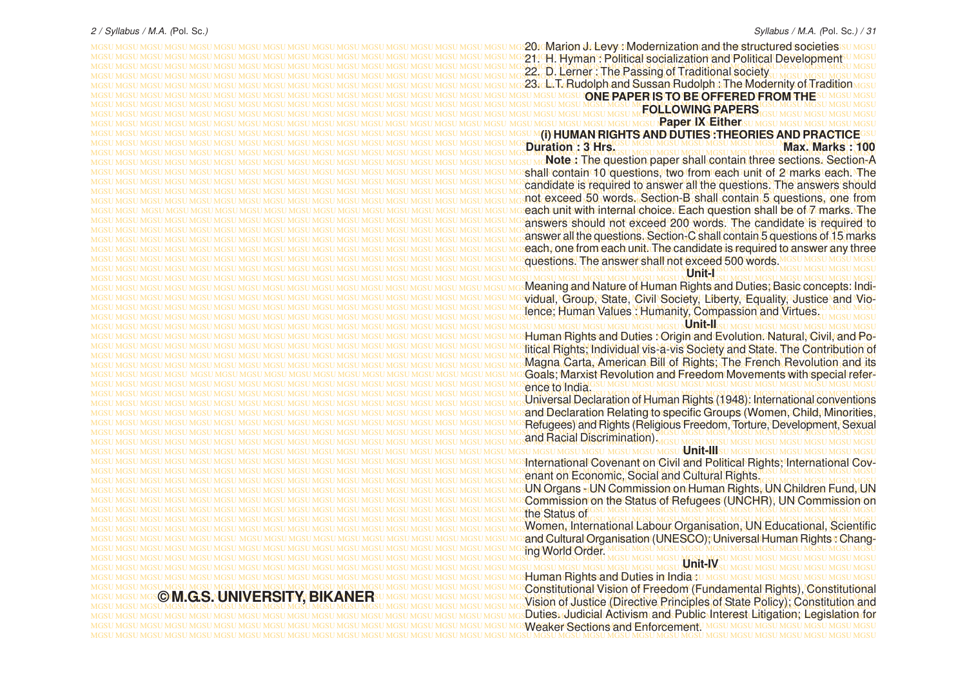MGSU MGSU MGSU MGSU MGSU MGSU MGSU MGSU MGSU MGSU MGSU MGSU MGSU MGSU MGSU MGSU MGSU MGSU MGSU MGSU MGSU MGSU MGSU MGSU MGSU MGSU MGSU MGSU MGSU MGSU MGSU MGSU 20. Marion J. Levy : Modernization and the structured societies MGSU MGSU MGSU MGSU MGSU MGSU MGSU MGSU MGSU MGSU MGSU MGSU MGSU MGSU MGSU MGSU MGSU MGSU MGSU MGSU MGSU MGSU MGSU MGSU MGSU MGSU MGSU MGSU MGSU MGSU MGSU MGSU 21. H. Hyman : Political socialization and Political Development MGSU MGSU MGSU MGSU MGSU MGSU MGSU MGSU MGSU MGSU MGSU MGSU MGSU MGSU MGSU MGSU MGSU MGSU MGSU MGSU MGSU MGSU MGSU MGSU MGSU MGSU MGSU MGSU MGSU MGSU MGSU MGSU MGSU MGSU MGSU MGSU MGSU MGSU MGSU MGSU MGSU MGSU MGSU MGSU MGSU MGSU MGSU MGSU MGSU MGSU MGSU MGSU MGSU MGSU MGSU MGSU MGSU MGSU MGSU MGSU MGSU MGSU MGSU MGSU 22. D. Lerner : The Passing of Traditional society MGSU MGSU MGSU MGSU MGSU MGSU MGSU MGSU MGSU MGSU MGSU MGSU MGSU MGSU MGSU MGSU MGSU MGSU MGSU MGSU MGSU MGSU MGSU MGSU MGSU MGSU MGSU MGSU MGSU MGSU MGSU MGSU 23. L.T. Rudolph and Sussan Rudolph : The Modernity of Tradition MGSU MGSU MGSU MGSU MGSU MGSU MGSU MGSU MGSU MGSU MGSU MGSU MGSU MGSU MGSU MGSU MGSU MGSU MGSU MGSU MGSU MGSU MGSU MGSU MGSU MGSU MGSU MGSU MGSU MGSU MGSU MGSU **ONE PAPER IS TO BE OFFERED FROM THE** MGSU MGSU MGSU MGSU MGSU MGSU MGSU MGSU MGSU MGSU MGSU MGSU MGSU MGSU MGSU MGSU MGSU MGSU MGSU MGSU MGSU MGSU MGSU MGSU MGSU MGSU MGSU MGSU MGSU MGSU MGSU MGSU **FOLLOWING PAPERS** MGSU MGSU MGSU MGSU MGSU MGSU MGSU MGSU MGSU MGSU MGSU MGSU MGSU MGSU MGSU MGSU MGSU MGSU MGSU MGSU MGSU MGSU MGSU MGSU MGSU MGSU MGSU MGSU MGSU MGSU MGSU MGSU MGSU MGSU MGSU MGSU MGSU MGSU MGSU MGSU MGSU MGSU MGSU MGSU MGSU MGSU MGSU MGSU MGSU MGSU MGSU MGSU MGSU MGSU MGSU MGSU MGSU MGSU MGSU MGSU MGSU MGSU MGSU MGSU **Paper IX Either** MGSU MGSU MGSU MGSU MGSU MGSU MGSU MGSU MGSU MGSU MGSU MGSU MGSU MGSU MGSU MGSU MGSU MGSU MGSU MGSU MGSU MGSU MGSU MGSU MGSU MGSU MGSU MGSU MGSU MGSU MGSU MGSU **(i) HUMAN RIGHTS AND DUTIES :THEORIES AND PRACTICE** MGSU MGSU MGSU MGSU MGSU MGSU MGSU MGSU MGSU MGSU MGSU MGSU MGSU MGSU MGSU MGSU MGSU MGSU MGSU MGSU MGSU MGSU MGSU MGSU MGSU MGSU MGSU MGSU MGSU MGSU MGSU MGSU MGSU MGSU MGSU MGSU MGSU MGSU MGSU MGSU MGSU MGSU MGSU MGSU MGSU MGSU MGSU MGSU MGSU MGSU MGSU MGSU MGSU MGSU MGSU MGSU MGSU MGSU MGSU MGSU MGSU MGSU MGSU MGSU MGSU MGSU MGSU MGSU MGSU MGSU MGSU MGSU MGSU MGSU MGSU MGSU MGSU MGSU MGSU MGSU MGSU MGSU MGSU MGSU MGSU MGSU MGSU MGSU MGSU MGSU MGSU MGSU MGSU MGSU MGSU MGSU **Note :** The question paper shall contain three sections. Section-A MGSU MGSU MGSU MGSU MGSU MGSU MGSU MGSU MGSU MGSU MGSU MGSU MGSU MGSU MGSU MGSU MGSU MGSU MGSU MGSU MGSU MGSU MGSU MGSU MGSU MGSU MGSU MGSU MGSU MGSU MGSU MGSU shall contain 10 questions, two from each unit of 2 marks each. The MGSU MGSU MGSU MGSU MGSU MGSU MGSU MGSU MGSU MGSU MGSU MGSU MGSU MGSU MGSU MGSU MGSU MGSU MGSU MGSU MGSU MGSU MGSU MGSU MGSU MGSU MGSU MGSU MGSU MGSU MGSU MGSU candidate is required to answer all the questions. The answers should MGSU MGSU MGSU MGSU MGSU MGSU MGSU MGSU MGSU MGSU MGSU MGSU MGSU MGSU MGSU MGSU MGSU MGSU MGSU MGSU MGSU MGSU MGSU MGSU MGSU MGSU MGSU MGSU MGSU MGSU MGSU MGSU MGSU MGSU MGSU MGSU MGSU MGSU MGSU MGSU MGSU MGSU MGSU MGSU MGSU MGSU MGSU MGSU MGSU MGSU MGSU MGSU MGSU MGSU MGSU MGSU MGSU MGSU MGSU MGSU MGSU MGSU MGSU MGSU not exceed 50 words. Section-B shall contain 5 questions, one from MGSU MGSU MGSU MGSU MGSU MGSU MGSU MGSU MGSU MGSU MGSU MGSU MGSU MGSU MGSU MGSU MGSU MGSU MGSU MGSU MGSU MGSU MGSU MGSU MGSU MGSU MGSU MGSU MGSU MGSU MGSU MGSU each unit with internal choice. Each question shall be of 7 marks. The MGSU MGSU MGSU MGSU MGSU MGSU MGSU MGSU MGSU MGSU MGSU MGSU MGSU MGSU MGSU MGSU MGSU MGSU MGSU MGSU MGSU MGSU MGSU MGSU MGSU MGSU MGSU MGSU MGSU MGSU MGSU MGSU answers should not exceed 200 words. The candidate is required to MGSU MGSU MGSU MGSU MGSU MGSU MGSU MGSU MGSU MGSU MGSU MGSU MGSU MGSU MGSU MGSU MGSU MGSU MGSU MGSU MGSU MGSU MGSU MGSU MGSU MGSU MGSU MGSU MGSU MGSU MGSU MGSU MGSU MGSU MGSU MGSU MGSU MGSU MGSU MGSU MGSU MGSU MGSU MGSU MGSU MGSU MGSU MGSU MGSU MGSU MGSU MGSU MGSU MGSU MGSU MGSU MGSU MGSU MGSU MGSU MGSU MGSU MGSU MGSU answer all the questions. Section-C shall contain 5 questions of 15 marks MGSU MGSU MGSU MGSU MGSU MGSU MGSU MGSU MGSU MGSU MGSU MGSU MGSU MGSU MGSU MGSU MGSU MGSU MGSU MGSU MGSU MGSU MGSU MGSU MGSU MGSU MGSU MGSU MGSU MGSU MGSU MGSU each, one from each unit. The candidate is required to answer any three MGSU MGSU MGSU MGSU MGSU MGSU MGSU MGSU MGSU MGSU MGSU MGSU MGSU MGSU MGSU MGSU MGSU MGSU MGSU MGSU MGSU MGSU MGSU MGSU MGSU MGSU MGSU MGSU MGSU MGSU MGSU MGSU questions. The answer shall not exceed 500 words. MGSU MGSU MGSU MGSU MGSU MGSU MGSU MGSU MGSU MGSU MGSU MGSU MGSU MGSU MGSU MGSU MGSU MGSU MGSU MGSU MGSU MGSU MGSU MGSU MGSU MGSU MGSU MGSU MGSU MGSU MGSU MGSU MGSU MGSU MGSU MGSU MGSU MGSU MGSU MGSU MGSU MGSU MGSU MGSU MGSU MGSU MGSU MGSU MGSU MGSU MGSU MGSU MGSU MGSU MGSU MGSU MGSU MGSU MGSU MGSU MGSU MGSU MGSU MGSU MGSU MGSU MGSU MGSU MGSU MGSU MGSU MGSU MGSU MGSU MGSU MGSU MGSU MGSU MGSU MGSU MGSU MGSU MGSU MGSU MGSU MGSU MGSU MGSU MGSU MGSU MGSU MGSU MGSU MGSU MGSU MGSU Meaning and Nature of Human Rights and Duties; Basic concepts: Indi-MGSU MGSU MGSU MGSU MGSU MGSU MGSU MGSU MGSU MGSU MGSU MGSU MGSU MGSU MGSU MGSU MGSU MGSU MGSU MGSU MGSU MGSU MGSU MGSU MGSU MGSU MGSU MGSU MGSU MGSU MGSU MGSU vidual, Group, State, Civil Society, Liberty, Equality, Justice and Vio-MGSU MGSU MGSU MGSU MGSU MGSU MGSU MGSU MGSU MGSU MGSU MGSU MGSU MGSU MGSU MGSU MGSU MGSU MGSU MGSU MGSU MGSU MGSU MGSU MGSU MGSU MGSU MGSU MGSU MGSU MGSU MGSU MGSU MGSU MGSU MGSU MGSU MGSU MGSU MGSU MGSU MGSU MGSU MGSU MGSU MGSU MGSU MGSU MGSU MGSU MGSU MGSU MGSU MGSU MGSU MGSU MGSU MGSU MGSU MGSU MGSU MGSU MGSU MGSU lence; Human Values : Humanity, Compassion and Virtues. MGSU MGSU MGSU MGSU MGSU MGSU MGSU MGSU MGSU MGSU MGSU MGSU MGSU MGSU MGSU MGSU MGSU MGSU MGSU MGSU MGSU MGSU MGSU MGSU MGSU MGSU MGSU MGSU MGSU MGSU MGSU MGSU **Unit-II** MGSU MGSU MGSU MGSU MGSU MGSU MGSU MGSU MGSU MGSU MGSU MGSU MGSU MGSU MGSU MGSU MGSU MGSU MGSU MGSU MGSU MGSU MGSU MGSU MGSU MGSU MGSU MGSU MGSU MGSU MGSU MGSU Human Rights and Duties : Origin and Evolution. Natural, Civil, and Po-MGSU MGSU MGSU MGSU MGSU MGSU MGSU MGSU MGSU MGSU MGSU MGSU MGSU MGSU MGSU MGSU MGSU MGSU MGSU MGSU MGSU MGSU MGSU MGSU MGSU MGSU MGSU MGSU MGSU MGSU MGSU MGSU litical Rights; Individual vis-a-vis Society and State. The Contribution of MGSU MGSU MGSU MGSU MGSU MGSU MGSU MGSU MGSU MGSU MGSU MGSU MGSU MGSU MGSU MGSU MGSU MGSU MGSU MGSU MGSU MGSU MGSU MGSU MGSU MGSU MGSU MGSU MGSU MGSU MGSU MGSU MGSU MGSU MGSU MGSU MGSU MGSU MGSU MGSU MGSU MGSU MGSU MGSU MGSU MGSU MGSU MGSU MGSU MGSU MGSU MGSU MGSU MGSU MGSU MGSU MGSU MGSU MGSU MGSU MGSU MGSU MGSU MGSU Magna Carta, American Bill of Rights; The French Revolution and its MGSU MGSU MGSU MGSU MGSU MGSU MGSU MGSU MGSU MGSU MGSU MGSU MGSU MGSU MGSU MGSU MGSU MGSU MGSU MGSU MGSU MGSU MGSU MGSU MGSU MGSU MGSU MGSU MGSU MGSU MGSU MGSU Goals; Marxist Revolution and Freedom Movements with special refer-MGSU MGSU MGSU MGSU MGSU MGSU MGSU MGSU MGSU MGSU MGSU MGSU MGSU MGSU MGSU MGSU MGSU MGSU MGSU MGSU MGSU MGSU MGSU MGSU MGSU MGSU MGSU MGSU MGSU MGSU MGSU MGSU MGSU MGSU MGSU MGSU MGSU MGSU MGSU MGSU MGSU MGSU MGSU MGSU MGSU MGSU MGSU MGSU MGSU MGSU MGSU MGSU MGSU MGSU MGSU MGSU MGSU MGSU MGSU MGSU MGSU MGSU MGSU MGSU MGSU MGSU MGSU MGSU MGSU MGSU MGSU MGSU MGSU MGSU MGSU MGSU MGSU MGSU MGSU MGSU MGSU MGSU MGSU MGSU MGSU MGSU MGSU MGSU MGSU MGSU MGSU MGSU MGSU MGSU MGSU MGSU Universal Declaration of Human Rights (1948): International conventions MGSU MGSU MGSU MGSU MGSU MGSU MGSU MGSU MGSU MGSU MGSU MGSU MGSU MGSU MGSU MGSU MGSU MGSU MGSU MGSU MGSU MGSU MGSU MGSU MGSU MGSU MGSU MGSU MGSU MGSU MGSU MGSU and Declaration Relating to specific Groups (Women, Child, Minorities, MGSU MGSU MGSU MGSU MGSU MGSU MGSU MGSU MGSU MGSU MGSU MGSU MGSU MGSU MGSU MGSU MGSU MGSU MGSU MGSU MGSU MGSU MGSU MGSU MGSU MGSU MGSU MGSU MGSU MGSU MGSU MGSU Refugees) and Rights (Religious Freedom, Torture, Development, Sexual MGSU MGSU MGSU MGSU MGSU MGSU MGSU MGSU MGSU MGSU MGSU MGSU MGSU MGSU MGSU MGSU MGSU MGSU MGSU MGSU MGSU MGSU MGSU MGSU MGSU MGSU MGSU MGSU MGSU MGSU MGSU MGSU MGSU MGSU MGSU MGSU MGSU MGSU MGSU MGSU MGSU MGSU MGSU MGSU MGSU MGSU MGSU MGSU MGSU MGSU MGSU MGSU MGSU MGSU MGSU MGSU MGSU MGSU MGSU MGSU MGSU MGSU MGSU MGSU MGSU MGSU MGSU MGSU MGSU MGSU MGSU MGSU MGSU MGSU MGSU MGSU MGSU MGSU MGSU MGSU MGSU MGSU MGSU MGSU MGSU MGSU MGSU MGSU MGSU MGSU MGSU MGSU MGSU MGSU MGSU MGSU **Unit-III** MGSU MGSU MGSU MGSU MGSU MGSU MGSU MGSU MGSU MGSU MGSU MGSU MGSU MGSU MGSU MGSU MGSU MGSU MGSU MGSU MGSU MGSU MGSU MGSU MGSU MGSU MGSU MGSU MGSU MGSU MGSU MGSU International Covenant on Civil and Political Rights; International Cov-MGSU MGSU MGSU MGSU MGSU MGSU MGSU MGSU MGSU MGSU MGSU MGSU MGSU MGSU MGSU MGSU MGSU MGSU MGSU MGSU MGSU MGSU MGSU MGSU MGSU MGSU MGSU MGSU MGSU MGSU MGSU MGSU MGSU MGSU MGSU MGSU MGSU MGSU MGSU MGSU MGSU MGSU MGSU MGSU MGSU MGSU MGSU MGSU MGSU MGSU MGSU MGSU MGSU MGSU MGSU MGSU MGSU MGSU MGSU MGSU MGSU MGSU MGSU MGSU enant on Economic, Social and Cultural Rights. MGSU MGSU MGSU MGSU MGSU MGSU MGSU MGSU MGSU MGSU MGSU MGSU MGSU MGSU MGSU MGSU MGSU MGSU MGSU MGSU MGSU MGSU MGSU MGSU MGSU MGSU MGSU MGSU MGSU MGSU MGSU MGSU UN Organs - UN Commission on Human Rights, UN Children Fund, UN MGSU MGSU MGSU MGSU MGSU MGSU MGSU MGSU MGSU MGSU MGSU MGSU MGSU MGSU MGSU MGSU MGSU MGSU MGSU MGSU MGSU MGSU MGSU MGSU MGSU MGSU MGSU MGSU MGSU MGSU MGSU MGSU Commission on the Status of Refugees (UNCHR), UN Commission on MGSU MGSU MGSU MGSU MGSU MGSU MGSU MGSU MGSU MGSU MGSU MGSU MGSU MGSU MGSU MGSU MGSU MGSU MGSU MGSU MGSU MGSU MGSU MGSU MGSU MGSU MGSU MGSU MGSU MGSU MGSU MGSU MGSU MGSU MGSU MGSU MGSU MGSU MGSU MGSU MGSU MGSU MGSU MGSU MGSU MGSU MGSU MGSU MGSU MGSU MGSU MGSU MGSU MGSU MGSU MGSU MGSU MGSU MGSU MGSU MGSU MGSU MGSU MGSU MGSU MGSU MGSU MGSU MGSU MGSU MGSU MGSU MGSU MGSU MGSU MGSU MGSU MGSU MGSU MGSU MGSU MGSU MGSU MGSU MGSU MGSU MGSU MGSU MGSU MGSU MGSU MGSU MGSU MGSU MGSU MGSU Women, International Labour Organisation, UN Educational, Scientific MGSU MGSU MGSU MGSU MGSU MGSU MGSU MGSU MGSU MGSU MGSU MGSU MGSU MGSU MGSU MGSU MGSU MGSU MGSU MGSU MGSU MGSU MGSU MGSU MGSU MGSU MGSU MGSU MGSU MGSU MGSU MGSU and Cultural Organisation (UNESCO); Universal Human Rights : Chang-MGSU MGSU MGSU MGSU MGSU MGSU MGSU MGSU MGSU MGSU MGSU MGSU MGSU MGSU MGSU MGSU MGSU MGSU MGSU MGSU MGSU MGSU MGSU MGSU MGSU MGSU MGSU MGSU MGSU MGSU MGSU MGSU MGSU MGSU MGSU MGSU MGSU MGSU MGSU MGSU MGSU MGSU MGSU MGSU MGSU MGSU MGSU MGSU MGSU MGSU MGSU MGSU MGSU MGSU MGSU MGSU MGSU MGSU MGSU MGSU MGSU MGSU MGSU MGSU MGSU MGSU MGSU MGSU MGSU MGSU MGSU MGSU MGSU MGSU MGSU MGSU MGSU MGSU MGSU MGSU MGSU MGSU MGSU MGSU MGSU MGSU MGSU MGSU MGSU MGSU MGSU MGSU MGSU MGSU MGSU MGSU MGSU MGSU MGSU MGSU MGSU MGSU MGSU MGSU MGSU MGSU MGSU MGSU MGSU MGSU MGSU MGSU MGSU MGSU MGSU MGSU MGSU MGSU MGSU MGSU MGSU MGSU MGSU MGSU MGSU MGSU MGSU MGSU Human Rights and Duties in India :

MGSU MGSU MGSU MGSU MGSU MGSU MGSU MGSU MGSU MGSU MGSU MGSU MGSU MGSU MGSU MGSU MGSU MGSU MGSU MGSU MGSU MGSU MGSU MGSU MGSU MGSU MGSU MGSU MGSU MGSU MGSU MGSU Duties. Judicial Activism and Public Interest Litigation; Legislation for MGSU MGSU MGSU MGSU MGSU MGSU MGSU MGSU MGSU MGSU MGSU MGSU MGSU MGSU MGSU MGSU MGSU MGSU MGSU MGSU MGSU MGSU MGSU MGSU MGSU MGSU MGSU MGSU MGSU MGSU MGSU MGSU Weaker Sections and Enforcement.

**Duration : 3 Hrs. MGSU MGSU MGSU MGSU MGSU MGSU MGSU MAX. Marks : 100 Unit-I**

ence to India.

and Racial Discrimination).

the Status of

ing World Order. **Unit-IV**

MGSU MGSU MGSU MGSU MGSU MGSU MGSU MGSU MGSU MGSU MGSU MGSU MGSU MGSU MGSU MGSU MGSU MGSU MGSU MGSU MGSU MGSU MGSU MGSU MGSU MGSU MGSU MGSU MGSU MGSU MGSU MGSU Constitutional Vision of Freedom (Fundamental Rights), Constitutional MGSU MGSU MGSU MGSU MGSU MGSU MGSU MGSU MGSU MGSU MGSU MGSU MGSU MGSU MGSU MGSU MGSU MGSU MGSU MGSU MGSU MGSU MGSU MGSU MGSU MGSU MGSU MGSU MGSU MGSU MGSU MGSU **© M.G.S. UNIVERSITY, BIKANER** MGSU MGSU MGSU MGSU MGSU MGSU MGSU MGSU MGSU MGSU MGSU MGSU MGSU MGSU MGSU MGSU MGSU MGSU MGSU MGSU MGSU MGSU MGSU MGSU MGSU MGSU MGSU MGSU MGSU MGSU MGSU MGSU Vision of Justice (Directive Principles of State Policy); Constitution and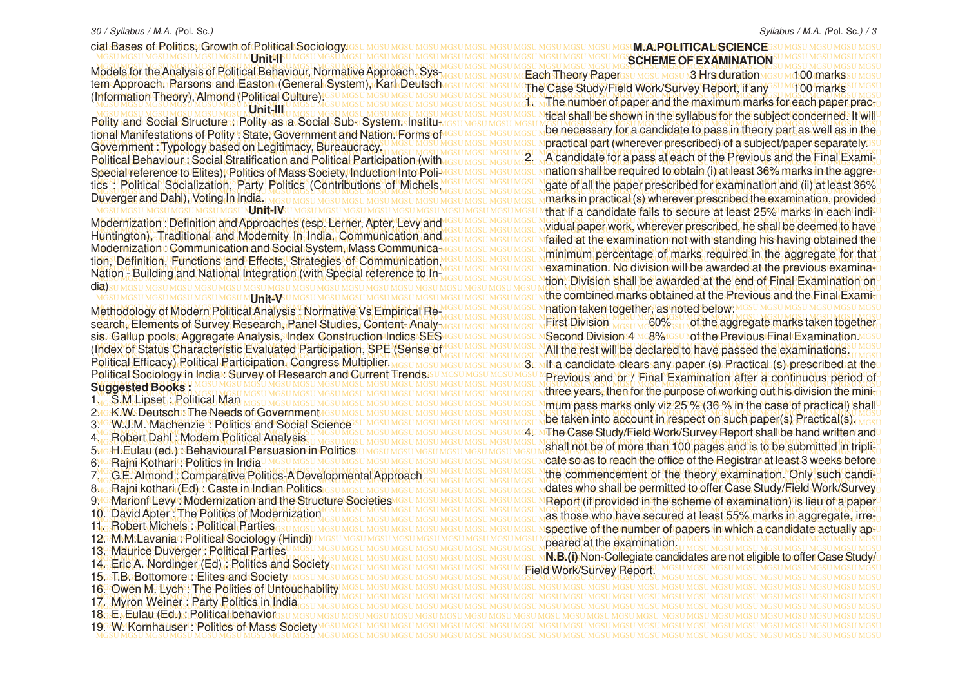MGSU MGSU MGSU MGSU MGSU MGSU MGSU MGSU MGSU MGSU MGSU MGSU MGSU MGSU MGSU MGSU MGSU MGSU MGSU MGSU MGSU MGSU MGSU MGSU MGSU MGSU MGSU MGSU MGSU MGSU MGSU MGSU cial Bases of Politics, Growth of Political Sociology. MGSU MGSU MGSU MGSU MGSU MGSU MGSU MGSU MGSU MGSU MGSU MGSU MGSU MGSU MGSU MGSU MGSU MGSU MGSU MGSU MGSU MGSU MGSU MGSU MGSU MGSU MGSU MGSU MGSU MGSU MGSU MGSU **SCHEME OF EXAMINATION** MGSU MGSU MGSU MGSU MGSU MGSU MGSU MGSU MGSU MGSU MGSU MGSU MGSU MGSU MGSU MGSU MGSU MGSU MGSU MGSU MGSU MGSU MGSU MGSU MGSU MGSU MGSU MGSU MGSU MGSU MGSU MGSU Models for the Analysis of Political Behaviour, Normative Approach, Sys-MGSU MGSU MGSU MGSU MGSU MGSU MGSU MGSU MGSU MGSU MGSU MGSU MGSU MGSU MGSU MGSU MGSU MGSU MGSU MGSU MGSU MGSU MGSU MGSU MGSU MGSU MGSU MGSU MGSU MGSU MGSU MGSU Each Theory Paper 3 Hrs duration 100 marks tem Approach u Rarsons and Easton (General System), Karl Deutsch Idsu Mgsu Mgsu Mgrade Sthay) Field Work/Sifr/Ay Bandy Manysu Mgno Markesu Mgsu MGSU MGSU MGSU MGSU MGSU MGSU MGSU MGSU MGSU MGSU MGSU MGSU MGSU MGSU MGSU MGSU MGSU MGSU MGSU MGSU MGSU MGSU MGSU MGSU MGSU MGSU MGSU MGSU MGSU MGSU MGSU MGSU (Information Theory), Almond (Political Culture). monination in the original common three common states and the material state of paper and the maximum marks for each paper practu MGSU MGSU MGSU MGSU MGSU MGSU MGSU MGSU MGSU MGSU MGSU MGSU MGSU MGSU MGSU MGSU MGSU MGSU MGSU MGSU MGSU MGSU MGSU MGSU MGSU MGSU MGSU MGSU MGSU MGSU MGSU MGSU tical shall be shown in the syllabus for the subject concerned. It will MGSU MGSU MGSU MGSU MGSU MGSU MGSU MGSU MGSU MGSU MGSU MGSU MGSU MGSU MGSU MGSU MGSU MGSU MGSU MGSU MGSU MGSU MGSU MGSU MGSU MGSU MGSU MGSU MGSU MGSU MGSU MGSU Polity and Social Structure : Polity as a Social Sub- System. Institutional Manifestations of Polity State, Government and Nation. Forms of ISSU MGSU MGSU MGSU MUSURES Sally Museum Museum Dessitutuedly Part as well as it interesting the light November 1 Woold Ny Hasen on Legitimacy Rimeancracy U MGSU MGSU MGSU MGSU MGSU M**practical part (wherever prescribed) of a subject/paper separately** su Political Behaviour: Social Stratification and Political Participation (with assumes under a Candidate for a pass at each of the Previous and the Final Exami-Political Behaviour: Social Stratification and Political Participation (with <sub>USSU MGSU MGSU MGSU M</sub>A canglaate for a pass at each of the Previous and the Final Exami<sub>su</sub> Special reference to Elites); Politics of Mass Society, Induction Into Poli MGSU MGSU MGSU M**nation shall be required to obtain (i) at least 36% marks in the aggre-**u MGSU MGSU MGSU MGSU MGSU MGSU MGSU MGSU MGSU MGSU MGSU MGSU MGSU MGSU MGSU MGSU MGSU MGSU MGSU MGSU MGSU MGSU MGSU MGSU MGSU MGSU MGSU MGSU MGSU MGSU MGSU MGSU tics: Political Socialization, Party Politics (Contributions of Michels, MGSU MGSU MGSU MGSU MGSU MGSU MGSU MG MGSU MGSU MGSU MGSU MGSU MGSU MGSU MGSU MGSU MGSU MGSU MGSU MGSU MGSU MGSU MGSU MGSU MGSU MGSU MGSU MGSU MGSU MGSU MGSU MGSU MGSU MGSU MGSU MGSU MGSU MGSU MGSU marks in practical (s) wherever prescribed the examination, provided MGSU MGSU MGSU MGSU MGSU MGSU MGSU MGSU MGSU MGSU MGSU MGSU MGSU MGSU MGSU MGSU MGSU MGSU MGSU MGSU MGSU MGSU MGSU MGSU MGSU MGSU MGSU MGSU MGSU MGSU MGSU MGSU that if a candidate fails to secure at least 25% marks in each indi-Modernization : Definition and Approaches (esp. Lerner, Apter, Levy and IGSU MGSU MGSU MGSU MGLIAI DADER Work, wherever prescribed, he shall be deemed to have lodernization : Definition and Approaches (esp. Letner, Apter, Levy and Mosu Mosu Mosu Mudual paper work, wherever prescribed, he shall be deemed to have thriangion). It admonared the importance in the individual canonication assumes and accompatible at the examination not with standing his having obtained the Modernization : Communication and Social System, Mass Communica-MGSU MGSU MGSU MGSU MGSU MGSU MGHAMGTAG OF WASHE LAMILLARY IN THAL BRAYARSHA TAY HIGH MGSU MGSU MGSU MGSU MGSU MGSU MGSU MGSU MGSU MGSU MGSU MGSU MGSU MGSU MGSU MGSU MGSU MGSU MGSU MGSU MGSU MGSU MGSU MGSU MGSU MGSU MGSU MGSU MGSU MGSU MGSU MGSU tion, Definition, Functions and Effects, Strategies of Communication, **MARKED AND THE READY OF A READY OF CONTROL OF CONTRACT AND MOSUME OF A READY OF A READY OF A READY OF A READY OF A READY OF A READY OF A READY OF A READY AND A READY AND A READY AND A READY OF A READY OF A READY OF A READ REASO MCBONDUSTRICO MASS AND MCBONDUM MCBONDUM CONTROL CONTROLS IN A CONTROL MCSU MCSU MIDH, Division Shall be awarded at the end of Final Examination on the control of the end of Final Examination on the control of the e** MGSU MGSU MGSU MGSU MGSU MGSU MGSU MGSU MGSU MGSU MGSU MGSU MGSU MGSU MGSU MGSU MGSU MGSU MGSU MGSU MGSU MGSU MGSU MGSU MGSU MGSU MGSU MGSU MGSU MGSU MGSU MGSU dia) MGSU MGSU MGSU MGSU MGSU MGSU MGSU MGSU MGSU MGSU MGSU MGSU MGSU MGSU MGSU MGSU MGSU MGSU MGSU MGSU MGSU MGSU MGSU MGSU MGSU MGSU MGSU MGSU MGSU MGSU MGSU MGSU the combined marks obtained at the Previous and the Final Exami-MGSU MGSU MGSU MGSU MGSU MGSU MGSU MGSU MGSU MGSU MGSU MGSU MGSU MGSU MGSU MGSU MGSU MGSU MGSU MGSU MGSU MGSU MGSU MGSU MGSU MGSU MGSU MGSU MGSU MGSU MGSU MGSU MGSU MGSU MGSU MGSU MGSU MGSU MGSU MGSU MGSU MGSU MGSU MGSU MGSU MGSU MGSU MGSU MGSU MGSU MGSU MGSU MGSU MGSU MGSU MGSU MGSU MGSU MGSU MGSU MGSU MGSU MGSU MGSU Methodology of Modern Political Analysis : Normative Vs Empirical Research, Elements of Survey Research, Panel Studies, Content-Analy <sub>MGSU MGSU MGSU MGSU M</sub>EIrst Division <sub>MGSU MG</sub>60% su **port the aggregate marks taken together**u sis. Gallup pools, Aggregate Analysis, Index Construction Indics SES4GSU MGSU MGSU MGSU MSecond Division 4 MC8%IGSU Nof the Previous Final Examination MGSU **Umit<sub>4</sub>IF Unit-III** Government : Typology based on Legitimacy, Bureaucracy. Duverger and Dahl), Voting In India. MGSU MGSU MGSU MGSU MGSU MGSU N**Jnit-IV**SU MGSU MGSU Huntington), Traditional and Modernity In India. Communication and Nation - Building and National Integration (with Special reference to In-**UNIT-VALUATE AND METALLY METHODS** 

(Index of Status Characteristic Evaluated Participation, SPE (Sense of IGSU MGSU MGSU MGSU MAIL the rest will be declared to have passed the examinations. Index of Status Characteristic Evaluated Participation, SPE (Sense of lose MGSU MGSU MGSU MGSU MGSU MGSU MGSU MG 'olitical Efficacy) Rolitical Participation. Congress Multiplier <sub>MGSU MGSU MGSU MGSU M</sub>GSU M<mark>dsa candidate clears any paper (s) Practical (s) prescribed at the</mark> Political Sociology in India J Survey of Research and Current Trends su MGSU MGSU MOSU MPRHyicus, and Yor / Final Examination after a continuous period of MGSU MGSU MGSU MGSU MGSU MGSU MGSU MGSU MGSU MGSU MGSU MGSU MGSU MGSU MGSU MGSU MGSU MGSU MGSU MGSU MGSU MGSU MGSU MGSU MGSU MGSU MGSU MGSU MGSU MGSU MGSU MGSU **Suggested Books :** Political Efficacy) Political Participation. Congress Multiplier.

MGSU MGSU MGSU MGSU MGSU MGSU MGSU MGSU MGSU MGSU MGSU MGSU MGSU MGSU MGSU MGSU MGSU MGSU MGSU MGSU MGSU MGSU MGSU MGSU MGSU MGSU MGSU MGSU MGSU MGSU MGSU MGSU 15. T.B. Bottomore : Elites and Society MGSU MGSU MGSU MGSU MGSU MGSU MGSU MGSU MGSU MGSU MGSU MGSU MGSU MGSU MGSU MGSU MGSU MGSU MGSU MGSU MGSU MGSU MGSU MGSU MGSU MGSU MGSU MGSU MGSU MGSU MGSU MGSU 16. Owen M. Lych : The Polities of Untouchability MGSU MGSU MGSU MGSU MGSU MGSU MGSU MGSU MGSU MGSU MGSU MGSU MGSU MGSU MGSU MGSU MGSU MGSU MGSU MGSU MGSU MGSU MGSU MGSU MGSU MGSU MGSU MGSU MGSU MGSU MGSU MGSU MGSU MGSU MGSU MGSU MGSU MGSU MGSU MGSU MGSU MGSU MGSU MGSU MGSU MGSU MGSU MGSU MGSU MGSU MGSU MGSU MGSU MGSU MGSU MGSU MGSU MGSU MGSU MGSU MGSU MGSU MGSU MGSU 17. Myron Weiner : Party Politics in India MGSU MGSU MGSU MGSU MGSU MGSU MGSU MGSU MGSU MGSU MGSU MGSU MGSU MGSU MGSU MGSU MGSU MGSU MGSU MGSU MGSU MGSU MGSU MGSU MGSU MGSU MGSU MGSU MGSU MGSU MGSU MGSU 18. E, Eulau (Ed.) : Political behavior MGSU MGSU MGSU MGSU MGSU MGSU MGSU MGSU MGSU MGSU MGSU MGSU MGSU MGSU MGSU MGSU MGSU MGSU MGSU MGSU MGSU MGSU MGSU MGSU MGSU MGSU MGSU MGSU MGSU MGSU MGSU MGSU 19. W. Kornhauser : Politics of Mass SocietyMGSU MGSU MGSU MGSU MGSU MGSU MGSU MGSU MGSU MGSU MGSU MGSU MGSU MGSU MGSU MGSU MGSU MGSU MGSU MGSU MGSU MGSU MGSU MGSU MGSU MGSU MGSU MGSU MGSU MGSU MGSU MGSU 1. S.M Lipset : Political Man 4. Robert Dahl : Modern Political Analysis 6MGSRaini Kothari : Politics in India UMGSU MGSU MGSU MGSU M 7. E **8. 8. Rajni kothari (Ed) : Caste in Indian Politics GSU MGSU MGSU MGSU** 9. GMarionf Levy : Modernization and the Structure Societies 11. Robert Michels : Political Parties

**MAPOLITICAL SCIENCE**GSU MGSU MGSU MGS The Case Study/Field Work/Survey Report, if any SUM 100 marks be necessary for a candidate to pass in theory part as well as in the nation shall be required to obtain (i) at least 36% marks in the aggregate of all the paper prescribed for examination and (ii) at least 36% minimum percentage of marks required in the aggregate for that nation taken together, as noted below:

MGSU MGSU MGSU MGSU MGSU MGSU MGSU MGSU MGSU MGSU MGSU MGSU MGSU MGSU MGSU MGSU MGSU MGSU MGSU MGSU MGSU MGSU MGSU MGSU MGSU MGSU MGSU MGSU MGSU MGSU MGSU MGSU three years, then for the purpose of working out his division the mini-MGSU MGSU MGSU MGSU MGSU MGSU MGSU MGSU MGSU MGSU MGSU MGSU MGSU MGSU MGSU MGSU MGSU MGSU MGSU MGSU MGSU MGSU MGSU MGSU MGSU MGSU MGSU MGSU MGSU MGSU MGSU MGSU mum pass marks only viz 25 % (36 % in the case of practical) shall MGSU MGSU MGSU MGSU MGSU MGSU MGSU MGSU MGSU MGSU MGSU MGSU MGSU MGSU MGSU MGSU MGSU MGSU MGSU MGSU MGSU MGSU MGSU MGSU MGSU MGSU MGSU MGSU MGSU MGSU MGSU MGSU 2. K.W. Deutsch : The Needs of Government MGSU MGSU MGSU MGSU MGSU MGSU MGSU MGSU MGSU MGSU MGSU MGSU MGSU MGSU MGSU MGSU MGSU MGSU MGSU MGSU MGSU MGSU MGSU MGSU MGSU MGSU MGSU MGSU MGSU MGSU MGSU MGSU 3. W.J.M. Machenzie : Politics and Social Science MG HAKKIH Dabi (Madam Balitical Anal) NG UMGSUMGSU MGSU MGSU MGSU MGSU MGSU MG4U MThe Case Study/Field Work/Survey Report shall be hand written and u MGSU MGSU MGSU MGSU MGSU MGSU MGSU MGSU MGSU MGSU MGSU MGSU MGSU MGSU MGSU MGSU MGSU MGSU MGSU MGSU MGSU MGSU MGSU MGSU MGSU MGSU MGSU MGSU MGSU MGSU MGSU MGSU shall not be of more than 100 pages and is to be submitted in tripli-MGSU MGSU MGSU MGSU MGSU MGSU MGSU MGSU MGSU MGSU MGSU MGSU MGSU MGSU MGSU MGSU MGSU MGSU MGSU MGSU MGSU MGSU MGSU MGSU MGSU MGSU MGSU MGSU MGSU MGSU MGSU MGSU 5. H.Eulau (ed.) : Behavioural Persuasion in Politics MGSU MGSU MGSU MGSU MGSU MGSU MGSU MGSU MGSU MGSU MGSU MGSU MGSU MGSU MGSU MGSU MGSU MGSU MGSU MGSU MGSU MGSU MGSU MGSU MGSU MGSU MGSU MGSU MGSU MGSU MGSU MGSU cate so as to reach the office of the Registrar at least 3 weeks before MGSU MGSU MGSU MGSU MGSU MGSU MGSU MGSU MGSU MGSU MGSU MGSU MGSU MGSU MGSU MGSU MGSU MGSU MGSU MGSU MGSU MGSU MGSU MGSU MGSU MGSU MGSU MGSU MGSU MGSU MGSU MGSU the commencement of the theory examination. Only such candi-MGSU MGSU MGSU MGSU MGSU MGSU MGSU MGSU MGSU MGSU MGSU MGSU MGSU MGSU MGSU MGSU MGSU MGSU MGSU MGSU MGSU MGSU MGSU MGSU MGSU MGSU MGSU MGSU MGSU MGSU MGSU MGSU G.E. Almond : Comparative Politics-A Developmental Approach krosRajni kothari (Ed) is Caste in Indian Politics<u>iosu masu masu masu masu masu masu masu</u> m**dates who shall be permitted to offer Case Study/Field Work/Survey<sub>U</sub>** Mo Marionf Levy Modernization and the Structure Societies MGSU MGSU MGSU MGSU MGSU M<mark>Report (if provided in the scheme of examination) is lieu of a paper in the scheme of examination) is lieu of a paper</mark> MGSU MGSU MGSU MGSU MGSU MGSU MGSU MGSU MGSU MGSU MGSU MGSU MGSU MGSU MGSU MGSU MGSU MGSU MGSU MGSU MGSU MGSU MGSU MGSU MGSU MGSU MGSU MGSU MGSU MGSU MGSU MGSU 10. David Apter : The Politics of Modernization MGSU MGSU MGSU MGSU MGSU MGSU MGSU MGSU MGSU MGSU MGSU MGSU MGSU MGSU MGSU MGSU MGSU MGSU MGSU MGSU MGSU MGSU MGSU MGSU MGSU MGSU MGSU MGSU MGSU MGSU MGSU MGSU as those who have secured at least 55% marks in aggregate, irre-MGSU MGSU MGSU MGSU MGSU MGSU MGSU MGSU MGSU MGSU MGSU MGSU MGSU MGSU MGSU MGSU MGSU MGSU MGSU MGSU MGSU MGSU MGSU MGSU MGSU MGSU MGSU MGSU MGSU MGSU MGSU MGSU spective of the number of papers in which a candidate actually ap-MGSU MGSU MGSU MGSU MGSU MGSU MGSU MGSU MGSU MGSU MGSU MGSU MGSU MGSU MGSU MGSU MGSU MGSU MGSU MGSU MGSU MGSU MGSU MGSU MGSU MGSU MGSU MGSU MGSU MGSU MGSU MGSU 12. M.M.Lavania : Political Sociology (Hindi) MGSU MGSU MGSU MGSU MGSU MGSU MGSU MGSU MGSU MGSU MGSU MGSU MGSU MGSU MGSU MGSU MGSU MGSU MGSU MGSU MGSU MGSU MGSU MGSU MGSU MGSU MGSU MGSU MGSU MGSU MGSU MGSU 13. Maurice Duverger : Political Parties <u>Ne Practice Buyers of Humber Later was also messumes and messumes and messumes and manum R.A. (i) Non-Collegiate candidates are not eligible to offer Case Study/u</u> MGSU MGSU MGSU MGSU MGSU MGSU MGSU MGSU MGSU MGSU MGSU MGSU MGSU MGSU MGSU MGSU MGSU MGSU MGSU MGSU MGSU MGSU MGSU MGSU MGSU MGSU MGSU MGSU MGSU MGSU MGSU MGSU 14. Eric A. Nordinger (Ed) : Politics and Society First Division Mesu Mc60% of the aggregate marks taken together Second Division 4 MG8% GSU of the Previous Final Examination. Previous and or / Final Examination after a continuous period of be taken into account in respect on such paper(s) Practical(s). peared at the examination. Field Work/Survey Report.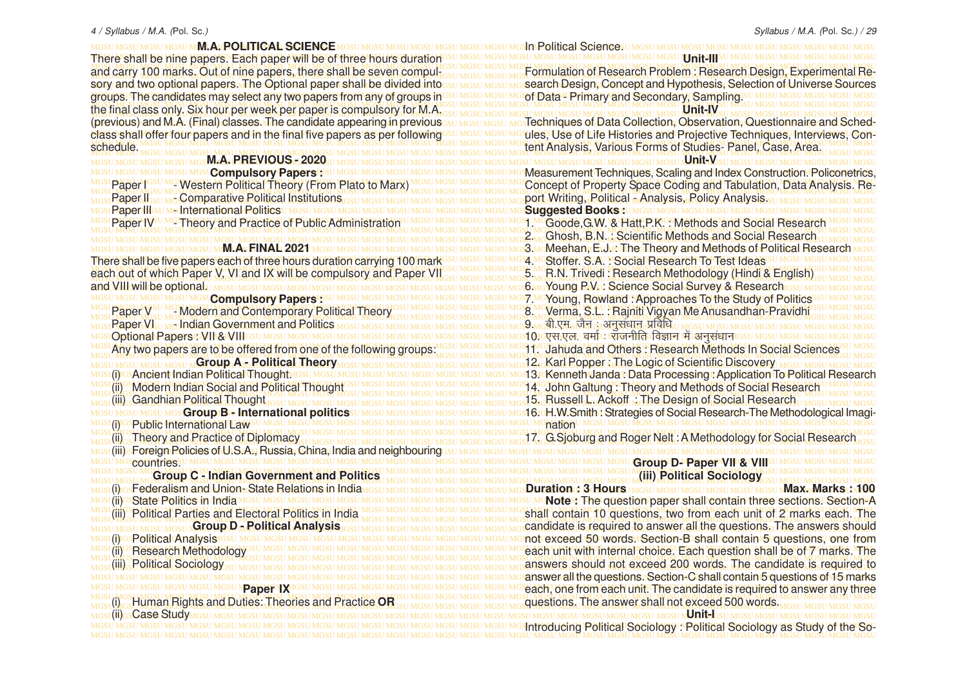MGSU MGSU MGSU MGSU MGSU MGSU MGSU MGSU MGSU MGSU MGSU MGSU MGSU MGSU MGSU MGSU MGSU MGSU MGSU MGSU MGSU MGSU MGSU MGSU MGSU MGSU MGSU MGSU MGSU MGSU MGSU MGSU MGSU MGSU MGSU MGSU MGSU MGSU MGSU MGSU MGSU MGSU MGSU MGSU MGSU MGSU MGSU MGSU MGSU MGSU MGSU MGSU MGSU MGSU MGSU MGSU MGSU MGSU MGSU MGSU MGSU MGSU MGSU MGSU **Group C - Indian Government and Politics** mgst(i)rgsF**ederalism and |Union<sub>1</sub>,State Relations in India<sub>MGSU MGSU MGSU Mgsu Mgsu Mgs<b>Duration;;; 3 Hours**) mgsu mgsu mgsu mgsu mgsu mgsu **Max. Marks : 1,100**</sub> MGSU MGSU MGSU MGSU MGSU MGSU MGSU MGSU MGSU MGSU MGSU MGSU MGSU MGSU MGSU MGSU MGSU MGSU MGSU MGSU MGSU MGSU MGSU MGSU MGSU MGSU MGSU MGSU MGSU MGSU MGSU MGSU **Note :** The question paper shall contain three sections. Section-A MGSUMGSUMGSUMGSUM**MLA (ROLLTICAL SCIENCE** MGSUMGSUMGSUMGSI and carry 100 marks. Out of nine papers, there shall be seven compulsory and two optional papers. The Optional paper shall be divided into class shall offer four papers and in the final five papers as per following schedule. **M.A. PREVIOUS - 2020 MGSLCompulsory Papers IGSL** Paper I <sup>GSU MG</sup> Western Political Theory (From Plato to Marx **Paper II STIMG Comparative Political Institutions** GSU MGSU MC Paper III su Methter<mark>national Politics</mark> ungsu Mesu Mesu Mes<br>Paper IV<sup>su Mes</sup> Pléory and Practice of Public Administr <sup>IG</sup> Theory and Practice of Public Administration MGSU M**M.A.GINAL 2021** MGSU MGSU **Compulsory Papers** GSU MGSU MC Paper V<sup>SU MG</sup> Modern and Contemporary Political Theory **Paper VI III Accident Government and Politics MGSU MGSU MGSU** Optional Papers : VII & VIII GSU MGSU MGSU MGSU MGSU MGSU **Group A - Political Theory MGSILM** (i) GSAncient Indian Political Thought MGSU MGSU MGST (ii) Modern Indian Social and Political Thought (iii) Gandhian Political Thought **Group B - International politics Theory and Practice of Diplomacy** (i) <sub>GS</sub>Federalism and Union-State Relations in India Uii)GSState Politics in India MGSU MGSU MGSU MGSU MGSU (iii) Political Parties and Electoral Politics in India **Group D - Political Analysis** L(j) GSP olitical Analysis GSU MGSU MGSU MGSU MG (ii)<sup>G</sup> Research Methodology (iii) Political Sociology **Paper IX** MGSL(iii) GsCase StudyMGSL

MGSU MGSU MGSU MGSU MGSU MGSU MGSU MGSU MGSU MGSU MGSU MGSU MGSU MGSU MGSU MGSU MGSU MGSU MGSU MGSU MGSU MGSU MGSU MGSU MGSU MGSU MGSU MGSU MGSU MGSU MGSU MGSU In Political Science. MGSU MGSU MGSU MGSU MGSU MGSU MGSU MGSU MGSU MGSU MGSU MGSU MGSU MGSU MGSU MGSU MGSU MGSU MGSU MGSU MGSU MGSU MGSU MGSU MGSU MGSU MGSU MGSU MGSU MGSU MGSU MGSU There shall be nine papers. Each paper will be of three hours duration MGSU MGSU MGSU MGSU MGSU MGSU MGSU MGSU MGSU MGSU MGSU MGSU MGSU MGSU MGSU MGSU MGSU MGSU MGSU MGSU MGSU MGSU MGSU MGSU MGSU MGSU MGSU MGSU MGSU MGSU MGSU MGSU MGSU MGSU MGSU MGSU MGSU MGSU MGSU MGSU MGSU MGSU MGSU MGSU MGSU MGSU MGSU MGSU MGSU MGSU MGSU MGSU MGSU MGSU MGSU MGSU MGSU MGSU MGSU MGSU MGSU MGSU MGSU MGSU Formulation of Research Problem : Research Design, Experimental Resory and two optional papers. The Optional paper shall be divided intosu <u>MGSU MGSU MGS</u>earch Design, Concept and Hypothesis, Selection of Universe Sources<br>groups: The candidates may select any two papers from any of group MGSU MGSU MGSU MGSU MGSU MGSU MGSU MGSU MGSU MGSU MGSU MGSU MGSU MGSU MGSU MGSU MGSU MGSU MGSU MGSU MGSU MGSU MGSU MGSU MGSU MGSU MGSU MGSU MGSU MGSU MGSU MGSU groups. The candidates may select any two papers from any of groups in MGSU MGSU MGSU MGSU MGSU MGSU MGSU MGSU MGSU MGSU MGSU MGSU MGSU MGSU MGSU MGSU MGSU MGSU MGSU MGSU MGSU MGSU MGSU MGSU MGSU MGSU MGSU MGSU MGSU MGSU MGSU MGSU MGSU MGSU MGSU MGSU MGSU MGSU MGSU MGSU MGSU MGSU MGSU MGSU MGSU MGSU MGSU MGSU MGSU MGSU MGSU MGSU MGSU MGSU MGSU MGSU MGSU MGSU MGSU MGSU MGSU MGSU MGSU MGSU the final class only. Six hour per week per paper is compulsory for M.A. (previous) and M.A. (Final) classes. The candidate appearing in previous<sub>GSU MGSU MGSU</sub> Mg Techniques of Data Collection, Observation, Questionnaire and Schedclass shall offer four papers and in the final five papers as per following<sup>esu MGSU MGSU MGSU MGS</sup>Ules, Use of Life Histories and Projective Techniques, Interviews, Con-MGSU MGSU MGSU MGSU MGSU MGSU MGSU MGSU MGSU MGSU MGSU MGSU MGSU MGSU MGSU MGSU MGSU MGSU MGSU MGSU MGSU MGSU MGSU MGSU MGSU MGSU MGSU MGSU MGSU MGSU MGSU MGSU MGSU MGSU MGSU MGSU MGSU MGSU MGSU MGSU MGSU MGSU MGSU MGSU MGSU MGSU MGSU MGSU MGSU MGSU MGSU MGSU MGSU MGSU MGSU MGSU MGSU MGSU MGSU MGSU MGSU MGSU MGSU MGSU tent Analysis, Various Forms of Studies- Panel, Case, Area. MGSU MGSU MGSU MGSU MGSU MGSU MGSU MGSU MGSU MGSU MGSU MGSU MGSU MGSU MGSU MGSU MGSU MGSU MGSU MGSU MGSU MGSU MGSU MGSU MGSU MGSU MGSU MGSU MGSU MGSU MGSU MGSU **Unit-V** MGSU MGSU MGSU MGSU <mark>MGSU **Compulsory Papers**t:</mark>SU MGSU MGSU MGSU MGSU MGSU MGSU MGS**U MGSMeasurement Techniques, Scaling and Index Construction. Policonetrics,** MGSL Paper I GSU MGS Western Political Theory (From Plato to Marx) MGSU MGSU MGSU MGSU MGS Concept of Property Space Coding and Tabulation, Data Analysis. Re-MGSU MGSU MGSU MGSU MGSU MGSU MGSU MGSU MGSU MGSU MGSU MGSU MGSU MGSU MGSU MGSU MGSU MGSU MGSU MGSU MGSU MGSU MGSU MGSU MGSU MGSU MGSU MGSU MGSU MGSU MGSU MGSU MGSU MGSU MGSU MGSU MGSU MGSU MGSU MGSU MGSU MGSU MGSU MGSU MGSU MGSU MGSU MGSU MGSU MGSU MGSU MGSU MGSU MGSU MGSU MGSU MGSU MGSU MGSU MGSU MGSU MGSU MGSU MGSU port Writing, Political - Analysis, Policy Analysis. MGSU MGSU MGSU MGSU MGSU MGSU MGSU MGSU MGSU MGSU MGSU MGSU MGSU MGSU MGSU MGSU MGSU MGSU MGSU MGSU MGSU MGSU MGSU MGSU MGSU MGSU MGSU MGSU MGSU MGSU MGSU MGSU **Suggested Books :** MGSL Paper IV<sup>CUMG</sup> Theory and Practice of Public Administration UMGSU MGSU MGSU MGSU MGGU MGGU MG Hatt,P.K. : Methods and Social Research MGSU MGSU MGSU MGSU MGSU MGSU MGSU MGSU MGSU MGSU MGSU MGSU MGSU MGSU MGSU MGSU MGSU MGSU MGSU MGSU MGSU MGSU MGSU MGSU MGSU MGSU MGSU MGSU MGSU MGSU MGSU MGSU MGSU MGSU MGSU MGSU MGSU MGSU MGSU MGSU MGSU MGSU MGSU MGSU MGSU MGSU MGSU MGSU MGSU MGSU MGSU MGSU MGSU MGSU MGSU MGSU MGSU MGSU MGSU MGSU MGSU MGSU MGSU MGSU MGSU MGSU 2. Ghosh, B.N. : Scientific Methods and Social Research mgsu mgsu mgsu mgsu m**Ml.Al/FINAL 2021** mgsu mgsu mgsu mgsu mgsu mgsu mgs<mark>u mgsa maMeehan,(ElJ/ngTheoTheory and Methods of Political Research</mark> mgsu MGSU MGSU MGSU MGSU MGSU MGSU MGSU MGSU MGSU MGSU MGSU MGSU MGSU MGSU MGSU MGSU MGSU MGSU MGSU MGSU MGSU MGSU MGSU MGSU MGSU MGSU MGSU MGSU MGSU MGSU MGSU MGSU There shall be five papers each of three hours duration carrying 100 mark MGSU MGSU MGSU MGSU MGSU MGSU MGSU MGSU MGSU MGSU MGSU MGSU MGSU MGSU MGSU MGSU MGSU MGSU MGSU MGSU MGSU MGSU MGSU MGSU MGSU MGSU MGSU MGSU MGSU MGSU MGSU MGSU each out of which Paper V, VI and IX will be compulsory and Paper VIIIssu MGSUNGSUNGS WEB N. Trivedi : Research Methodology (Hindi & English) SUNGSUNGSU MGSU MGSU MGSU MGSU MGSU MGSU MGSU MGSU MGSU MGSU MGSU MGSU MGSU MGSU MGSU MGSU MGSU MGSU MGSU MGSU MGSU MGSU MGSU MGSU MGSU MGSU MGSU MGSU MGSU MGSU MGSU MGSU and VIII will be optional. MGSU MGSU MGSU MGSU MGSU MGSU MGSU MGSU MGSU MGSU MGSU MGSU MGSU MGSU MGSU MGSU MGSU MGSU MGSU MGSU MGSU MGSU MGSU MGSU MGSU MGSU MGSU MGSU MGSU MGSU MGSU MGSU 7. Young, Rowland : Approaches To the Study of Politics MGSU MGSU MGSU MGSU MGSU MGSU MGSU MGSU MGSU MGSU MGSU MGSU MGSU MGSU MGSU MGSU MGSU MGSU MGSU MGSU MGSU MGSU MGSU MGSU MGSU MGSU MGSU MGSU MGSU MGSU MGSU MGSU Verma, S.L. : Rajniti Vigyan Me Anusandhan-Pravidhi MGSU MGSU MGSU MGSU MGSU MGSU MGSU MGSU MGSU MGSU MGSU MGSU MGSU MGSU MGSU MGSU MGSU MGSU MGSU MGSU MGSU MGSU MGSU MGSU MGSU MGSU MGSU MGSU MGSU MGSU MGSU MGSU MGSU MGSU MGSU MGSU MGSU MGSU MGSU MGSU MGSU MGSU MGSU MGSU MGSU MGSU MGSU MGSU MGSU MGSU MGSU MGSU MGSU MGSU MGSU MGSU MGSU MGSU MGSU MGSU MGSU MGSU MGSU MGSU 9. ch-,e- tSu % vuqla/kku izfof/k MGSU MGSU MGSU MGSU MGSU MGSU MGSU MGSU MGSU MGSU MGSU MGSU MGSU MGSU MGSU MGSU MGSU MGSU MGSU MGSU MGSU MGSU MGSU MGSU MGSU MGSU MGSU MGSU MGSU MGSU MGSU MGSU 10. ,l-,y- oekZ % jktuhfr foKku esa vuqla/kku MGSU MGSU MGSU MGSU MGSU MGSU MGSU MGSU MGSU MGSU MGSU MGSU MGSU MGSU MGSU MGSU MGSU MGSU MGSU MGSU MGSU MGSU MGSU MGSU MGSU MGSU MGSU MGSU MGSU MGSU MGSU MGSU 11. Jahuda and Others : Research Methods In Social Sciences MGS Any two papers are to be offered from one of the following groups. MGSU MGSU MGSU MGSU MC11. Jahuda and Others: Research Methods In Social Sciences MGSU MGSU MGSU MGSU MGSU MGSU MGSU MGSU MGSU MGSU MGSU MGSU MGSU MGSU MGSU MGSU MGSU MGSU MGSU MGSU MGSU MGSU MGSU MGSU MGSU MGSU MGSU MGSU MGSU MGSU MGSU MGSU 12. Karl Popper : The Logic of Scientific Discovery MGst(i)Ios**Ancient Indian Political Thought**MGsU MGsU MGsU MGsU MGsU MGsU MGsU MGs**13/Kenneth Janda : Data Processing : Application To Political Research** MGSU (ii) S**Modern Indian Social and Political Thought** SSU MGSU MGSU MGSU MGSU MGSU MGSU MG**SU MGJU MGAL ARE ANG MG**<br>Ang ting SModern Indian Social and Political Thought SSU MGSU MGSU MGSU MGSU MGSU MGSU MG**altung : Theor** MGSU MGSU MGSU MGSU MGSU MGSU MGSU MGSU MGSU MGSU MGSU MGSU MGSU MGSU MGSU MGSU MGSU MGSU MGSU MGSU MGSU MGSU MGSU MGSU MGSU MGSU MGSU MGSU MGSU MGSU MGSU MGSU MGSU MGSU MGSU MGSU MGSU MGSU MGSU MGSU MGSU MGSU MGSU MGSU MGSU MGSU MGSU MGSU MGSU MGSU MGSU MGSU MGSU MGSU MGSU MGSU MGSU MGSU MGSU MGSU MGSU MGSU MGSU MGSU 15. Russell L. Ackoff : The Design of Social Research мсsu мсsu мсs**u мсs Group B-e International politics**su мсsu мсsu мсsu мсsu мсsu мсs161cH.W.Smith: Strategies of Social Research+The Methodological Imagi-MGSU MGSU MGSU MGSU MGSU MGSU MGSU MGSU MGSU MGSU MGSU MGSU MGSU MGSU MGSU MGSU MGSU MGSU MGSU MGSU MGSU MGSU MGSU MGSU MGSU MGSU MGSU MGSU MGSU MGSU MGSU MGSU (i) Public International Law MGSU MGSU MGSU MGSU MGSU MGSU MGSU MGSU MGSU MGSU MGSU MGSU MGSU MGSU MGSU MGSU MGSU MGSU MGSU MGSU MGSU MGSU MGSU MGSU MGSU MGSU MGSU MGSU MGSU MGSU MGSU MGSU MGSU MGSU MGSU MGSU MGSU MGSU MGSU MGSU MGSU MGSU MGSU MGSU MGSU MGSU MGSU MGSU MGSU MGSU MGSU MGSU MGSU MGSU MGSU MGSU MGSU MGSU MGSU MGSU MGSU MGSU MGSU MGSU 17. G.Sjoburg and Roger Nelt : A Methodology for Social Research MGSU MGSU MGSU MGSU MGSU MGSU MGSU MGSU MGSU MGSU MGSU MGSU MGSU MGSU MGSU MGSU MGSU MGSU MGSU MGSU MGSU MGSU MGSU MGSU MGSU MGSU MGSU MGSU MGSU MGSU MGSU MGSU (iii) Foreign Policies of U.S.A., Russia, China, India and neighbouring MGSU MGSU MGSU MGSU MGSU MGSU MGSU MGSU MGSU MGSU MGSU MGSU MGSU MGSU MGSU MGSU MGSU MGSU MGSU MGSU MGSU MGSU MGSU MGSU MGSU MGSU MGSU MGSU MGSU MGSU MGSU MGSU countries. **UNITA III**IISU MGSU MGSU MGSU MG **Unit-IV** Techniques of Data Collection, Observation, Questionnaire and Sched-4 MCStoffer, S.A. Social Research To Test Ideas 5. R.N. Trivedi : Research Methodology (Hindi & English) 6. Young P.V. : Science Social Survey & Research  $8^{\rm M}$ nation **Group D- Paper VII & VIII** 

**(iii) Political Sociology**

MGSL(iii) spolitical Parties and Electoral Politics in India MGSU MGSU MGSU MGSU MGSU MGSL MGS hall contain 10 questions, two from each unit of 2 marks each. The MGSU MGSU MGSU MGSU MGSU MGSU MGSU MGSU MGSU MGSU MGSU MGSU MGSU MGSU MGSU MGSU MGSU MGSU MGSU MGSU MGSU MGSU MGSU MGSU MGSU MGSU MGSU MGSU MGSU MGSU MGSU MGSU <u>MGSU MGSU MGSU MGSU N**Group D 5 Political Analysis** 165U MGSU MGSU MGSU MGSU MGSU MGSU MGS**Candidate is required to answer all the questions. The answers should**</u> MGSU MGSU MGSU MGSU MGSU MGSU MGSU MGSU MGSU MGSU MGSU MGSU MGSU MGSU MGSU MGSU MGSU MGSU MGSU MGSU MGSU MGSU MGSU MGSU MGSU MGSU MGSU MGSU MGSU MGSU MGSU MGSU not exceed 50 words. Section-B shall contain 5 questions, one from MGSU MGSU MGSU MGSU MGSU MGSU MGSU MGSU MGSU MGSU MGSU MGSU MGSU MGSU MGSU MGSU MGSU MGSU MGSU MGSU MGSU MGSU MGSU MGSU MGSU MGSU MGSU MGSU MGSU MGSU MGSU MGSU each unit with internal choice. Each question shall be of 7 marks. The MGSU MGSU MGSU MGSU MGSU MGSU MGSU MGSU MGSU MGSU MGSU MGSU MGSU MGSU MGSU MGSU MGSU MGSU MGSU MGSU MGSU MGSU MGSU MGSU MGSU MGSU MGSU MGSU MGSU MGSU MGSU MGSU MGSU MGSU MGSU MGSU MGSU MGSU MGSU MGSU MGSU MGSU MGSU MGSU MGSU MGSU MGSU MGSU MGSU MGSU MGSU MGSU MGSU MGSU MGSU MGSU MGSU MGSU MGSU MGSU MGSU MGSU MGSU MGSU answers should not exceed 200 words. The candidate is required to MGSU MGSU MGSU MGSU MGSU MGSU MGSU MGSU MGSU MGSU MGSU MGSU MGSU MGSU MGSU MGSU MGSU MGSU MGSU MGSU MGSU MGSU MGSU MGSU MGSU MGSU MGSU MGSU MGSU MGSU MGSU MGSU answer all the questions. Section-C shall contain 5 questions of 15 marks MGSU MGSU MGSU MGSU MGSU N<mark>Paper NX</mark>MGSU MGSU MGSU MGSU MGSU MGSU MGSU MGGU MG**each, one from each unit. The candidate is required to answer any three** MGSU MGSU MGSU MGSU MGSU MGSU MGSU MGSU MGSU MGSU MGSU MGSU MGSU MGSU MGSU MGSU MGSU MGSU MGSU MGSU MGSU MGSU MGSU MGSU MGSU MGSU MGSU MGSU MGSU MGSU MGSU MGSU MGSU MGSU MGSU MGSU MGSU MGSU MGSU MGSU MGSU MGSU MGSU MGSU MGSU MGSU MGSU MGSU MGSU MGSU MGSU MGSU MGSU MGSU MGSU MGSU MGSU MGSU MGSU MGSU MGSU MGSU MGSU MGSU (i) Human Rights and Duties: Theories and Practice **OR** MGSU MGSU MGSU MGSU MGSU MGSU MGSU MGSU MGSU MGSU MGSU MGSU MGSU MGSU MGSU MGSU MGSU MGSU MGSU MGSU MGSU MGSU MGSU MGSU MGSU MGSU MGSU MGSU MGSU MGSU MGSU MGSU **Unit-I** MGSU MGSU MGSU MGSU MGSU MGSU MGSU MGSU MGSU MGSU MGSU MGSU MGSU MGSU MGSU MGSU MGSU MGSU MGSU MGSU MGSU MGSU MGSU MGSU MGSU MGSU MGSU MGSU MGSU MGSU MGSU MGSU Introducing Political Sociology : Political Sociology as Study of the So-MGSU MGSU MGSU MGSU MGSU MGSU MGSU MGSU MGSU MGSU MGSU MGSU MGSU MGSU MGSU MGSU MGSU MGSU MGSU MGSU MGSU MGSU MGSU MGSU MGSU MGSU MGSU MGSU MGSU MGSU MGSU MGSU questions. The answer shall not exceed 500 words.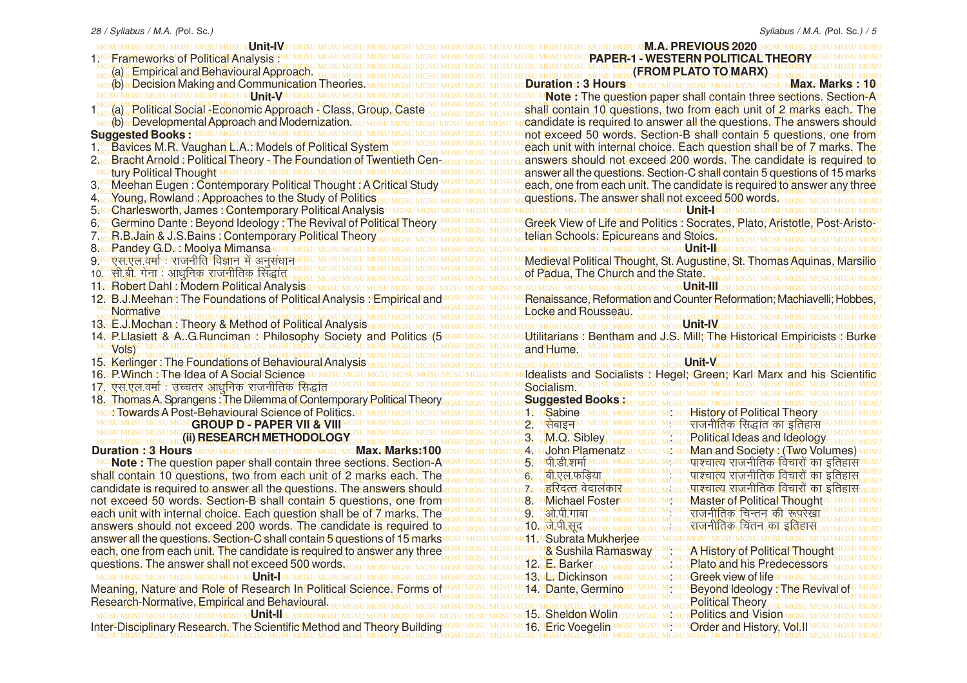MGSU MGSU MGSU MGSU MGSU MGSU MGSU MGSU MGSU MGSU MGSU MGSU MGSU MGSU MGSU MGSU MGSU MGSU MGSU MGSU MGSU MGSU MGSU MGSU MGSU MGSU MGSU MGSU MGSU MGSU MGSU MGSU **M.A. PREVIOUS 2020** MGSU MGSU MGSU MGSU MGSU MGSU MGSU MGSU MGSU MGSU MGSU MGSU MGSU MGSU MGSU MGSU MGSU MGSU MGSU MGSU MGSU MGSU MGSU MGSU MGSU MGSU MGSU MGSU MGSU MGSU MGSU MGSU **PAPER-1 - WESTERN POLITICAL THEOR Y** MGSU MGSU MGSU MGSU MGSU MGSU MGSU MGSU MGSU MGSU MGSU MGSU MGSU MGSU MGSU MGSU MGSU MGSU MGSU MGSU MGSU MGSU MGSU MGSU MGSU MGSU MGSU MGSU MGSU MGSU MGSU MGSU MGSU MGSU MGSU MGSU MGSU MGSU MGSU MGSU MGSU MGSU MGSU MGSU MGSU MGSU MGSU MGSU MGSU MGSU MGSU MGSU MGSU MGSU MGSU MGSU MGSU MGSU MGSU MGSU MGSU MGSU MGSU MGSU **(FROM PLATO TO MARX)** MG**:(b)4cDecision Making and Communication <del>Theo</del>ries: Mgsu Mgsu Mgsu Mgsu Mgsu Mgsu M<b>oluration : 13 Hours**su Mgsu Mgsu Mgsu Mgsu Mgsu Mgsu M**ax. Marks : Mfou** MGSU MGSU MGSU MGSU MGSU MGSU MGSU MGSU MGSU MGSU MGSU MGSU MGSU MGSU MGSU MGSU MGSU MGSU MGSU MGSU MGSU MGSU MGSU MGSU MGSU MGSU MGSU MGSU MGSU MGSU MGSU MGSU **Note :** The question paper shall contain three sections. Section-A MGSU MGSU MGSU MGSU MGSU MGSU MGSU MGSU MGSU MGSU MGSU MGSU MGSU MGSU MGSU MGSU MGSU MGSU MGSU MGSU MGSU MGSU MGSU MGSU MGSU MGSU MGSU MGSU MGSU MGSU MGSU MGSU <sub>MG</sub>(a), Political Social -Economic Approach - Class, Group, Caste su MGSU MGSU MGSU MS**hall contain 10 questions, two from each unit of 2 marks each. The** <u>MG</u>s(b)rcDevelopmental Approach and Modernization.su Mgsu Mgsu Mgsu Mgsu Mgsu Mgsu Mcandidate is required to answer all the questions. The answers should u MGSU MGSU MGSU MGSU MGSU MGSU MGSU MGSU MGSU MGSU MGSU MGSU MGSU MGSU MGSU MGSU MGSU MGSU MGSU MGSU MGSU MGSU MGSU MGSU MGSU MGSU MGSU MGSU MGSU MGSU MGSU MGSU not exceed 50 words. Section-B shall contain 5 questions, one from MGSU MGSU MGSU MGSU MGSU MGSU MGSU MGSU MGSU MGSU MGSU MGSU MGSU MGSU MGSU MGSU MGSU MGSU MGSU MGSU MGSU MGSU MGSU MGSU MGSU MGSU MGSU MGSU MGSU MGSU MGSU MGSU MGSU MGSU MGSU MGSU MGSU MGSU MGSU MGSU MGSU MGSU MGSU MGSU MGSU MGSU MGSU MGSU MGSU MGSU MGSU MGSU MGSU MGSU MGSU MGSU MGSU MGSU MGSU MGSU MGSU MGSU MGSU MGSU each unit with internal choice. Each question shall be of 7 marks. The <u>kro-Bracht Arnold : Political Theory -The Foundation of Twentieth Cen wesu Mesu Mesu Manswers should not-exceed, 200, words. The candidate is required to</u> MGSU MGSU MGSU MGSU MGSU MGSU MGSU MGSU MGSU MGSU MGSU MGSU MGSU MGSU MGSU MGSU MGSU MGSU MGSU MGSU MGSU MGSU MGSU MGSU MGSU MGSU MGSU MGSU MGSU MGSU MGSU MGSU answer all the questions. Section-C shall contain 5 questions of 15 marks Meehan Eugen: Contemporary Political Thought: A Critical Study MGSU MGSU MGSU MCach, one from each unit. The candidate is required to answer any three MGSU MGSU MGSU MGSU MGSU MGSU MGSU MGSU MGSU MGSU MGSU MGSU MGSU MGSU MGSU MGSU MGSU MGSU MGSU MGSU MGSU MGSU MGSU MGSU MGSU MGSU MGSU MGSU MGSU MGSU MGSU MGSU MGSU MGSU MGSU MGSU MGSU MGSU MGSU MGSU MGSU MGSU MGSU MGSU MGSU MGSU MGSU MGSU MGSU MGSU MGSU MGSU MGSU MGSU MGSU MGSU MGSU MGSU MGSU MGSU MGSU MGSU MGSU MGSU questions. The answer shall not exceed 500 words. MGSU MGSU MGSU MGSU MGSU MGSU MGSU MGSU MGSU MGSU MGSU MGSU MGSU MGSU MGSU MGSU MGSU MGSU MGSU MGSU MGSU MGSU MGSU MGSU MGSU MGSU MGSU MGSU MGSU MGSU MGSU MGSU 5. Charlesworth, James : Contemporary Political Analysis MC Germino Dante : Beyond Ideology : The Revival of Political Theory MGSU MGSU MGSU MGSU MGT Creek View of Life and Politics : Socrates, Plato, Aristotle, Post-Aristo-U MGSU MGSU MGSU MGSU MGSU MGSU MGSU MGSU MGSU MGSU MGSU MGSU MGSU MGSU MGSU MGSU MGSU MGSU MGSU MGSU MGSU MGSU MGSU MGSU MGSU MGSU MGSU MGSU MGSU MGSU MGSU MGSU MGSU MGSU MGSU MGSU MGSU MGSU MGSU MGSU MGSU MGSU MGSU MGSU MGSU MGSU MGSU MGSU MGSU MGSU MGSU MGSU MGSU MGSU MGSU MGSU MGSU MGSU MGSU MGSU MGSU MGSU MGSU MGSU 7. R.B.Jain & J.S.Bains : Contemporary Political Theory MGSU MGSU MGSU MGSU MGSU MGSU MGSU MGSU MGSU MGSU MGSU MGSU MGSU MGSU MGSU MGSU MGSU MGSU MGSU MGSU MGSU MGSU MGSU MGSU MGSU MGSU MGSU MGSU MGSU MGSU MGSU MGSU **Unit-II** MGSU MGSU MGSU MGSU MGSU MGSU MGSU MGSU MGSU MGSU MGSU MGSU MGSU MGSU MGSU MGSU MGSU MGSU MGSU MGSU MGSU MGSU MGSU MGSU MGSU MGSU MGSU MGSU MGSU MGSU MGSU MGSU Medieval Political Thought, St. Augustine, St. Thomas Aquinas, Marsilio MGSU MGSU MGSU MGSU MGSU MGSU MGSU MGSU MGSU MGSU MGSU MGSU MGSU MGSU MGSU MGSU MGSU MGSU MGSU MGSU MGSU MGSU MGSU MGSU MGSU MGSU MGSU MGSU MGSU MGSU MGSU MGSU MGSU MGSU MGSU MGSU MGSU MGSU MGSU MGSU MGSU MGSU MGSU MGSU MGSU MGSU MGSU MGSU MGSU MGSU MGSU MGSU MGSU MGSU MGSU MGSU MGSU MGSU MGSU MGSU MGSU MGSU MGSU MGSU 10- lh-ch- xsuk % vk/kqfud jktuhfrd fl)kar MGSU MGSU MGSU MGSU MGSU MGSU MGSU MGSU MGSU MGSU MGSU MGSU MGSU MGSU MGSU MGSU MGSU MGSU MGSU MGSU MGSU MGSU MGSU MGSU MGSU MGSU MGSU MGSU MGSU MGSU MGSU MGSU 11. Robert Dahl : Modern Political Analysis 29B.V.Meehan The Foundations of Political Analysis PEmpirical and MGSU MGSU MGSU MCRenaissance, Reformation and Counter Reformation; Machiavelli, Hobbes, U MGSU MGSU MGSU MGSU MGSU MGSU MGSU MGSU MGSU MGSU MGSU MGSU MGSU MGSU MGSU MGSU MGSU MGSU MGSU MGSU MGSU MGSU MGSU MGSU MGSU MGSU MGSU MGSU MGSU MGSU MGSU MGSU Locke and Rousseau. MGSU MGSU MGSU MGSU MGSU MGSU MGSU MGSU MGSU MGSU MGSU MGSU MGSU MGSU MGSU MGSU MGSU MGSU MGSU MGSU MGSU MGSU MGSU MGSU MGSU MGSU MGSU MGSU MGSU MGSU MGSU MGSU MGSU MGSU MGSU MGSU MGSU MGSU MGSU MGSU MGSU MGSU MGSU MGSU MGSU MGSU MGSU MGSU MGSU MGSU MGSU MGSU MGSU MGSU MGSU MGSU MGSU MGSU MGSU MGSU MGSU MGSU MGSU MGSU 13. E.J.Mochan : Theory & Method of Political Analysis 4়়P.Llasiettၭ&\A∴G.Runciman্ষPhilosophy/Society/ and Politics {5⁄¤s⊍ MGs∪ MGs∪ McUtilitarians / Bentham and U:S.∪Mill;াThe Historical Empiricists ⊡Burke∪ MGSU MGSU MGSU MGSU MGSU MGSU MGSU MGSU MGSU MGSU MGSU MGSU MGSU MGSU MGSU MGSU MGSU MGSU MGSU MGSU MGSU MGSU MGSU MGSU MGSU MGSU MGSU MGSU MGSU MGSU MGSU MGSU MGSU MGSU MGSU MGSU MGSU MGSU MGSU MGSU MGSU MGSU MGSU MGSU MGSU MGSU MGSU MGSU MGSU MGSU MGSU MGSU MGSU MGSU MGSU MGSU MGSU MGSU MGSU MGSU MGSU MGSU MGSU MGSU MGSU MGSU MGSU MGSU MGSU MGSU MGSU MGSU MGSU MGSU MGSU MGSU MGSU MGSU MGSU MGSU MGSU MGSU MGSU MGSU MGSU MGSU MGSU MGSU MGSU MGSU MGSU MGSU MGSU MGSU MGSU MGSU 15. Kerlinger : The Foundations of Behavioural Analysis 6േP.WinchୀThe Idea of A Social Sciences∪ MGS∪ MGS∪ MGS∪ MGS∪ MGS∪ MGS∪ MGS∪ Mddealists /and /Socialists ୍ୋHegel; /Green; Karl Marx ⊧and ˈhis \Scientific∪ MGSU MGSU MGSU MGSU MGSU MGSU MGSU MGSU MGSU MGSU MGSU MGSU MGSU MGSU MGSU MGSU MGSU MGSU MGSU MGSU MGSU MGSU MGSU MGSU MGSU MGSU MGSU MGSU MGSU MGSU MGSU MGSU 17. ,l-,y-oekZ % mPprj vk/kqfud jktuhfrd fl)kar MGSU MGSU MGSU MGSU MGSU MGSU MGSU MGSU MGSU MGSU MGSU MGSU MGSU MGSU MGSU MGSU MGSU MGSU MGSU MGSU MGSU MGSU MGSU MGSU MGSU MGSU MGSU MGSU MGSU MGSU MGSU MGSU MGSU MGSU MGSU MGSU MGSU MGSU MGSU MGSU MGSU MGSU MGSU MGSU MGSU MGSU MGSU MGSU MGSU MGSU MGSU MGSU MGSU MGSU MGSU MGSU MGSU MGSU MGSU MGSU MGSU MGSU MGSU MGSU 18. Thomas A. Sprangens : The Dilemma of Contemporary Political Theory MGSU MGSU MGSU MGSU MGSU MGSU MGSU MGSU MGSU MGSU MGSU MGSU MGSU MGSU MGSU MGSU MGSU MGSU MGSU MGSU MGSU MGSU MGSU MGSU MGSU MGSU MGSU MGSU MGSU MGSU MGSU MGSU : Towards A Post-Behavioural Science of Politics. MGSU MGSU MGSU**GROUP D - PAPER VII & VIII M**GSU MGSU MGSU MGSU MGSU MGSU MG**SU M<del>Q</del>बाइफ** SU MGSU MGSU MGSU NGSU <del>KIGI नीतिक 'सिद्धांत' का 'इतिहास</del> SU MGSU MGSU MGSU MGSU MGSU MGSU MGSU MGSU MGSU MGSU MGSU MGSU MGSU MGSU MGSU MGSU MGSU MGSU MGSU MGSU MGSU MGSU MGSU MGSU MGSU MGSU MGSU MGSU MGSU MGSU MGSU MGSU MGSU MGSU MGSU MGSU MGSU MGSU MGSU MGSU MGSU MGSU MGSU MGSU MGSU MGSU MGSU MGSU MGSU MGSU MGSU MGSU MGSU MGSU MGSU MGSU MGSU MGSU MGSU MGSU MGSU MGSU MGSU MGSU MGSU MGSU **(ii) RESEARCH METHODOLOGY** MGSU MGSU MGSU MGSU MGSU MGSU MGSU MGSU MGSU MGSU MGSU MGSU MGSU MGSU MGSU MGSU MGSU MGSU MGSU MGSU MGSU MGSU MGSU MGSU MGSU MGSU MGSU MGSU MGSU MGSU MGSU MGSU **Duration : 3 Hours Max. Marks:100** MGSU MGSU MGSU MGSU MGSU MGSU MGSU MGSU MGSU MGSU MGSU MGSU MGSU MGSU MGSU MGSU MGSU MGSU MGSU MGSU MGSU MGSU MGSU MGSU MGSU MGSU MGSU MGSU MGSU MGSU MGSU MGSU **Note :** The question paper shall contain three sections. Section-A MGSU MGSU MGSU MGSU MGSU MGSU MGSU MGSU MGSU MGSU MGSU MGSU MGSU MGSU MGSU MGSU MGSU MGSU MGSU MGSU MGSU MGSU MGSU MGSU MGSU MGSU MGSU MGSU MGSU MGSU MGSU MGSU MGSU MGSU MGSU MGSU MGSU MGSU MGSU MGSU MGSU MGSU MGSU MGSU MGSU MGSU MGSU MGSU MGSU MGSU MGSU MGSU MGSU MGSU MGSU MGSU MGSU MGSU MGSU MGSU MGSU MGSU MGSU MGSU shall contain 10 questions, two from each unit of 2 marks each. The candidate is required to answer all the questions. The answers should assumesy mesum कर का बात बेदालकार;su mesummerures राजनीतिक विचारों का इतिहास mesu not exceed 50 words!GSection-Bsshall contain 5 questions, one from issu Mosu Mosu M&D MMichael Fosterദsu Masu Master of Political Thoughtയ Masu Mosu Mosu each unit with internal choice. Each question shall be of 7 marks. The acsumesumesum 9. Mai fi full mesumesumesumesum and the pearl of survey west mesumesumesum MGSU MGSU MGSU MGSU MGSU MGSU MGSU MGSU MGSU MGSU MGSU MGSU MGSU MGSU MGSU MGSU MGSU MGSU MGSU MGSU MGSU MGSU MGSU MGSU MGSU MGSU MGSU MGSU MGSU MGSU MGSU MGSU answers should not exceed 200 words. The candidate is required stowesy Mesy Mesy MO World में सुद्ध Mesy Mesy Mesy Mesy Misy Misy Hild के विवन का इतिहास<sub>GSU</sub> Mesy Mesy Mesy MGSU MGSU MGSU MGSU MGSU MGSU MGSU MGSU MGSU MGSU MGSU MGSU MGSU MGSU MGSU MGSU MGSU MGSU MGSU MGSU MGSU MGSU MGSU MGSU MGSU MGSU MGSU MGSU MGSU MGSU MGSU MGSU answer all the questions. Section-C shall contain 5 questions of 15 marks MGSU MGSU MGSU MGSU MGSU MGSU MGSU MGSU MGSU MGSU MGSU MGSU MGSU MGSU MGSU MGSU MGSU MGSU MGSU MGSU MGSU MGSU MGSU MGSU MGSU MGSU MGSU MGSU MGSU MGSU MGSU MGSU each, one from each unit. The candidate is required to answer any three list in distinguished was under mas way when A History of Political Thought Masu Mesu Mesu Mesu Mesu New York California and Mesu Mesu Mesu Mesu Mesu MGSU MGSU MGSU MGSU MGSU MGSU MGSU MGSU MGSU MGSU MGSU MGSU MGSU MGSU MGSU MGSU MGSU MGSU MGSU MGSU MGSU MGSU MGSU MGSU MGSU MGSU MGSU MGSU MGSU MGSU MGSU MGSU questions. The answer shall not exceed 500 words. MGSU MGSU MGSU MGSU MGSU MGSU MGSU MGSU MGSU MGSU MGSU MGSU MGSU MGSU MGSU MGSU MGSU MGSU MGSU MGSU MGSU MGSU MGSU MGSU MGSU MGSU MGSU MGSU MGSU MGSU MGSU MGSU **Unit-I** MGSU MGSU MGSU MGSU MGSU MGSU MGSU MGSU MGSU MGSU MGSU MGSU MGSU MGSU MGSU MGSU MGSU MGSU MGSU MGSU MGSU MGSU MGSU MGSU MGSU MGSU MGSU MGSU MGSU MGSU MGSU MGSU Meaning, Nature and Role of Research In Political Science. Forms of MGSU MGSU MGSU MGSU MGSU MGSU MGSU MGSU MGSU MGSU MGSU MGSU MGSU MGSU MGSU MGSU MGSU MGSU MGSU MGSU MGSU MGSU MGSU MGSU MGSU MGSU MGSU MGSU MGSU MGSU MGSU MGSU MGSU MGSU MGSU MGSU MGSU MGSU MGSU MGSU MGSU MGSU MGSU MGSU MGSU MGSU MGSU MGSU MGSU MGSU MGSU MGSU MGSU MGSU MGSU MGSU MGSU MGSU MGSU MGSU MGSU MGSU MGSU MGSU Research-Normative, Empirical and Behavioural. MGSU MGSU MGSU MGSU MGSU MGSU MGSU MGSU MGSU MGSU MGSU MGSU MGSU MGSU MGSU MGSU MGSU MGSU MGSU MGSU MGSU MGSU MGSU MGSU MGSU MGSU MGSU MGSU MGSU MGSU MGSU MGSU **Unit-II** MGSU MGSU MGSU MGSU MGSU MGSU MGSU MGSU MGSU MGSU MGSU MGSU MGSU MGSU MGSU MGSU MGSU MGSU MGSU MGSU MGSU MGSU MGSU MGSU MGSU MGSU MGSU MGSU MGSU MGSU MGSU MGSU Inter-Disciplinary Research. The Scientific Method and Theory BuildingMGSU MGSU MGSU MGSU MGSU MGSU MGSU MGSU MGSU MGSU MGSU MGSU MGSU MGSU MGSU MGSU MGSU MGSU MGSU MGSU MGSU MGSU MGSU MGSU MGSU MGSU MGSU MGSU MGSU MGSU MGSU MGSU <u>SSU MGSU MGSU MGSU MGSU MGSU **UNIT-I**AGSU MGSU MGSU MGSU M</u> telian Schools: Epicureans and Stoics. of Padua, The Church and the State. **Unit-III Unit-IV** and Hume. **Unit-V** Socialism. **Suggested Books :** iku M**Sabine** u Mgsu Mgsu Mgsu M<mark>kistory of Political Theory</mark><br>२. Mसेबाइम SU Mgsu Mgsu Mgsu Mgsu स्त्रा नीतिक 'सिद्धांत' का 'इतिहास . 2. Metal fra UMGSU MGSU MGSU Nराजनीतिक 'सिद्धांत' का 'इतिहास<br>BU MOLO (GSU MGSU MGSU MGSU MGSU MGSU) NGC <mark>I Ideas and Ideolog</mark><br>.3. M.Q., Sibley <sub>UMGSU MGSU MGSU P</sub>Olitical Ideas and Ideolog Political Ideas and Ideology 4u M**John Plamenatz**su Mgsu Man and <mark>Societys: (Two Volumes)</mark> Mg<br>5.UMपी डी शर्मा MGSU MGSU MGSU Mgsu Mgरवास्य राजनीतिक विचारों का डतिहासMG **पाश्चात्य राजनीतिक विचारों का इतिहा**स su Mesumasu Mga Mga Mga Mga katalog ang katalog at ang katalog at ang katalog at ang katalog at ang katalog at  $\overline{\text{R}}$ हरिदत्त वेदालकार $_{\text{SUMSU}}$   $_{\text{MGSU}}$   $_{\text{MGSU}}$  पाश्चात्य राजनीतिक विचारों का इतिहास 8. M<mark>Michael Foster</mark> GSU MGSU Mg<mark>su Master of Political Thought</mark><br>9. Marth final Mgsu Mgsu Mgsu Mgsu राजनीतिक चिन्तन की रूपरेखा 9. <u>wai पी गांवा MGSU MGSU MGSU MGSU MG</u>SU MGSU MGGU MGGU MGGU MGGU MGGU TIRTIR को : रूपरेखा 10. . जो. मी. सूद्र Mosu Mosu Mosu Mosu MSSU Nराजनीतिक , त्रितन , का , इतिहास<br>11. MSubrata Mukheriee MGSU MGSU MGSU MGSU MGSU MGSU MGSU M **GN. Subrata Mukheriee** & Sushila Ramasway UMGSUMA History of Political Though 12. E. Barker SUMOSUMOSUMOSUMPlato and his Predecessors 13. L. Dickinson : Greek view of life 14. Dante, Germino<sup>su MGSU MGSU</sup> Beyond Ideology: The Revival Political Theory **15MSheldon Wolin** GSU MGSU MGSU N**Politics and Vision 16. Eric Voedelin MGSU MGSU MGSU NOrder and History, Vol.II** MGSU MGSU MGSU MGSU MGSU MGSU M**Jnit-IV** 1MGSFrameworks of Political Analysis GS (a) Empirical and Behavioural Approach. MG(b) to Decision Making and Communication Theories.<br>MGSU MGSU MGSU MGSU MGSU MUTHILAKU MGSU MGSU MGSU **MEINILAVSU** 1 (a) Political Social -Economic Approach - Class, Group, Caste (b) Developmental Approach and Modernization. SUMGSUMGSU **Suggested Books U MGSU MGSU MGSU MGSU MGSU MGSU MG** 1. Bavices M.R. Vaughan L.A.: Models of Political System 2. Bracht Arnold : Political Theory - The Foundation of Twentieth Century Political Thought 3. Meehan Eugen : Contemporary Political Thought : A Critical Study 4. Young, Rowland : Approaches to the Study of Politics 6<sup>MG</sup> Germino Dante : Beyond Ideology : The Revival of Political Theor 8MGRandey G.D. c. Moolya Mimansa GSUM 9. <u>पुरावरामा</u> एक विद्यालय के अनुसंधान 12. B.J. Meehan : The Foundations of Political Analysis . Empirical **Normative** 14. P.Llasiett & A..G.Runciman : Philosophy Society and Politics (5 Vols) 16GP WinchGThe Idea of A Social Science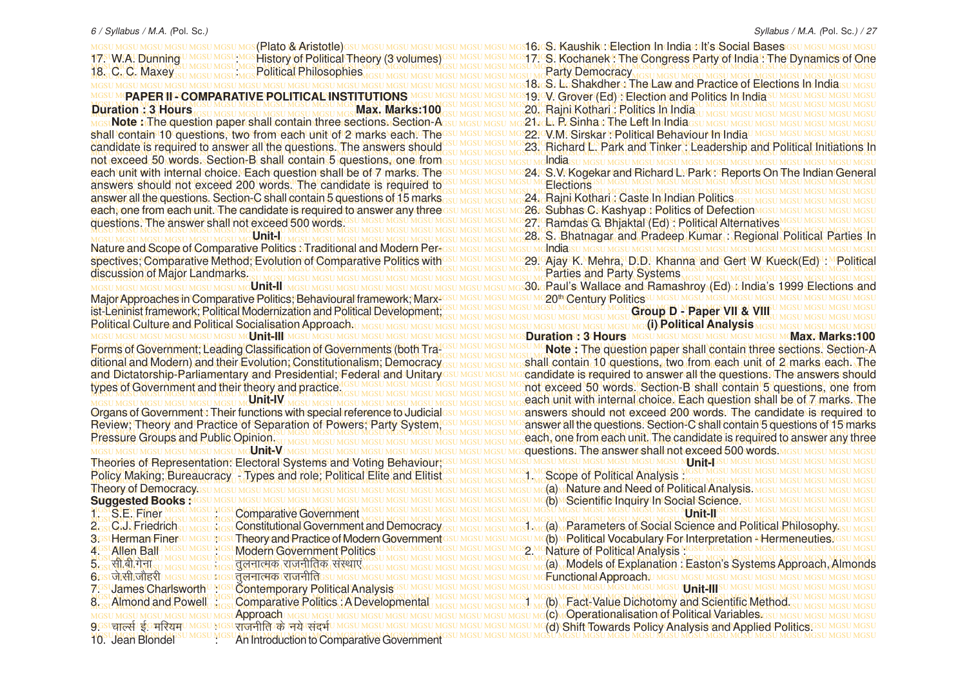MGSU MGSU MGSU MGSU MGSU <mark>MGS(Rlato &Aristotle)</mark>GSU MGSU MGSU MGSU MGSU MGSU MGS**I Kaushik** Ur**election Indindia:sdi's:Social Bases**igsu Mgsu Mgsu Mgsu 17. W.A. Dunning UMGSUMGSI, MGS History of Political Theory (3 volumes) GSUMGSUMGSUMGSI Kochanek: The Congress Party of India!: The Dynamics of One MGSU MGSU MGSU MGSU MGSU MGSU MGSU MGSU MGSU MGSU MGSU MGSU MGSU MGSU MGSU MGSU MGSU MGSU MGSU MGSU MGSU MGSU MGSU MGSU MGSU MGSU MGSU MGSU MGSU MGSU MGSU MGSU MGSU MGSU MGSU MGSU MGSU MGSU MGSU MGSU MGSU MGSU MGSU MGSU MGSU MGSU MGSU MGSU MGSU MGSU MGSU MGSU MGSU MGSU MGSU MGSU MGSU MGSU MGSU MGSU MGSU MGSU MGSU MGSU MGSU MGSU MGSU MGSU MGSU MGSU MGSU MGSU MGSU MGSU MGSU MGSU MGSU MGSU MGSU MGSU MGSU MGSU MGSU MGSU MGSU MGSU MGSU MGSU MGSU MGSU MGSU MGSU MGSU MGSU MGSU MGSU 18. S. L. Shakdher : The Law and Practice of Elections In India MGSU MGSU MGSU MGSU MGSU MGSU MGSU MGSU MGSU MGSU MGSU MGSU MGSU MGSU MGSU MGSU MGSU MGSU MGSU MGSU MGSU MGSU MGSU MGSU MGSU MGSU MGSU MGSU MGSU MGSU MGSU MGSU **PAPER II - COMPARATIVE POLITICAL INSTITUTIONS** MGSU MGSU MGSU MGSU MGSU MGSU MGSU MGSU MGSU MGSU MGSU MGSU MGSU MGSU MGSU MGSU MGSU MGSU MGSU MGSU MGSU MGSU MGSU MGSU MGSU MGSU MGSU MGSU MGSU MGSU MGSU MGSU MGSU MGSU MGSU MGSU MGSU MGSU MGSU MGSU MGSU MGSU MGSU MGSU MGSU MGSU MGSU MGSU MGSU MGSU MGSU MGSU MGSU MGSU MGSU MGSU MGSU MGSU MGSU MGSU MGSU MGSU MGSU MGSU 20. Rajni Kothari : Politics In India MGSU MGSU MGSU MGSU MGSU MGSU MGSU MGSU MGSU MGSU MGSU MGSU MGSU MGSU MGSU MGSU MGSU MGSU MGSU MGSU MGSU MGSU MGSU MGSU MGSU MGSU MGSU MGSU MGSU MGSU MGSU MGSU **Note :** The question paper shall contain three sections. Section-A MGSU MGSU MGSU MGSU MGSU MGSU MGSU MGSU MGSU MGSU MGSU MGSU MGSU MGSU MGSU MGSU MGSU MGSU MGSU MGSU MGSU MGSU MGSU MGSU MGSU MGSU MGSU MGSU MGSU MGSU MGSU MGSU shall contain 10 questions, two from each unit of 2 marks each. The MGSU MGSU MGSU MGSU MGSU MGSU MGSU MGSU MGSU MGSU MGSU MGSU MGSU MGSU MGSU MGSU MGSU MGSU MGSU MGSU MGSU MGSU MGSU MGSU MGSU MGSU MGSU MGSU MGSU MGSU MGSU MGSU candidate is required to answer all the questions. The answers should GSU MGSU MGSU MCSU MCSU MCSU MCSU MCCO. Park and Tinker : Leadership and Political Initiations In MGSU MGSU MGSU MGSU MGSU MGSU MGSU MGSU MGSU MGSU MGSU MGSU MGSU MGSU MGSU MGSU MGSU MGSU MGSU MGSU MGSU MGSU MGSU MGSU MGSU MGSU MGSU MGSU MGSU MGSU MGSU MGSU not exceed 50 words. Section-B shall contain 5 questions, one from each unit with internal choice.∿Each question shall be of Z marksৌheോ മദേധമാധമായ മാള4ുവ\$.W.Kogekar and Richard L. Park േReports On The Indian General MGSU MGSU MGSU MGSU MGSU MGSU MGSU MGSU MGSU MGSU MGSU MGSU MGSU MGSU MGSU MGSU MGSU MGSU MGSU MGSU MGSU MGSU MGSU MGSU MGSU MGSU MGSU MGSU MGSU MGSU MGSU MGSU answers should not exceed 200 words. The candidate is required to MGSU MGSU MGSU MGSU MGSU MGSU MGSU MGSU MGSU MGSU MGSU MGSU MGSU MGSU MGSU MGSU MGSU MGSU MGSU MGSU MGSU MGSU MGSU MGSU MGSU MGSU MGSU MGSU MGSU MGSU MGSU MGSU MGSU MGSU MGSU MGSU MGSU MGSU MGSU MGSU MGSU MGSU MGSU MGSU MGSU MGSU MGSU MGSU MGSU MGSU MGSU MGSU MGSU MGSU MGSU MGSU MGSU MGSU MGSU MGSU MGSU MGSU MGSU MGSU answer all the questions. Section-C shall contain 5 questions of 15 marks MGSU MGSU MGSU MGSU MGSU MGSU MGSU MGSU MGSU MGSU MGSU MGSU MGSU MGSU MGSU MGSU MGSU MGSU MGSU MGSU MGSU MGSU MGSU MGSU MGSU MGSU MGSU MGSU MGSU MGSU MGSU MGSU each, one from each unit. The candidate is required to answer any three MGSU MGSU MGSU MGSU MGSU MGSU MGSU MGSU MGSU MGSU MGSU MGSU MGSU MGSU MGSU MGSU MGSU MGSU MGSU MGSU MGSU MGSU MGSU MGSU MGSU MGSU MGSU MGSU MGSU MGSU MGSU MGSU questions. The answer shall not exceed 500 words. MGSU MGSU MGSU MGSU MGSU MGSU MGSU MGSU MGSU MGSU MGSU MGSU MGSU MGSU MGSU MGSU MGSU MGSU MGSU MGSU MGSU MGSU MGSU MGSU MGSU MGSU MGSU MGSU MGSU MGSU MGSU MGSU MGSU MGSU MGSU MGSU MGSU MGSU MGSU MGSU MGSU MGSU MGSU MGSU MGSU MGSU MGSU MGSU MGSU MGSU MGSU MGSU MGSU MGSU MGSU MGSU MGSU MGSU MGSU MGSU MGSU MGSU MGSU MGSU 28. S. Bhatnagar and Pradeep Kumar : Regional Political Parties In MGSU MGSU MGSU MGSU MGSU MGSU MGSU MGSU MGSU MGSU MGSU MGSU MGSU MGSU MGSU MGSU MGSU MGSU MGSU MGSU MGSU MGSU MGSU MGSU MGSU MGSU MGSU MGSU MGSU MGSU MGSU MGSU Nature and Scope of Comparative Politics : Traditional and Modern Perspectives, Comparative Method, Evolution of Comparative Politics with SUMGSU MGSU MGS29. Ajay K. Mehra, D.D. Khanna and Gert W Kueck(Ed) : MPolitical MGSU MGSU MGSU MGSU MGSU MGSU MGSU MGSU MGSU MGSU MGSU MGSU MGSU MGSU MGSU MGSU MGSU MGSU MGSU MGSU MGSU MGSU MGSU MGSU MGSU MGSU MGSU MGSU MGSU MGSU MGSU MGSU discussion of Major Landmarks. MGSU MGSU MGSU MGSU MGSU MGSU MGSU MGSU MGSU MGSU MGSU MGSU MGSU MGSU MGSU MGSU MGSU MGSU MGSU MGSU MGSU MGSU MGSU MGSU MGSU MGSU MGSU MGSU MGSU MGSU MGSU MGSU MGSU MGSU MGSU MGSU MGSU MGSU MGSU MGSU MGSU MGSU MGSU MGSU MGSU MGSU MGSU MGSU MGSU MGSU MGSU MGSU MGSU MGSU MGSU MGSU MGSU MGSU MGSU MGSU MGSU MGSU MGSU MGSU 30. Paul's Wallace and Ramashroy (Ed) : India's 1999 Elections and MGSU MGSU MGSU MGSU MGSU MGSU MGSU MGSU MGSU MGSU MGSU MGSU MGSU MGSU MGSU MGSU MGSU MGSU MGSU MGSU MGSU MGSU MGSU MGSU MGSU MGSU MGSU MGSU MGSU MGSU MGSU MGSU Major Approaches in Comparative Politics; Behavioural framework; Marx-MGSU MGSU MGSU MGSU MGSU MGSU MGSU MGSU MGSU MGSU MGSU MGSU MGSU MGSU MGSU MGSU MGSU MGSU MGSU MGSU MGSU MGSU MGSU MGSU MGSU MGSU MGSU MGSU MGSU MGSU MGSU MGSU ist-Leninist framework; Political Modernization and Political Development: We Messurges Music Music Music Music Music Paper VII & VIII whisp Music Music Music Music Music Music Music Music Music Music Music Music Music Mus MGSU MGSU MGSU MGSU MGSU MGSU MGSU MGSU MGSU MGSU MGSU MGSU MGSU MGSU MGSU MGSU MGSU MGSU MGSU MGSU MGSU MGSU MGSU MGSU MGSU MGSU MGSU MGSU MGSU MGSU MGSU MGSU Political Culture and Political Socialisation Approach. MGSU MGSU MGSU MGSU MGSU MGSU MGSU MGSU MGSU MGSU MGSU MGSU MGSU MGSU MGSU MGSU MGSU MGSU MGSU MGSU MGSU MGSU MGSU MGSU MGSU MGSU MGSU MGSU MGSU MGSU MGSU MGSU **Duration : 3 Hours Max. Marks:100** Forms of Government; Leading Classification of Governments (both Tra-GSU MGSU MGSU MGSU MCNote: The question paper shall contain three sections. Section-A MGSU MGSU MGSU MGSU MGSU MGSU MGSU MGSU MGSU MGSU MGSU MGSU MGSU MGSU MGSU MGSU MGSU MGSU MGSU MGSU MGSU MGSU MGSU MGSU MGSU MGSU MGSU MGSU MGSU MGSU MGSU MGSU ditional and Modern) and their Evolution; Constitutionalism; Democracy<sub>GSU MGSU MGSU MGS</sub>hall contain 10 questions, two from each unit of 2 marks each. The and Dictatorship-Parliamentary and Presidential; Federal and Unitary SU MGSU MGSU MG candidate is required to answer all the questions. The answers should types of Government and their theory and practice ISSUMSUMSUMSUMSUMSUMSUMSUMSUM Chot exceed 50 words. Section-B shall contain 5 questions, one from MGSU MGSU MGSU MGSU MGSU MGSU MGSU MGSU MGSU MGSU MGSU MGSU MGSU MGSU MGSU MGSU MGSU MGSU MGSU MGSU MGSU MGSU MGSU MGSU MGSU MGSU MGSU MGSU MGSU MGSU MGSU MGSU MGSU MGSU MGSU MGSU MGSU MGSU MGSU MGSU MGSU MGSU MGSU MGSU MGSU MGSU MGSU MGSU MGSU MGSU MGSU MGSU MGSU MGSU MGSU MGSU MGSU MGSU MGSU MGSU MGSU MGSU MGSU MGSU each unit with internal choice. Each question shall be of 7 marks. The Organs of Governments Their functions with special reference to Judicialesu Mesu Mesu Mesanswers: should inot lexceed: 200 words. The lcandidate is required: to Review; Theory and Practice of Separation of Powers; Party System, GSUMGSUMGSUMG answer all the questions. Section-C shall contain 5 questions of 15 marks MGSU MGSU MGSU MGSU MGSU MGSU MGSU MGSU MGSU MGSU MGSU MGSU MGSU MGSU MGSU MGSU MGSU MGSU MGSU MGSU MGSU MGSU MGSU MGSU MGSU MGSU MGSU MGSU MGSU MGSU MGSU MGSU MGSU MGSU MGSU MGSU MGSU MGSU MGSU MGSU MGSU MGSU MGSU MGSU MGSU MGSU MGSU MGSU MGSU MGSU MGSU MGSU MGSU MGSU MGSU MGSU MGSU MGSU MGSU MGSU MGSU MGSU MGSU MGSU each, one from each unit. The candidate is required to answer any three MGSU MGSU MGSU MGSU MGSU MGSU MGSU MGSU MGSU MGSU MGSU MGSU MGSU MGSU MGSU MGSU MGSU MGSU MGSU MGSU MGSU MGSU MGSU MGSU MGSU MGSU MGSU MGSU MGSU MGSU MGSU MGSU **Unit-V** MGSU MGSU MGSU MGSU MGSU MGSU MGSU MGSU MGSU MGSU MGSU MGSU MGSU MGSU MGSU MGSU MGSU MGSU MGSU MGSU MGSU MGSU MGSU MGSU MGSU MGSU MGSU MGSU MGSU MGSU MGSU MGSU Theories of Representation: Electoral Systems and Voting Behaviour; MGSU MGSU MGSU MGSU MGSU MGSU MGSU MGSU MGSU MGSU MGSU MGSU MGSU MGSU MGSU MGSU MGSU MGSU MGSU MGSU MGSU MGSU MGSU MGSU MGSU MGSU MGSU MGSU MGSU MGSU MGSU MGSU MGSU MGSU MGSU MGSU MGSU MGSU MGSU MGSU MGSU MGSU MGSU MGSU MGSU MGSU MGSU MGSU MGSU MGSU MGSU MGSU MGSU MGSU MGSU MGSU MGSU MGSU MGSU MGSU MGSU MGSU MGSU MGSU Policy Making; Bureaucracy - Types and role; Political Elite and Elitist MGSU MGSU MGSU MGSU MGSU MGSU MGSU MGSU MGSU MGSU MGSU MGSU MGSU MGSU MGSU MGSU MGSU MGSU MGSU MGSU MGSU MGSU MGSU MGSU MGSU MGSU MGSU MGSU MGSU MGSU MGSU MGSU (a) Nature and Need of Political Analysis. MGSU MGSU MGSU MGSU MGSU MGSU MGSU MGSU MGSU MGSU MGSU MGSU MGSU MGSU MGSU MGSU MGSU MGSU MGSU MGSU MGSU MGSU MGSU MGSU MGSU MGSU MGSU MGSU MGSU MGSU MGSU MGSU (b) Scientific Inquiry In Social Science. MGSU MGSU MGSU MGSU MGSU MGSU MGSU MGSU MGSU MGSU MGSU MGSU MGSU MGSU MGSU MGSU MGSU MGSU MGSU MGSU MGSU MGSU MGSU MGSU MGSU MGSU MGSU MGSU MGSU MGSU MGSU MGSU 1. S.E. Finer : Comparative Government MGSU MGSU MGSU MGSU MGSU MGSU MGSU MGSU MGSU MGSU MGSU MGSU MGSU MGSU MGSU MGSU MGSU MGSU MGSU MGSU MGSU MGSU MGSU MGSU MGSU MGSU MGSU MGSU MGSU MGSU MGSU MGSU  $2$ <sub>OSL</sub>G.J. Friedrich<sub>su MGSU MGSL</sub> Constitutional Government and Democracy<sub>GSU MGSU MGSU MGSU MG</sub>(a) <sub>M</sub>Parameters of Social Science and Political Philosophy.<sub>SU MGSU</sub> 3GsU Herman Finersu MGsu Mgsu **Theory and Practice of Modern Government** Gsu Mgsu Mgsu Mgsu Mg**(b) MPolitical Vocabulary For Interpretation - Hermeneuties.** Gsu Mgsu MGSU MGSU MGSU MGSU MGSU MGSU MGSU MGSU MGSU MGSU MGSU MGSU MGSU MGSU MGSU MGSU MGSU MGSU MGSU MGSU MGSU MGSU MGSU MGSU MGSU MGSU MGSU MGSU MGSU MGSU MGSU MGSU 2. Nature of Political Analysis : MGSU MGSU MGSU MGSU MGSU MGSU MGSU MGSU MGSU MGSU MGSU MGSU MGSU MGSU MGSU MGSU MGSU MGSU MGSU MGSU MGSU MGSU MGSU MGSU MGSU MGSU MGSU MGSU MGSU MGSU MGSU MGSU 5<sub>GSI</sub> सी.बी.गंजा <sub>SU MGSU MGSU MGSI <del>पुलचात्मक राजनीतिक सरथाप Mgsu Mgsu Mgsu Mgsu Mgsu Mgsu Mgau Mgau Mgau Mgau **Mga Bystems Approach, Almonds**</sub></del> MGSU MGSU MGSU MGSU MGSU MGSU MGSU MGSU MGSU MGSU MGSU MGSU MGSU MGSU MGSU MGSU MGSU MGSU MGSU MGSU MGSU MGSU MGSU MGSU MGSU MGSU MGSU MGSU MGSU MGSU MGSU MGSU MGSU MGSU MGSU MGSU MGSU MGSU MGSU MGSU MGSU MGSU MGSU MGSU MGSU MGSU MGSU MGSU MGSU MGSU MGSU MGSU MGSU MGSU MGSU MGSU MGSU MGSU MGSU MGSU MGSU MGSU MGSU MGSU 7. James Charlsworth : Contemporary Political Analysis MGSU MGSU MGSU MGSU MGSU MGSU MGSU MGSU MGSU MGSU MGSU MGSU MGSU MGSU MGSU MGSU MGSU MGSU MGSU MGSU MGSU MGSU MGSU MGSU MGSU MGSU MGSU MGSU MGSU MGSU MGSU MGSU MGSU MGSU MGSU MGSU MGSU MGSU MGSU MGSU MGSU MGSU MGSU MGSU MGSU MGSU MGSU MGSU MGSU MGSU MGSU MGSU MGSU MGSU MGSU MGSU MGSU MGSU MGSU MGSU MGSU MGSU MGSU MGSU 1 (b) Fact-Value Dichotomy and Scientific Method. MGSU MGSU MGSU MGSU MGSU MGSU MGSU MGSU MGSU MGSU MGSU MGSU MGSU MGSU MGSU MGSU MGSU MGSU MGSU MGSU MGSU MGSU MGSU MGSU MGSU MGSU MGSU MGSU MGSU MGSU MGSU MGSU (c) Operationalisation of Political Variables. MGSU MGSU MGSU MGSU MGSU MGSU MGSU MGSU MGSU MGSU MGSU MGSU MGSU MGSU MGSU MGSU MGSU MGSU MGSU MGSU MGSU MGSU MGSU MGSU MGSU MGSU MGSU MGSU MGSU MGSU MGSU MGSU (d) Shift Towards Policy Analysis and Applied Politics.**S (Plato & Aristotle)** GSU MGSU MGSU MGSU 17. W.A. DURhing **History of Political Theory (3 volume** 18. C. C. Maxey : Political Philosophies **Duration : 3 Hours** Counterwork May May May May Marks:100 candidate is required to answer all the questions. The answers should **Unit-I** spectives; Comparative Method; Evolution of Comparative Politics with **Unit-II** MGSU MGSU MGSU MGSU MGSU MGSU MQSI**MI CHU** MGSU MGSU MGSU MGSU and Dictatorship-Parliamentary and Presidential; Federal and Unitary types of Government and their theory and practice. **Unit-IV** Organs of Government: Their functions with special reference to Judicial Review; Theory and Practice of Separation of Powers; Party System, Pressure Groups and Public Opinion. Theory of Democracy. **Suggested Books :** 2. C.J. Friedrich sumes units: Constitutional Government and Democracy<br>3. Substitutional School Mess Mess Theory and Practice of Modern Government 3. Herman Finersu MGSU MGSUTheory and Practice of Modern Governmen<br>3. Allen Baju MGSU MGSU MGSUMOdern Government Politics U MGSU MGSU 4. Allen Ball MGSU MGSU MGSU Modern Government Politics  $5.$   $\frac{1}{3}$ ,  $\frac{1}{3}$ ,  $\frac{1}{10}$ ,  $\frac{1}{10}$ ,  $\frac{1}{10}$ ,  $\frac{1}{10}$ ,  $\frac{1}{10}$ ,  $\frac{1}{10}$ ,  $\frac{1}{10}$ ,  $\frac{1}{10}$ ,  $\frac{1}{10}$ ,  $\frac{1}{10}$ ,  $\frac{1}{10}$ ,  $\frac{1}{10}$ ,  $\frac{1}{10}$ ,  $\frac{1}{10}$ ,  $\frac{1}{10}$ ,  $\frac{1}{10}$ , **6GSUजोसी जोहरी** MGSU MGS 8. Almond and Powell **Broad Comparative Politics : A Developmental Approach** MGSU MGSU MGSU MGSU MO 9GSUar क्यों में उमरियम UMGSU MGSUराजनीति के निये सदर्भ

MGSU MGSU MGSU MGSU MGSU MGSU MGSU MGSU MGSU MGSU MGSU MGSU MGSU MGSU MGSU MGSU MGSU MGSU MGSU MGSU MGSU MGSU MGSU MGSU MGSU MGSU MGSU MGSU MGSU MGSU MGSU MGSU 10. Jean Blondel : An Introduction to Comparative Government Party Democracy 19. V. Grover (Ed) : Election and Politics In India 21. ck. P. Sinha : The Left In India su 22. V.M. Sirskar : Political Behaviour In India India 24. S.V. Kogekar and Richard L. Park : Reports On The Indian General **Elections** 24. Rajni Kothari : Caste In Indian Politics **26. Subhas C. Kashyap: Politics of Defection** 27. Ramdas G. Bhjaktal (Ed) : Political Alternatives India Parties and Party Systems 20<sup>th</sup> Century Politics<sup>su MGSU</sup> MGSU MGSU MGSU MGSU MGSU **Group D - Paper VII & VIII (i) Political Analysis Note :** The question paper shall contain three sections. Section-A shall contain 10 questions, two from each unit of 2 marks each. The questions. The answer shall not exceed 500 words. U MGSU MGSU MGSU MGSU MGSU M**JAI M**G **Scope of Political Analysis: Unit-II Functional Approach. LUMITALIST**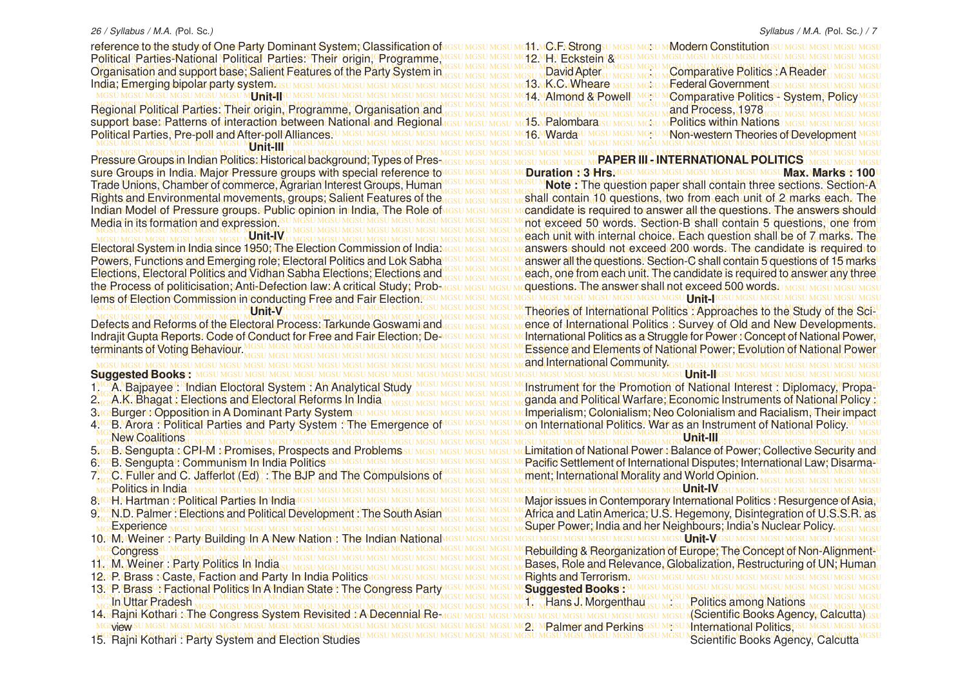reference to the study of One Party Dominant System; Classification of assumes umest most most most massumes um Modern Constitution sumes umes um sumes um MGSU MGSU MGSU MGSU MGSU MGSU MGSU MGSU MGSU MGSU MGSU MGSU MGSU MGSU MGSU MGSU MGSU MGSU MGSU MGSU MGSU MGSU MGSU MGSU MGSU MGSU MGSU MGSU MGSU MGSU MGSU MGSU Political Parties-National Political Parties: Their origin, Programme, MGSU MGSU MGSU MGSU MGSU MGSU MGSU MGSU MGSU MGSU MGSU MGSU MGSU MGSU MGSU MGSU MGSU MGSU MGSU MGSU MGSU MGSU MGSU MGSU MGSU MGSU MGSU MGSU MGSU MGSU MGSU MGSU Organisation and support base; Salient Features of the Party System in got MGSU MGSU MGSU MOSU MORD Pavid Apter<sub>su</sub> MGSU MGSU MGSU MGSU MGGU **Comparative Politics : A Reader**u Mgsu Mgsu MGSU MGSU MGSU MGSU MGSU MGSU MGSU MGSU MGSU MGSU MGSU MGSU MGSU MGSU MGSU MGSU MGSU MGSU MGSU MGSU MGSU MGSU MGSU MGSU MGSU MGSU MGSU MGSU MGSU MGSU MGSU MGSU India; Emerging bipolar party system. MGSU MGSU MGSU MGSU MGSU MGSU MGSU MGSU MGSU MGSU MGSU MGSU MGSU MGSU MGSU MGSU MGSU MGSU MGSU MGSU MGSU MGSU MGSU MGSU MGSU MGSU MGSU MGSU MGSU MGSU MGSU MGSU 14. Almond & Powell : Comparative Politics - System, Policy MGSU MGSU MGSU MGSU MGSU MGSU MGSU MGSU MGSU MGSU MGSU MGSU MGSU MGSU MGSU MGSU MGSU MGSU MGSU MGSU MGSU MGSU MGSU MGSU MGSU MGSU MGSU MGSU MGSU MGSU MGSU MGSU MGSU MGSU MGSU MGSU MGSU MGSU MGSU MGSU MGSU MGSU MGSU MGSU MGSU MGSU MGSU MGSU MGSU MGSU MGSU MGSU MGSU MGSU MGSU MGSU MGSU MGSU MGSU MGSU MGSU MGSU MGSU MGSU Regional Political Parties: Their origin, Programme, Organisation and **Unit-II**

support-base: Patterns of interaction between National and Regional கைய മദ്ധേ മദ്ധേ പിടി സിന്ദിമായ മദ്ധേ പങ്കിൽ അവസ്ഥാന മുഖ്**പാല് മദ്ധേ മദ്ധേ മദ്ധേ മദ്ധേ മദ്ധേ മദ്ധ**േ മദ്ധേ മദ്ധേ മദ്ധേ മദ്ധേ മദ്ധേ മദ്ധേ മദ്ധേ മദ്ധേ മദ്ധേ Political Parties, Pre-poll and After-poll Alliances<sup>su Mgsu Mgsu Mgsu Mgsu Mgsu Mgt</sup> Mgtada<sup>gu</sup> Mgsu Mgsu Mgn-western Theories of Development Mgsu MGSU MGSU MGSU MGSU MGSU MGSU MGSU MGSU MGSU MGSU MGSU MGSU MGSU MGSU MGSU MGSU MGSU MGSU MGSU MGSU MGSU MGSU MGSU MGSU MGSU MGSU MGSU MGSU MGSU MGSU MGSU MGSU MGSU MGSU MGSU MGSU MGSU MGSU MGSU MGSU MGSU MGSU MGSU MGSU MGSU MGSU MGSU MGSU MGSU MGSU MGSU MGSU MGSU MGSU MGSU MGSU MGSU MGSU MGSU MGSU MGSU MGSU MGSU MGSU **Unit-III**

Pressure Groups in Indian Politics: Historical background; Types of Pres <sub>MGSU MGSU MGSU MGSU MGSU MGSU M</sub>RAPER III., INTERNATIONAL POLITICS, MGSU MGSU MGSU MGSU MGSU ARSU ARSU ARSU MGSU MGSU ARSU ARSU MGSU MGSU MGSU ARSU ure Groups in India. Maior Pressure groups with special referencestovesu mesu mesu me**Duration : 3 Hrs.** Mesu mesu mesu mesu mesu mesu **Max. Marks : 100** u sure Groups in India. Major Pressure groups with special reference to Rights and Environmental movements, groups; Salient Features of the Indian Model of Pressure groups. Public opinion in India, The Role of Media in its formation and expression.

#### **Unit-IV**

MGSU MGSU MGSU MGSU MGSU MGSU MGSU MGSU MGSU MGSU MGSU MGSU MGSU MGSU MGSU MGSU MGSU MGSU MGSU MGSU MGSU MGSU MGSU MGSU MGSU MGSU MGSU MGSU MGSU MGSU MGSU MGSU lems of Election Commission in conducting Free and Fair Election. Electoral System in India since 1950; The Election Commission of India: Powers, Functions and Emerging role; Electoral Politics and Lok Sabha the Process of politicisation; Anti-Defection law: A critical Study; Prob-**Unit-V**

Defects and Reforms of the Electoral Process: Tarkunde Goswami and Indrajit Gupta Reports. Code of Conduct for Free and Fair Election; Determinants of Voting Behaviour.

#### MGSU MGSU MGSU MGSU MGSU MGSU MGSU MGSU MGSU MGSU MGSU MGSU MGSU MGSU MGSU MGSU MGSU MGSU MGSU MGSU MGSU MGSU MGSU MGSU MGSU MGSU MGSU MGSU MGSU MGSU MGSU MGSU **Unit-II Suggested Books<sup>U MGSU MG</sub>**</sup>

- 1. A. Bajpayee : Indian Eloctoral System : An Analytical Study
- 2. A.K. Bhagat : Elections and Electoral Reforms In India
- 3**MG**:Burger & Opposition in A Dominant Party System
- 4<sup>MG</sup>B. Arora : Political Parties and Party System : The Emergence of IGSU MGSU MGSU MOn International Politics. War as an Instrument of National Policy. U MGSU New Coalitions
- 5. B. Sengupta : CPI-M : Promises, Prospects and Problems 6MGB. Sengupta GOMMUNISM In India Politics SUM GSU MGSU
- 
- MGSU MGSU MGSU MGSU MGSU MGSU MGSU MGSU MGSU MGSU MGSU MGSU MGSU MGSU MGSU MGSU MGSU MGSU MGSU MGSU MGSU MGSU MGSU MGSU MGSU MGSU MGSU MGSU MGSU MGSU MGSU MGSU **Unit-IV** Politics in India ungsu MGSU MGSU MGSU MGSU MGSU MGSU
- 8MGH MHartman MPolitical Parties In India GSU MGSU M
- 9. N.D. Palmer : Elections and Political Development : The South Asian **Experience**
- 10GMMWeiner : Party Building In A New Nations The Indian National **Congress**
- 11. M. Weiner : Party Politics In India
- 
- MGSU MGSU MGSU MGSU MGSU MGSU MGSU MGSU MGSU MGSU MGSU MGSU MGSU MGSU MGSU MGSU MGSU MGSU MGSU MGSU MGSU MGSU MGSU MGSU MGSU MGSU MGSU MGSU MGSU MGSU MGSU MGSU 13. P. Brass : Factional Politics In A Indian State : The Congress Party MGSU MGSU MGSU MGSU MGSU MGSU MGSU MGSU MGSU MGSU MGSU MGSU MGSU MGSU MGSU MGSU MGSU MGSU MGSU MGSU MGSU MGSU MGSU MGSU MGSU MGSU MGSU MGSU MGSU MGSU MGSU MGSU
- MGSU MGSU MGSU MGSU MGSU MGSU MGSU MGSU MGSU MGSU MGSU MGSU MGSU MGSU MGSU MGSU MGSU MGSU MGSU MGSU MGSU MGSU MGSU MGSU MGSU MGSU MGSU MGSU MGSU MGSU MGSU MGSU In Uttar Pradesh
- MGSU MGSU MGSU MGSU MGSU MGSU MGSU MGSU MGSU MGSU MGSU MGSU MGSU MGSU MGSU MGSU MGSU MGSU MGSU MGSU MGSU MGSU MGSU MGSU MGSU MGSU MGSU MGSU MGSU MGSU MGSU MGSU view
- MGSU MGSU MGSU MGSU MGSU MGSU MGSU MGSU MGSU MGSU MGSU MGSU MGSU MGSU MGSU MGSU MGSU MGSU MGSU MGSU MGSU MGSU MGSU MGSU MGSU MGSU MGSU MGSU MGSU MGSU MGSU MGSU 15. Rajni Kothari : Party System and Election Studies

11. C.F. Strong : Modern Constitution 12. H. Eckstein & David Apter *MGSUMGSUM* Comparative Politics . A Reader **13. MK: CMWheare MGSU MGSU MGederal Government** SU MGSU MGSI and Process, 1978 15. Palombara: **EUT MGSU MGSU MPolitics within Nations** 16. MWarda U MGSU MGSU MCNOM-Western Theories of Development

## **PAPER III - INTERNATIONAL POLITICS**

Trade Unions, Chamber of commerce, Agrarian Interest Groups, Human IGSU MGSU MGSU MOte: The question paper shall contain three sections. Section-A MGSU MGSU MGSU MGSU MGSU MGSU MGSU MGSU MGSU MGSU MGSU MGSU MGSU MGSU MGSU MGSU MGSU MGSU MGSU MGSU MGSU MGSU MGSU MGSU MGSU MGSU MGSU MGSU MGSU MGSU MGSU MGSU <u>lights and Environmental movements, groups; Salient Features of the assumes unishall contain, 10 questions, two from each unit of 2 marks each. The </u> ndian Model of Pressure groups. Public opinion in India, The Role of പ്രാധ പരാധ പരാധ പരാപ്രി at equired to answer all the questions. The answers should Media in its formation and expression. Subsequently assumes that was the second that was the second 50 words. Section-B shall contain 5 questions, one from MGSU MGSU MGSU MGSU MGSU MGSU MGSU MGSU MGSU MGSU MGSU MGSU MGSU MGSU MGSU MGSU MGSU MGSU MGSU MGSU MGSU MGSU MGSU MGSU MGSU MGSU MGSU MGSU MGSU MGSU MGSU MGSU MGSU MGSU MGSU MGSU MGSU MGSU MGSU MGSU MGSU MGSU MGSU MGSU MGSU MGSU MGSU MGSU MGSU MGSU MGSU MGSU MGSU MGSU MGSU MGSU MGSU MGSU MGSU MGSU MGSU MGSU MGSU MGSU each unit with internal choice. Each question shall be of 7 marks. The llectoral System in India since 1950; The Election Commission of India <u>MGSU MGSU MGSU M</u>ABION Manswers Ishould Inot sexceed 200 I**words. The candidate is required to**u Powers, Functions and Emerging role; Electoral Politics and Lok Sabha<sup>MGSU MGSU MGSU M</sup>answer all the questions. Section-C shall contain 5 questions of 15 marks<sup>u</sup> Elections, Electoral Politics and Vidhan Sabha Elections; Elections and *ICSU MGSU MGSU MGSU MGSU MGSU MGSU MG* 2006 from each unit. The candidate is required to answer any three  $\frac{1}{2}$ lections, Electoral Politics and Vidhan Sabha Elections; Elections and use Masu Masu Meach, one from each unit. The candidate is required to answer any three. MGSU MGSU MGSU MGSU MGSU MGSU MGSU MGSU MGSU MGSU MGSU MGSU MGSU MGSU MGSU MGSU MGSU MGSU MGSU MGSU MGSU MGSU MGSU MGSU MGSU MGSU MGSU MGSU MGSU MGSU MGSU MGSU questions. The answer shall not exceed 500 words. **Note :** The question paper shall contain three sections. Section-A .<br>SU MGSU MGSU MGSU MGSU MGSU MGSU M**GATLI** IGSU MGSU MGSU MGSU

MGSU MGSU MGSU MGSU MGSU MGSU MGSU MGSU MGSU MGSU MGSU MGSU MGSU MGSU MGSU MGSU MGSU MGSU MGSU MGSU MGSU MGSU MGSU MGSU MGSU MGSU MGSU MGSU MGSU MGSU MGSU MGSU MGSU MGSU MGSU MGSU MGSU MGSU MGSU MGSU MGSU MGSU MGSU MGSU MGSU MGSU MGSU MGSU MGSU MGSU MGSU MGSU MGSU MGSU MGSU MGSU MGSU MGSU MGSU MGSU MGSU MGSU MGSU MGSU Theories of International Politics : Approaches to the Study of the Scilefects and Reforms of the Electoral Process: Tarkunde Goswami and desu Mesu Mesu Mence of International Politics : Survey of Old and New Developments u ndrajit Gupta Reports. Code of Conduct for Free and Fair Election, De MGSU MGSU MGSU MU**nternational Politics as a Struggle for Power : Concept of National Power, U** MGSU MGSU MGSU MGSU MGSU MGSU MGSU MGSU MGSU MGSU MGSU MGSU MGSU MGSU MGSU MGSU MGSU MGSU MGSU MGSU MGSU MGSU MGSU MGSU MGSU MGSU MGSU MGSU MGSU MGSU MGSU MGSU MGSU MGSU MGSU MGSU MGSU MGSU MGSU MGSU MGSU MGSU MGSU MGSU MGSU MGSU MGSU MGSU MGSU MGSU MGSU MGSU MGSU MGSU MGSU MGSU MGSU MGSU MGSU MGSU MGSU MGSU MGSU MGSU Essence and Elements of National Power; Evolution of National Power and International Community.

MGA. Bajpayee Sindian Eloctoral System : An Analytical Study MGSUMGSUMGSUMGLUM (Instrument for the Promotion of National Interest : Diplomacy, Propa<sup>10</sup> MGSU MGSU MGSU MGSU MGSU MGSU MGSU MGSU MGSU MGSU MGSU MGSU MGSU MGSU MGSU MGSU MGSU MGSU MGSU MGSU MGSU MGSU MGSU MGSU MGSU MGSU MGSU MGSU MGSU MGSU MGSU MGSU  $\mathcal{L}_{\rm tot}$ A.K. Bhagat : Elections and Electoral Reforms In India $_{\rm U}$  Masu Masu Masu Masu Masu Masu Maganda and Political Warfare; Economic Instruments of National Policy  $\mathcal{L}_{\rm tot}$ <u>Mo:BurgerM</u>Opposition in A Dominant:Party System:su Mosu Mosu Mosu Mosu Mosu Mosu Mc**Imperialism; Colonialism; Neo Colonialism and Racialism, Their impact**u MGSU MGSU MGSU MGSU MGSU MGSU MGSU MGSU MGSU MGSU MGSU MGSU MGSU MGSU MGSU MGSU MGSU MGSU MGSU MGSU MGSU MGSU MGSU MGSU MGSU MGSU MGSU MGSU MGSU MGSU MGSU MGSU on International Politics. War as an Instrument of National Policy.

#### MGSU MGSU MGSU MGSU MGSU MGSU MGSU MGSU MGSU MGSU MGSU MGSU MGSU MGSU MGSU MGSU MGSU MGSU MGSU MGSU MGSU MGSU MGSU MGSU MGSU MGSU MGSU MGSU MGSU MGSU MGSU MGSU <u>മര</u>BaSenguptar.CRI-MaPromises, Brospects and Problems sumesumesumesumest matemitation of National Power Balance of Power; Collective Security and u MGB. Sengupta : Communism In India Politics isu MGSU MGSU MGSU MGSU MGSU MGSU MGSU MC**Pacific Settlement of International Disputes; International Law; Disarma<sup>ru</sup>** MGSU MGSU MGSU MGSU MGSU MGSU MGSU MGSU MGSU MGSU MGSU MGSU MGSU MGSU MGSU MGSU MGSU MGSU MGSU MGSU MGSU MGSU MGSU MGSU MGSU MGSU MGSU MGSU MGSU MGSU MGSU MGSU MGSU MGSU MGSU MGSU MGSU MGSU MGSU MGSU MGSU MGSU MGSU MGSU MGSU MGSU MGSU MGSU MGSU MGSU MGSU MGSU MGSU MGSU MGSU MGSU MGSU MGSU MGSU MGSU MGSU MGSU MGSU MGSU 7. C. Fuller and C. Jafferlot (Ed) : The BJP and The Compulsions of **Unit-III** ment; International Morality and World Opinion.

MGSU MGSU MGSU MGSU MGSU MGSU MGSU MGSU MGSU MGSU MGSU MGSU MGSU MGSU MGSU MGSU MGSU MGSU MGSU MGSU MGSU MGSU MGSU MGSU MGSU MGSU MGSU MGSU MGSU MGSU MGSU MGSU Major issues in Contemporary International Politics : Resurgence of Asia, MGN.D. Palmer: Elections and Political Development: The South Asian MGSU MGSU MGSU MGA frica and Latin America; U.S. Hegemony, Disintegration of U.S.S.R. as MGSU MGSU MGSU MGSU MGSU MGSU MGSU MGSU MGSU MGSU MGSU MGSU MGSU MGSU MGSU MGSU MGSU MGSU MGSU MGSU MGSU MGSU MGSU MGSU MGSU MGSU MGSU MGSU MGSU MGSU MGSU MGSU mgsExperience <sub>MGSU MGSU MGSU MGSU MGSU MGSU MGSU Mgsu Mgsu Mgsu Mgsu Mgsu mg<mark>Super;Power; India and her Neighbours; India's Nuclear Policy.</mark> <sub>Mgsu Mgsu Mgsu</sub></sub> MGSU MGSU MGSU MGSU MGSU MGSU MGSU MGSU MGSU MGSU MGSU MGSU MGSU MGSU MGSU MGSU MGSU MGSU MGSU MGSU MGSU MGSU MGSU MGSU MGSU MGSU MGSU MGSU MGSU MGSU MGSU MGSU **Unit-V** MGSU MGSU MGSU MGSU MGSU MGSU MGSU MGSU MGSU MGSU MGSU MGSU MGSU MGSU MGSU MGSU MGSU MGSU MGSU MGSU MGSU MGSU MGSU MGSU MGSU MGSU MGSU MGSU MGSU MGSU MGSU MGSU Rebuilding & Reorganization of Europe; The Concept of Non-Alignment-MGSU MGSU MGSU MGSU MGSU MGSU MGSU MGSU MGSU MGSU MGSU MGSU MGSU MGSU MGSU MGSU MGSU MGSU MGSU MGSU MGSU MGSU MGSU MGSU MGSU MGSU MGSU MGSU MGSU MGSU MGSU MGSU 1. M. Weiner, Party Politics In India su mosul mosul mosul mosul mosul mosul mosul mosul mosul mosul mosul mosul mosul mosul mosul mosul mosul mosul mosul mosul mosul mosul mosul mosul mosul mosul mosul mosul mosul mosul m MGSU MGSU MGSU MGSU MGSU MGSU MGSU MGSU MGSU MGSU MGSU MGSU MGSU MGSU MGSU MGSU MGSU MGSU MGSU MGSU MGSU MGSU MGSU MGSU MGSU MGSU MGSU MGSU MGSU MGSU MGSU MGSU 12. P. Brass : Caste, Faction and Party In India Politics Rights and Terrorism. **Suggested Books :**

# 1. Hans J. Morgenthau <sub>ssu</sub> Mesu Apolitics among Nations<br>Ssu Mesu Mesu Mesu Mesu Mesu Mesu **NScientific Books Agen**d

MGSU MGSU MGSU MGSU MGSU MGSU MGSU MGSU MGSU MGSU MGSU MGSU MGSU MGSU MGSU MGSU MGSU MGSU MGSU MGSU MGSU MGSU MGSU MGSU MGSU MGSU MGSU MGSU MGSU MGSU MGSU MGSU 14. Rajni Kothari : The Congress System Revisited : A Decennial Re-(Scientific Books Agency, Calcutta) <sup>1</sup> Palmer and Perkins GSU MGSU Maternational Politics<sup>G</sup> Scientific Books Agency, Calcutt a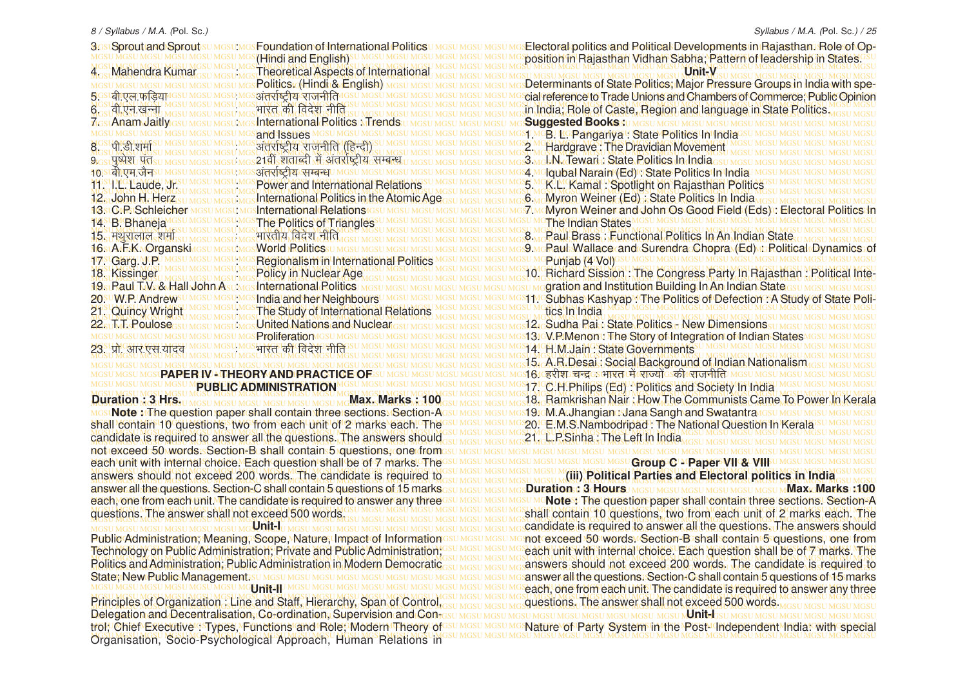| <b>3GstSproutrand Sprouts</b>                    | <b>Foundation of International Politics</b><br>(Hindi and English) | Electoral politics and Political Developments in Rajasthan. Role of Op-<br>position in Rajasthan Vidhan Sabha; Pattern of leadership in States. |
|--------------------------------------------------|--------------------------------------------------------------------|-------------------------------------------------------------------------------------------------------------------------------------------------|
| 4. Mahendra Kumar                                | <b>Theoretical Aspects of International</b>                        | Unit-V                                                                                                                                          |
|                                                  | Politics: (Hindi & English) MGSUM                                  | Determinants of State Politics; Major Pressure Groups in India with spe-                                                                        |
| 5GSLall एल फडिया                                 | अंतर्राष्ट्रीय राजनीति <sup>।</sup>                                | cial reference to Trade Unions and Chambers of Commerce; Public Opinion                                                                         |
| $6 - 9$ वी.एन.खन्ना                              | भारत की विदेश नीति                                                 | in India; Role of Caste, Region and language in State Politics.                                                                                 |
| <b>MGst Anam Jaitly</b>                          | International Politics Mirends                                     | <b>Suggested Books:</b>                                                                                                                         |
| 8  पी.डी.शर्मा                                   | and Issues MGSU<br>अंतर्राष्ट्रीय राजनीति (हिन्दी)                 | 1MGB LG Pangariya V State Politics In India<br>2. Hardgrave: The Dravidian Movement                                                             |
| $9$ <sub>GSL</sub> HWRL HOSUM                    | 21वीं शताब्दी में अंतर्राष्ट्रीय सम्बन्ध                           | 3 Mck N. Tewari : State Politics In India                                                                                                       |
| 10 stबीएम जैवsu                                  | अंतर्राष्ट्रीय सम्बन्ध <b>ा</b>                                    | 4 Molqubal Narain (Ed) o State Politics In India.                                                                                               |
| 11 synchaude, Jr.                                | <b>Power and International Relations</b>                           | 5. K.L. Kamal: Spotlight on Rajasthan Politics                                                                                                  |
| 12. John H. Herz                                 | International Politics in the Atomic Age                           | Myron Weiner (Ed): State Politics In India                                                                                                      |
| 18stCtPsSchleicher                               | <b>International Relations</b>                                     |                                                                                                                                                 |
| 14. B. Bhaneja                                   | <b>The Politics of Triangles</b>                                   | <b>The Indian States</b>                                                                                                                        |
| 15. मथुरालाल शर्मा<br><b>M6stArFsKMOrganskin</b> | भारतीय विदेश नीति<br><b>World Roliticssu</b>                       | 8. Paul Brass: Functional Politics In An Indian State<br><b>CRaubWallace and Surendra Chopra (Ed) E Rolitical Dynamics of</b>                   |
| 17 Carg MP                                       | Regionalism in International Politics                              | Punjab (4 Vol)                                                                                                                                  |
| 18. Kissinger                                    | <b>Policy in Nuclear Age</b>                                       | 10. Richard Sission: The Congress Party In Rajasthan: Political Inte-                                                                           |
| 19 <sub>st</sub> Raul T.V. & Hall John Asu:      | International Rolitics                                             | gration and Institution Building In An Indian State                                                                                             |
| 20 <sup>SU</sup> W.P. Andrews                    | India and her Neighbours                                           | I1. Subhas Kashyap. The Politics of Defection A Study of State Poli-                                                                            |
| 21. Quincy Wright                                | The Study of International Relations                               | tics in India                                                                                                                                   |
| 22 <sub>su</sub> T <sub>L</sub> Foulose          | United Nations and Nuclear                                         | 12. Sudha Pai: State Politics - New Dimensions                                                                                                  |
| 23. प्रो. आर. एस. यदिव                           | <b>Proliferation</b> <sup>10</sup><br>भारत की विदेश नीति           | 13.GV.P.Menon The Story of Integration of Indian States<br>14. H.M.Jain: State Governments                                                      |
|                                                  |                                                                    |                                                                                                                                                 |

### **MGSU MGSU MGSUPAPER IV - THEORY AND PRACTICE OF PUBLIC ADMINISTRATION**

MGSU MGSU MGSU MGSU MGSU MGSU MGSU MGSU MGSU MGSU MGSU MGSU MGSU MGSU MGSU MGSU MGSU MGSU MGSU MGSU MGSU MGSU MGSU MGSU MGSU MGSU MGSU MGSU MGSU MGSU MGSU MGSU **Note :** The question paper shall contain three sections. Section-A shall contain 10 questions, two from each unit of 2 marks each. The GSU MGSU MGSU MGSQ. C.M.S.Nambodripad : The National Question In Kerala SU MGSU MGSU MGSU MGSU MGSU MGSU MGSU MGSU MGSU MGSU MGSU MGSU MGSU MGSU MGSU MGSU MGSU MGSU MGSU MGSU MGSU MGSU MGSU MGSU MGSU MGSU MGSU MGSU MGSU MGSU MGSU MGSU MGSU MGSU MGSU MGSU MGSU MGSU MGSU MGSU MGSU MGSU MGSU MGSU MGSU MGSU MGSU MGSU MGSU MGSU MGSU MGSU MGSU MGSU MGSU MGSU MGSU MGSU MGSU MGSU MGSU MGSU MGSU MGSU MGSU MGSU candidate is required to answer all the questions. The answers should MGSU MGSU MGSU MGSU MGSU MGSU MGSU MGSU MGSU MGSU MGSU MGSU MGSU MGSU MGSU MGSU MGSU MGSU MGSU MGSU MGSU MGSU MGSU MGSU MGSU MGSU MGSU MGSU MGSU MGSU MGSU MGSU not exceed 50 words. Section-B shall contain 5 questions, one from MGSU MGSU MGSU MGSU MGSU MGSU MGSU MGSU MGSU MGSU MGSU MGSU MGSU MGSU MGSU MGSU MGSU MGSU MGSU MGSU MGSU MGSU MGSU MGSU MGSU MGSU MGSU MGSU MGSU MGSU MGSU MGSU each unit with internal choice. Each question shall be of 7 marks. The MGSU MGSU MGSU MGSU MGSU MGSU MGSU MGSU MGSU MGSU MGSU MGSU MGSU MGSU MGSU MGSU MGSU MGSU MGSU MGSU MGSU MGSU MGSU MGSU MGSU MGSU MGSU MGSU MGSU MGSU MGSU MGSU MGSU MGSU MGSU MGSU MGSU MGSU MGSU MGSU MGSU MGSU MGSU MGSU MGSU MGSU MGSU MGSU MGSU MGSU MGSU MGSU MGSU MGSU MGSU MGSU MGSU MGSU MGSU MGSU MGSU MGSU MGSU MGSU answers should not exceed 200 words. The candidate is required to answer all the questions. Section-C shall contain 5 questions of 15 marks<sub>GSU MGSU MGSU MGS</sub>U Ma<mark>sU MGSU MG</mark>SU MGSU MGSU MGSU MGSU MGSU M**GSU MAX-Marks**, 100 each, one from each unit. The candidate is required to answer any threeGSU MGSU MGSU MGSU MO**nte** : The question paper shall contain three sections. Section-A questions. The answer shall not exceed 500 words. SULMOSU MGSU MGSU MGSU MGSU MGSU MGSU MGS hall contain 10 questions, two from each unit of 2 marks each. The MGSU MGSU MGSU MGSU MGSU MGSU MGSU MGSU MGSU MGSU MGSU MGSU MGSU MGSU MGSU MGSU MGSU MGSU MGSU MGSU MGSU MGSU MGSU MGSU MGSU MGSU MGSU MGSU MGSU MGSU MGSU MGSU **Duration : 3 Hrs. Max. Max. Marks : 100** questions. The answer shall not exceed 500 words. MOSU MOSU MOSU MOSU MOSU MOSU MORU MOSU MOSU MOSU MOSU MOSU MOSU MOSU.<br>MGSU MGSU MGSU MGSU MGSU MGSU MG<sup>U</sup>**NIt-I**H MGSU MGSU MGSU MGSU MGSU MGS

Public Administration; Meaning, Scope, Nature; Impact of Information GSU MGSU MGSU MG not exceed 50 words . Section-B shall contain 5 questions, one from Technology on Public Administration, Private and Public Administration; GSU MGSU MGSU MG each unit with internal choice. Each question shall be of 7 marks. The MGSU MGSU MGSU MGSU MGSU MGSU MGSU MGSU MGSU MGSU MGSU MGSU MGSU MGSU MGSU MGSU MGSU MGSU MGSU MGSU MGSU MGSU MGSU MGSU MGSU MGSU MGSU MGSU MGSU MGSU MGSU MGSU Politics and Administration; Public Administration in Modern Democratic<sub>GSU MGSU MGSU MGSU MG</sub> answers should not exceed 200 words. The candidate is required to MGSU MGSU MGSU MGSU MGSU MGSU MGSU MGSU MGSU MGSU MGSU MGSU MGSU MGSU MGSU MGSU MGSU MGSU MGSU MGSU MGSU MGSU MGSU MGSU MGSU MGSU MGSU MGSU MGSU MGSU MGSU MGSU answer all the questions. Section-C shall contain 5 questions of 15 marks Public Administration; Meaning, Scope, Nature, Impact of Information Technology on Public Administration; Private and Public Administration; State; New Public Management.su MGSU MGS<br>MGSU MGSU MGSU MGSU MGSU MGSU MGFI MGSU MGS **Unit-II**

MGSU MGSU MGSU MGSU MGSU MGSU MGSU MGSU MGSU MGSU MGSU MGSU MGSU MGSU MGSU MGSU MGSU MGSU MGSU MGSU MGSU MGSU MGSU MGSU MGSU MGSU MGSU MGSU MGSU MGSU MGSU MGSU Principles of Organization: Line and Staff, Hierarchy, Span of Control, GSU MGSU MGSU MGSU MG**CUSE AND ARRY STATE hot exceed 500 words. MGSU MGSU MGSU MGSU MGSU** MGSU MGSU MGSU MGSU MGSU MGSU MGSU MGSU MGSU MGSU MGSU MGSU MGSU MGSU MGSU MGSU MGSU MGSU MGSU MGSU MGSU MGSU MGSU MGSU MGSU MGSU MGSU MGSU MGSU MGSU MGSU MGSU **Unit-I** trol; Chief Executive : Types, Functions and Role; Modern Theory of SUMSUMSUM Nature of Party System in the Post-I Independent India: with special MGSU MGSU MGSU MGSU MGSU MGSU MGSU MGSU MGSU MGSU MGSU MGSU MGSU MGSU MGSU MGSU MGSU MGSU MGSU MGSU MGSU MGSU MGSU MGSU MGSU MGSU MGSU MGSU MGSU MGSU MGSU MGSU Organisation, Socio-Psychological Approach, Human Relations in Delegation and Decentralisation, Co-ordination, Supervision and Con-

MGSU MGSU MGSU MGSU MGSU MGSU MGSU MGSU MGSU MGSU MGSU MGSU MGSU MGSU MGSU MGSU MGSU MGSU MGSU MGSU MGSU MGSU MGSU MGSU MGSU MGSU MGSU MGSU MGSU MGSU MGSU MGSU 15. A.R.Desai : Social Background of Indian Nationalism MGSU MGSU MGSU MGSU MGSU MGSU MGSU MGSU MGSU MGSU MGSU MGSU MGSU MGSU MGSU MGSU MGSU MGSU MGSU MGSU MGSU MGSU MGSU MGSU MGSU MGSU MGSU MGSU MGSU MGSU MGSU MGSU 16. gjh'k pUnz % Hkkjr esa jkT;ksa dh jktuhfr MGSU MGSU MGSU MGSU MGSU MGSU MGSU MGSU MGSU MGSU MGSU MGSU MGSU MGSU MGSU MGSU MGSU MGSU MGSU MGSU MGSU MGSU MGSU MGSU MGSU MGSU MGSU MGSU MGSU MGSU MGSU MGSU 17. C.H.Philips (Ed) : Politics and Society In India MGSU MGSU MGSU MGSU MGSU MGSU MGSU MGSU MGSU MGSU MGSU MGSU MGSU MGSU MGSU MGSU MGSU MGSU MGSU MGSU MGSU MGSU MGSU MGSU MGSU MGSU MGSU MGSU MGSU MGSU MGSU MGSU MGSU MGSU MGSU MGSU MGSU MGSU MGSU MGSU MGSU MGSU MGSU MGSU MGSU MGSU MGSU MGSU MGSU MGSU MGSU MGSU MGSU MGSU MGSU MGSU MGSU MGSU MGSU MGSU MGSU MGSU MGSU MGSU 18. Ramkrishan Nair : How The Communists Came To Power In Kerala position in Rajasthan Vidhan Sabha; Pattern of leadership in States. Determinants of State Politics; Major Pressure Groups in India with special reference to Trade Unions and Chambers of Commerce; Public Opinion 2**olitics In**<br>20 MGSU 9.<u>wcRaul Wallace and Surendra Chopra (Ed) : Political Dynamics of</u> tical Intetate Poli-19. M. A.Jhangian : Jana Sangh and Swatantra *Issumesu* MGS 20. E.M.S.Nambodripad : The National Question In Kerala 21. L.P.Sinha : The Left In India

#### **GSU MGSU MGSU Group C MPaper VII & VIIIFU MGSU MG (iii) Political Parties and Electoral politics in India Duration : 3 Hours** (MGSUMGSUMGSUMGSUMGSUMM**ax. Marks : 100**

MGSU MGSU MGSU MGSU MGSU MGSU MGSU MGSU MGSU MGSU MGSU MGSU MGSU MGSU MGSU MGSU MGSU MGSU MGSU MGSU MGSU MGSU MGSU MGSU MGSU MGSU MGSU MGSU MGSU MGSU MGSU MGSU candidate is required to answer all the questions. The answers should MGSU MGSU MGSU MGSU MGSU MG<mark>Unit-II</mark>U MGSU MGSU MGSU MGSU MGSU MGSU MGSU MGGU MG**each, one from each unit. The candidate is required to answer any three Note :** The question paper shall contain three sections. Section-A answers should not exceed 200 words. The candidate is required to questions. The answer shall not exceed 500 words. Nature of Party System in the Post-Independent India: with special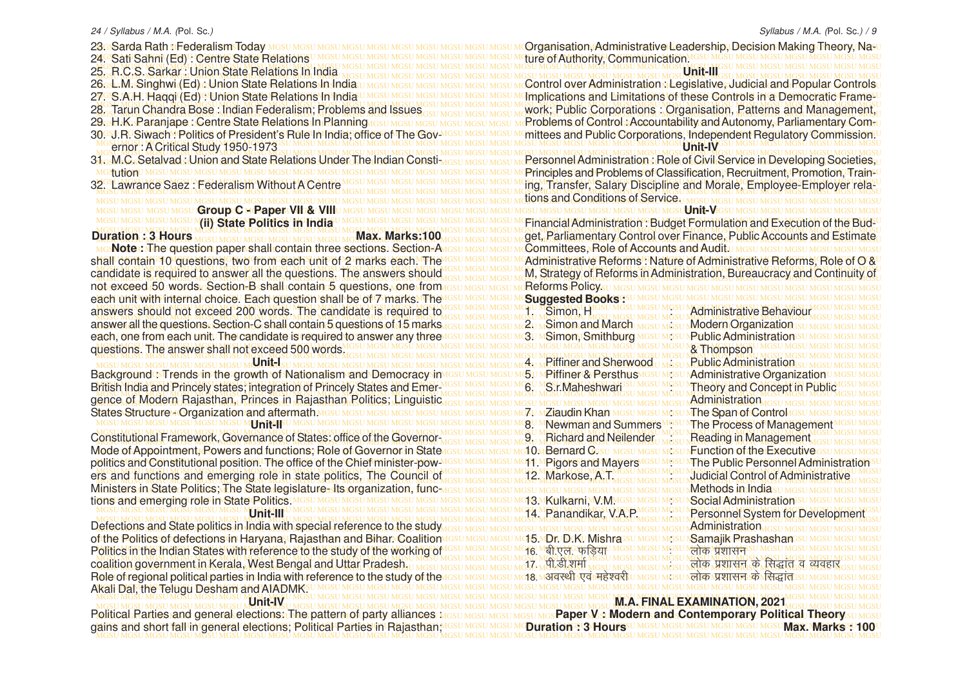MGSU MGSU MGSU MGSU MGSU MGSU MGSU MGSU MGSU MGSU MGSU MGSU MGSU MGSU MGSU MGSU MGSU MGSU MGSU MGSU MGSU MGSU MGSU MGSU MGSU MGSU MGSU MGSU MGSU MGSU MGSU MGSU 24. Sati Sahni (Ed) : Centre State Relations MGSU MGSU MGSU MGSU MGSU MGSU MGSU MGSU MGSU MGSU MGSU MGSU MGSU MGSU MGSU MGSU MGSU MGSU MGSU MGSU MGSU MGSU MGSU MGSU MGSU MGSU MGSU MGSU MGSU MGSU MGSU MGSU 25. R.C.S. Sarkar : Union State Relations In India not, exceed, 50, words. Gection<del>. B</del>.shall contain. 5. questions, one from assumes undstanded masum controllicy, which was undstanded masumes undstanded masumes under masumes under masumes under masumes under masumes under MGSU MGSU MGSU MGSU MGSU MGSU MGSU MGSU MGSU MGSU MGSU MGSU MGSU MGSU MGSU MGSU MGSU MGSU MGSU MGSU MGSU MGSU MGSU MGSU MGSU MGSU MGSU MGSU MGSU MGSU MGSU MGSU each unit with internal choice. Each question shall be of 7 marks. The MGSU MGSU MGSU MGSU MGSU MGSU MGSU MGSU MGSU MGSU MGSU MGSU MGSU MGSU MGSU MGSU MGSU MGSU MGSU MGSU MGSU MGSU MGSU MGSU MGSU MGSU MGSU MGSU MGSU MGSU MGSU MGSU answers should not exceed 200 words. The candidate is required to MGSU MGSU MGSU MGSU MGSU MGSU MGSU MGSU MGSU MGSU MGSU MGSU MGSU MGSU MGSU MGSU MGSU MGSU MGSU MGSU MGSU MGSU MGSU MGSU MGSU MGSU MGSU MGSU MGSU MGSU MGSU MGSU answer all the questions. Section-C shall contain 5 questions of 15 marks MGSU MGSU MGSU MGSU MGSU MGSU MGSU MGSU MGSU MGSU MGSU MGSU MGSU MGSU MGSU MGSU MGSU MGSU MGSU MGSU MGSU MGSU MGSU MGSU MGSU MGSU MGSU MGSU MGSU MGSU MGSU MGSU each, one from each unit. The candidate is required to answer any three MGSU MGSU MGSU MGSU MGSU MGSU MGSU MGSU MGSU MGSU MGSU MGSU MGSU MGSU MGSU MGSU MGSU MGSU MGSU MGSU MGSU MGSU MGSU MGSU MGSU MGSU MGSU MGSU MGSU MGSU MGSU MGSU MGSU MGSU MGSU MGSU MGSU MGSU MGSU MGSU MGSU MGSU MGSU MGSU MGSU MGSU MGSU MGSU MGSU MGSU MGSU MGSU MGSU MGSU MGSU MGSU MGSU MGSU MGSU MGSU MGSU MGSU MGSU MGSU questions. The answer shall not exceed 500 words. MGSU MGSU MGSU MGSU MGSU MGSU MGSU MGSU MGSU MGSU MGSU MGSU MGSU MGSU MGSU MGSU MGSU MGSU MGSU MGSU MGSU MGSU MGSU MGSU MGSU MGSU MGSU MGSU MGSU MGSU MGSU MGSU 4. Piffiner and Sherwood : Public Administration BackgroundേTrends in the growth of Nationalism and Democracy $\sin$ Mദേଧ Mesu Mesu MGU MPiffiner & Persthus Mesu Mesu Madministrative Organization∪ Mesu Mesu Mesu MGSU MGSU MGSU MGSU MGSU MGSU MGSU MGSU MGSU MGSU MGSU MGSU MGSU MGSU MGSU MGSU MGSU MGSU MGSU MGSU MGSU MGSU MGSU MGSU MGSU MGSU MGSU MGSU MGSU MGSU MGSU MGSU British India and Princely states; integration of Princely States and Emer-MGSU MGSU MGSU MGSU MGSU MGSU MGSU MGSU MGSU MGSU MGSU MGSU MGSU MGSU MGSU MGSU MGSU MGSU MGSU MGSU MGSU MGSU MGSU MGSU MGSU MGSU MGSU MGSU MGSU MGSU MGSU MGSU gence of Modern Rajasthan, Princes in Rajasthan Politics; Linguistic **and Masthan Masthan Masthan Masthan Masthan Masthan Masthan Masthan Masthan Masthan Masthan Masthan Masthan Masthan Masthan Masthan Masthan Masthan Mast** MGSU MGSU MGSU MGSU MGSU MGSU MGSU MGSU MGSU MGSU MGSU MGSU MGSU MGSU MGSU MGSU MGSU MGSU MGSU MGSU MGSU MGSU MGSU MGSU MGSU MGSU MGSU MGSU MGSU MGSU MGSU MGSU States Structure - Organization and aftermath. MGSU MGSU MGSU MGSU MGSU M**Unit-II**FU MGSU MGSU MGSU MGSU MGSU MGSU MGSU MG<mark>SU MGSU Mganggu mga Summers Mgsu MThe Process of Management</mark> Mgsu Mgsu MGSU MGSU MGSU MGSU MGSU MGSU MGSU MGSU MGSU MGSU MGSU MGSU MGSU MGSU MGSU MGSU MGSU MGSU MGSU MGSU MGSU MGSU MGSU MGSU MGSU MGSU MGSU MGSU MGSU MGSU MGSU MGSU Constitutional Framework, Governance of States: office of the Governor MGSU MGSU MGSU MGSU MGSU M**Richard and Neilender<sub>U MGSU</sub> Reading in Management** MGSU MGSU MGSU 23. Sarda Rath MFederalism Today 26. L.M. Singhwi (Ed) : Union State Relations In India 27. S.A.H. Haqqi (Ed) : Union State Relations In India 28. Tarun Chandra Bose : Indian Federalism; Problems and Issues 29. H.K. Paranjape : Centre State Relations In Planning MGSU MGSU 30. J.R. Siwach : Politics of President's Rule In India; office of The 31. M.C. Setalvad : Union and State Relations Under The Indi tution 32. Lawrance Saez : Federalism Without A Centre **Group C - Paper VII & VIII (ii) State Politics in India Duration : 3 Hours Max. Max. Max. Marks:1000 Max. Marks:1000 Max. Marks:1** shall contain 10 questions. Two from each unit of 2 marks each. The candidate is required to answer all the questions. The answers should **Unit-I Unit-II**

Mode of Appointment, Rowers and functions; Role of Governor in State result assumes that On Bernard Casu mesumesum Runction of the Executive esumesumesum politics and Constitutional position. The office of the Chief minister-pow MGSU MGSU MGSU MCH1.MPigors and Mayers IGSU MGSU NThe Public Personnel Administration SU MGSU MGSU MGSU MGSU MGSU MGSU MGSU MGSU MGSU MGSU MGSU MGSU MGSU MGSU MGSU MGSU MGSU MGSU MGSU MGSU MGSU MGSU MGSU MGSU MGSU MGSU MGSU MGSU MGSU MGSU MGSU MGSU ers and functions and emerging role in state politics, The Council of MSSU MGSU MGSU MCSU MCSU MCSU MCSU MCSU MCSU MCSU Judicial Control of Administrative MGSU MGSU MGSU MGSU MGSU MGSU MGSU MGSU MGSU MGSU MGSU MGSU MGSU MGSU MGSU MGSU MGSU MGSU MGSU MGSU MGSU MGSU MGSU MGSU MGSU MGSU MGSU MGSU MGSU MGSU MGSU MGSU MGSU Ministers in State Politics; The State legislature- Its organization, func-MGSU MGSU MGSU MGSU MGSU MGSU MGSU MGSU MGSU MGSU MGSU MGSU MGSU MGSU MGSU MGSU MGSU MGSU MGSU MGSU MGSU MGSU MGSU MGSU MGSU MGSU MGSU MGSU MGSU MGSU MGSU MGSU tions and emerging role in State Politics. **Unit-III**

MGSU MGSU MGSU MGSU MGSU MGSU MGSU MGSU MGSU MGSU MGSU MGSU MGSU MGSU MGSU MGSU MGSU MGSU MGSU MGSU MGSU MGSU MGSU MGSU MGSU MGSU MGSU MGSU MGSU MGSU MGSU MGSU MGSU MGSU MGSU MGSU MGSU MGSU MGSU MGSU MGSU MGSU MGSU MGSU MGSU MGSU MGSU MGSU MGSU MGSU MGSU MGSU MGSU MGSU MGSU MGSU MGSU MGSU MGSU MGSU MGSU MGSU MGSU MGSU Defections and State politics in India with special reference to the study MGSU MGSU MGSU MGSU MGSU MGSU MGSU MGSU MGSU MGSU MGSU MGSU MGSU MGSU MGSU MGSU MGSU MGSU MGSU MGSU MGSU MGSU MGSU MGSU MGSU MGSU MGSU MGSU MGSU MGSU MGSU MGSU of the Politics of defections in Haryana, Rajasthan and Bihar. Coalition MGSU MGSU MGSU MGSU MGSU MGSU MGSU MGSU MGSU MGSU MGSU MGSU MGSU MGSU MGSU MGSU MGSU MGSU MGSU MGSU MGSU MGSU MGSU MGSU MGSU MGSU MGSU MGSU MGSU MGSU MGSU MGSU Politics in the Indian States with reference to the study of the working of MGSU MGSU MGSU MGSU MGSU MGSU MGSU MGSU MGSU MGSU MGSU MGSU MGSU MGSU MGSU MGSU MGSU MGSU MGSU MGSU MGSU MGSU MGSU MGSU MGSU MGSU MGSU MGSU MGSU MGSU MGSU MGSU MGSU MGSU MGSU MGSU MGSU MGSU MGSU MGSU MGSU MGSU MGSU MGSU MGSU MGSU MGSU MGSU MGSU MGSU MGSU MGSU MGSU MGSU MGSU MGSU MGSU MGSU MGSU MGSU MGSU MGSU MGSU MGSU coalition government in Kerala, West Bengal and Uttar Pradesh. MGSU MGSU MGSU MGSU MGSU MGSU MGSU MGSU MGSU MGSU MGSU MGSU MGSU MGSU MGSU MGSU MGSU MGSU MGSU MGSU MGSU MGSU MGSU MGSU MGSU MGSU MGSU MGSU MGSU MGSU MGSU MGSU Role of regional political parties in India with reference to the study of the MGSU MGSU MGSU MGSU MGSU MGSU MGSU MGSU MGSU MGSU MGSU MGSU MGSU MGSU MGSU MGSU MGSU MGSU MGSU MGSU MGSU MGSU MGSU MGSU MGSU MGSU MGSU MGSU MGSU MGSU MGSU MGSU Akali Dal, the Telugu Desham and AIADMK.

MGSU MGSU MGSU MGSU MGSU MGSU MGSU MGSU MGSU MGSU MGSU MGSU MGSU MGSU MGSU MGSU MGSU MGSU MGSU MGSU MGSU MGSU MGSU MGSU MGSU MGSU MGSU MGSU MGSU MGSU MGSU MGSU PoliticabRarties and general elections: The pattern of party alliances <u>MGSU MGSU MGSU MGS</u>Paper Ms**: Modern and Contemporary Political Theory** su Masu gains and short fall in general elections; Political Parties in Rajasthan, MGSU MGSU MGSU MO**uration : 3 Hours**sumGsumGsumGsumGsumGsumGsu**mGsumGsumGsumGsumGsumGsumGsumGsum** MGSU MGSU MGSU MGSU MGSU MGSU MGSU MGSU MGSU MGSU MGSU MGSU MGSU MGSU MGSU MGSU MGSU MGSU MGSU MGSU MGSU MGSU MGSU MGSU MGSU MGSU MGSU MGSU MGSU MGSU MGSU MGSU **Unit-IV**

#### Syllabus / M.A. (Pol. Sc.) / 9

MGSU MGSU MGSU MGSU MGSU MGSU MGSU MGSU MGSU MGSU MGSU MGSU MGSU MGSU MGSU MGSU MGSU MGSU MGSU MGSU MGSU MGSU MGSU MGSU MGSU MGSU MGSU MGSU MGSU MGSU MGSU MGSU Organisation, Administrative Leadership, Decision Making Theory, Na-MGSU MGSU MGSU MGSU MGSU MGSU MGSU MGSU MGSU MGSU MGSU MGSU MGSU MGSU MGSU MGSU MGSU MGSU MGSU MGSU MGSU MGSU MGSU MGSU MGSU MGSU MGSU MGSU MGSU MGSU MGSU MGSU 6റല.M:Singhwi (Ed) പിന്ന State Relations In India:u Mosu Mosu Mosu Mosu Mosu Montrol over Administration പegislative, Judicial and Popular Controlsu 7. S.A.H. Haqqi (Ed) : Union State Relations In India UMGSU MGSU MGSU MGSU MGSU MGSU MU**mplications and Limitations of these Controls in a Democratic Frame<sup>10</sup>** MGSU MGSU MGSU MGSU MGSU MGSU MGSU MGSU MGSU MGSU MGSU MGSU MGSU MGSU MGSU MGSU MGSU MGSU MGSU MGSU MGSU MGSU MGSU MGSU MGSU MGSU MGSU MGSU MGSU MGSU MGSU MGSU 8. Tarun Chandra Bose : Indian Federalism; Problems and Issues and Masumasum Masumatum Mustum Corporations : Organisation, Patterns and Management, 9ց H.K.։Paranjape : Centre State Relations In Planning լ<sub>asu MGSU MGSU MGSU MGSU M</sub>Rroblems of Control։ Accountability and Autonomy, Parliamentary Com-ս 0⊡J.R⊡Siwach⊻Politics of President's Rule¶n¶ndia; office of The Gov™s⊍ Mosu Mosu Monittees and Public Corporations, Independent Regulatory Commission.∪ MGSU MGSU MGSU MGSU MGSU MGSU MGSU MGSU MGSU MGSU MGSU MGSU MGSU MGSU MGSU MGSU MGSU MGSU MGSU MGSU MGSU MGSU MGSU MGSU MGSU MGSU MGSU MGSU MGSU MGSU MGSU MGSU ernor : A Critical Study 1950-1973 MGSU MGSU MGSU MGSU MGSU MGSU MGSU MGSU MGSU MGSU MGSU MGSU MGSU MGSU MGSU MGSU MGSU MGSU MGSU MGSU MGSU MGSU MGSU MGSU MGSU MGSU MGSU MGSU MGSU MGSU MGSU MGSU 1. M.C. Setalvad : Union and State Relations Under The Indian Consti<sub>MGSU MGSU MGSU M</sub>Rersonnel Administration : Role of Civil Service in Developing Societies, u MGSU MGSU MGSU MGSU MGSU MGSU MGSU MGSU MGSU MGSU MGSU MGSU MGSU MGSU MGSU MGSU MGSU MGSU MGSU MGSU MGSU MGSU MGSU MGSU MGSU MGSU MGSU MGSU MGSU MGSU MGSU MGSU Principles and Problems of Classification, Recruitment, Promotion, Train-MGSU MGSU MGSU MGSU MGSU MGSU MGSU MGSU MGSU MGSU MGSU MGSU MGSU MGSU MGSU MGSU MGSU MGSU MGSU MGSU MGSU MGSU MGSU MGSU MGSU MGSU MGSU MGSU MGSU MGSU MGSU MGSU 2. Lawrance Saez: Federalism Without A Centre Museu Missu Missu Missu Missu Missu Missu Missu Mig. Transfer, Salary Discipline and Morale, Employee-Employer rela-MGSU MGSU MGSU MGSU MGSU MGSU MGSU MGSU MGSU MGSU MGSU MGSU MGSU MGSU MGSU MGSU MGSU MGSU MGSU MGSU MGSU MGSU MGSU MGSU MGSU MGSU MGSU MGSU MGSU MGSU MGSU MGSU tions and Conditions of Service. MGSU MGSU MGSU MGSU MGSU MGSU MGSU MGSU MGSU MGSU MGSU MGSU MGSU MGSU MGSU MGSU MGSU MGSU MGSU MGSU MGSU MGSU MGSU MGSU MGSU MGSU MGSU MGSU MGSU MGSU MGSU MGSU **Unit-V** MGSU MGSU MGSU MGSU MGSU MGSU MGSU MGSU MGSU MGSU MGSU MGSU MGSU MGSU MGSU MGSU MGSU MGSU MGSU MGSU MGSU MGSU MGSU MGSU MGSU MGSU MGSU MGSU MGSU MGSU MGSU MGSU Financial Administration : Budget Formulation and Execution of the Bud-MGSU MGSU MGSU MGSU MGSU MGSU MGSU MGSU MGSU MGSU MGSU MGSU MGSU MGSU MGSU MGSU MGSU MGSU MGSU MGSU MGSU MGSU MGSU MGSU MGSU MGSU MGSU MGSU MGSU MGSU MGSU MGSU MGSU MGSU MGSU MGSU MGSU MGSU MGSU MGSU MGSU MGSU MGSU MGSU MGSU MGSU MGSU MGSU MGSU MGSU MGSU MGSU MGSU MGSU MGSU MGSU MGSU MGSU MGSU MGSU MGSU MGSU MGSU MGSU get, Parliamentary Control over Finance, Public Accounts and Estimate MGSU MGSU MGSU MGSU MGSU MGSU MGSU MGSU MGSU MGSU MGSU MGSU MGSU MGSU MGSU MGSU MGSU MGSU MGSU MGSU MGSU MGSU MGSU MGSU MGSU MGSU MGSU MGSU MGSU MGSU MGSU MGSU **Note :** The question paper shall contain three sections. Section-A hall contain 10 questions, two from each unit of 2 marks each. The ISSU MGSU MGSU MCAdministrative Reforms : Nature of Administrative Reforms, Role of O'&U MGSU MGSU MGSU MGSU MGSU MGSU MGSU MGSU MGSU MGSU MGSU MGSU MGSU MGSU MGSU MGSU MGSU MGSU MGSU MGSU MGSU MGSU MGSU MGSU MGSU MGSU MGSU MGSU MGSU MGSU MGSU MGSU andidate is required to answer all the questions. The answers should use may have move with. Strategy of Reforms in Administration, Bureaucracy and Continuity of MGSU MGSU MGSU MGSU MGSU MGSU MGSU MGSU MGSU MGSU MGSU MGSU MGSU MGSU MGSU MGSU MGSU MGSU MGSU MGSU MGSU MGSU MGSU MGSU MGSU MGSU MGSU MGSU MGSU MGSU MGSU MGSU ture of Authority, Communication. **Unit-III Unit-IV Committees, Role of Accounts and Audity MGSU MGSU MGSU MGSU MGSU** Reforms Policy. **Suggested Books Administrative Behaviour** 2. Simon and March Masu Missue Modern Organization 3. MSimon, Smithburg MGSU MGSU NPublic Administration

& Thompson

**Administration** 

The Span of Control GSU

5. Piffiner & Persthus : Administrative Organization **S.r.Maheshwar** is a missulated and concept in Public S.r.Maheshware is also missual of the Concept in Public S.

7. Ziaudin Khan : The S 9. Richard and Neilender . Reading in Management 10. Bernard Cosu MGSU MGSU MGSU Function of the Executive 13. Kulkarni, W.M. Ingsu Mosu Mosu N**Social Administration** 

055. MDr. D.K. Mishrassu Mgsu Mgsu N**Samajik Prashashan** <mark>ाह Man एल फुलिया</mark> MGSU MGSU MGSU Man पूर्वासन

MGSU MGSU MGSU MGSU MGSU MGSU MGSU MGSU MGSU MGSU MGSU MGSU MGSU MGSU MGSU MGSU MGSU MGSU MGSU MGSU MGSU MGSU MGSU MGSU MGSU MGSU MGSU MGSU MGSU MGSU MGSU MGSU 14. Panandikar, V.A.P. : Personnel System for Development 11. MPigors and Mayers IGSU MGSU IT he Public Personnel Administration 12. Markose, A.T. MGSU MGSU MGSU Judicial Control of Administrative Methods in India **Administration** 17 MH-SL XIII MGULMGULMGULMGULMALA YANKI DA RIGIO Q 18- voLFkh ,oa egs'ojh % yksd iz'kklu ds fl)kar

MGSU MGSU MGSU MGSU MGSU MGSU MGSU MGSU MGSU MGSU MGSU MGSU MGSU MGSU MGSU MGSU MGSU MGSU MGSU MGSU MGSU MGSU MGSU MGSU MGSU MGSU MGSU MGSU MGSU MGSU MGSU MGSU **M.A. FINAL EXAMINATION, 2021 Paper V : Modern and Contemporary Political Theory Duration : 3 Hours'** UMGSU MGSU MGSU MGSU MGSU MGSU MAX. Marks : 100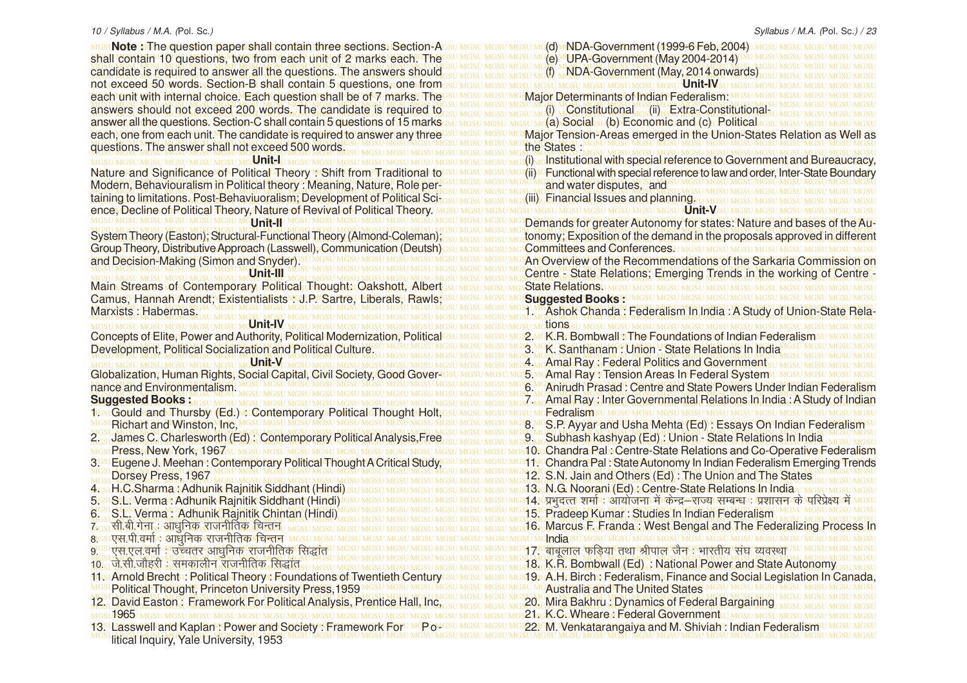MGSU MGSU MGSU MGSU MGSU MGSU MGSU MGSU MGSU MGSU MGSU MGSU MGSU MGSU MGSU MGSU MGSU MGSU MGSU MGSU MGSU MGSU MGSU MGSU MGSU MGSU MGSU MGSU MGSU MGSU MGSU MGSU **Note :** The question paper shall contain three sections. Section-A MGSU MGSU MGSU MGSU MGSU MGSU MGSU MGSU MGSU MGSU MGSU MGSU MGSU MGSU MGSU MGSU MGSU MGSU MGSU MGSU MGSU MGSU MGSU MGSU MGSU MGSU MGSU MGSU MGSU MGSU MGSU MGSU shall contain 10 questions, two from each unit of 2 marks each. The MGSU MGSU MGSU MGSU MGSU MGSU MGSU MGSU MGSU MGSU MGSU MGSU MGSU MGSU MGSU MGSU MGSU MGSU MGSU MGSU MGSU MGSU MGSU MGSU MGSU MGSU MGSU MGSU MGSU MGSU MGSU MGSU MGSU MGSU MGSU MGSU MGSU MGSU MGSU MGSU MGSU MGSU MGSU MGSU MGSU MGSU MGSU MGSU MGSU MGSU MGSU MGSU MGSU MGSU MGSU MGSU MGSU MGSU MGSU MGSU MGSU MGSU MGSU MGSU candidate is required to answer all the questions. The answers should MGSU MGSU MGSU MGSU MGSU MGSU MGSU MGSU MGSU MGSU MGSU MGSU MGSU MGSU MGSU MGSU MGSU MGSU MGSU MGSU MGSU MGSU MGSU MGSU MGSU MGSU MGSU MGSU MGSU MGSU MGSU MGSU not exceed 50 words. Section-B shall contain 5 questions, one from MGSU MGSU MGSU MGSU MGSU MGSU MGSU MGSU MGSU MGSU MGSU MGSU MGSU MGSU MGSU MGSU MGSU MGSU MGSU MGSU MGSU MGSU MGSU MGSU MGSU MGSU MGSU MGSU MGSU MGSU MGSU MGSU each unit with internal choice. Each question shall be of 7 marks. The MGSU MGSU MGSU MGSU MGSU MGSU MGSU MGSU MGSU MGSU MGSU MGSU MGSU MGSU MGSU MGSU MGSU MGSU MGSU MGSU MGSU MGSU MGSU MGSU MGSU MGSU MGSU MGSU MGSU MGSU MGSU MGSU answers should not exceed 200 words. The candidate is required to as unasumasum and world woonstitutional cost in Extra-Constitutional and the second sumset masumasum services and the constitutional cost in the second sums MGSU MGSU MGSU MGSU MGSU MGSU MGSU MGSU MGSU MGSU MGSU MGSU MGSU MGSU MGSU MGSU MGSU MGSU MGSU MGSU MGSU MGSU MGSU MGSU MGSU MGSU MGSU MGSU MGSU MGSU MGSU MGSU answer all the questions. Section-C shall contain 5 questions of 15 marks each, one from each unit. The candidate is required to answer any three SU MGSU MGSU MOSMajor Tension-Areas emerged in the Union-States Relation as Well as MGSU MGSU MGSU MGSU MGSU MGSU MGSU MGSU MGSU MGSU MGSU MGSU MGSU MGSU MGSU MGSU MGSU MGSU MGSU MGSU MGSU MGSU MGSU MGSU MGSU MGSU MGSU MGSU MGSU MGSU MGSU MGSU questions. The answer shall not exceed 500 words. MGSU MGSU MGSU MGSU MGSU MGSU MGSU MGSU MGSU MGSU MGSU MGSU MGSU MGSU MGSU MGSU MGSU MGSU MGSU MGSU MGSU MGSU MGSU MGSU MGSU MGSU MGSU MGSU MGSU MGSU MGSU MGSU MGSU MGSU MGSU MGSU MGSU MGSU MGSU MGSU MGSU MGSU MGSU MGSU MGSU MGSU MGSU MGSU MGSU MGSU MGSU MGSU MGSU MGSU MGSU MGSU MGSU MGSU MGSU MGSU MGSU MGSU MGSU MGSU (i) Institutional with special reference to Government and Bureaucracy, Nature and Significance\of PoliticalTheory MShift from Traditional tosu Mesu Mesu Mes(ii)4GFunctional with special reference to law and order, Inter-State Boundary MGSU MGSU MGSU MGSU MGSU MGSU MGSU MGSU MGSU MGSU MGSU MGSU MGSU MGSU MGSU MGSU MGSU MGSU MGSU MGSU MGSU MGSU MGSU MGSU MGSU MGSU MGSU MGSU MGSU MGSU MGSU MGSU Modern, Behaviouralism in Political theory : Meaning, Nature, Role per-MGSU MGSU MGSU MGSU MGSU MGSU MGSU MGSU MGSU MGSU MGSU MGSU MGSU MGSU MGSU MGSU MGSU MGSU MGSU MGSU MGSU MGSU MGSU MGSU MGSU MGSU MGSU MGSU MGSU MGSU MGSU MGSU taining to limitations. Post-Behaviuoralism; Development of Political Sci<sub>tosu Mosu Mosu Mosumo</sub> (iii) Financial Issues and planning. <sub>U Mosu</sub> Masu Mosu Mosumosu Mosumosu Mosumosu Mosumosu Mosumosu Mosumosu Mosumosu Mosumo MGSU MGSU MGSU MGSU MGSU MGSU MGSU MGSU MGSU MGSU MGSU MGSU MGSU MGSU MGSU MGSU MGSU MGSU MGSU MGSU MGSU MGSU MGSU MGSU MGSU MGSU MGSU MGSU MGSU MGSU MGSU MGSU ence, Decline of Political Theory, Nature of Revival of Political Theory. MGCUMGCUMGCUMGCUMGCUMG**Unit-II**UMGCUMGCUMGCUMGCUMGCUMGCUMGCUMGCUMGCUMG**Demands for greater Autonomy for states: Nature and bases of the Au-**MGSU MGSU MGSU MGSU MGSU MGSU MGSU MGSU MGSU MGSU MGSU MGSU MGSU MGSU MGSU MGSU MGSU MGSU MGSU MGSU MGSU MGSU MGSU MGSU MGSU MGSU MGSU MGSU MGSU MGSU MGSU MGSU System Theory (Easton); Structural-Functional Theory (Almond-Coleman); <sub>GSU MGSU MGSU MGSU MG</sub> tonomy; Exposition of the demand in the proposals approved in different MGSU MGSU MGSU MGSU MGSU MGSU MGSU MGSU MGSU MGSU MGSU MGSU MGSU MGSU MGSU MGSU MGSU MGSU MGSU MGSU MGSU MGSU MGSU MGSU MGSU MGSU MGSU MGSU MGSU MGSU MGSU MGSU Group Theory, Distributive Approach (Lasswell), Communication (Deutsh) **Unit-I Unit-II** and Decision-Making (Simon and Snyder).

**Unit-III**

MGSU MGSU MGSU MGSU MGSU MGSU MGSU MGSU MGSU MGSU MGSU MGSU MGSU MGSU MGSU MGSU MGSU MGSU MGSU MGSU MGSU MGSU MGSU MGSU MGSU MGSU MGSU MGSU MGSU MGSU MGSU MGSU State Relations. MGSU MGSU MGSU MGSU MGSU MGSU MGSU MGSU MGSU MGSU MGSU MGSU MGSU MGSU MGSU MGSU MGSU MGSU MGSU MGSU MGSU MGSU MGSU MGSU MGSU MGSU MGSU MGSU MGSU MGSU MGSU MGSU Camus, Hannah Arendt; Existentialists : J.P. Sartre, Liberals, Rawls; MGSU MGSU MGSU MGSU MGSU MGSU MGSU MGSU MGSU MGSU MGSU MGSU MGSU MGSU MGSU MGSU MGSU MGSU MGSU MGSU MGSU MGSU MGSU MGSU MGSU MGSU MGSU MGSU MGSU MGSU MGSU MGSU MGSU MGSU MGSU MGSU MGSU MGSU MGSU MGSU MGSU MGSU MGSU MGSU MGSU MGSU MGSU MGSU MGSU MGSU MGSU MGSU MGSU MGSU MGSU MGSU MGSU MGSU MGSU MGSU MGSU MGSU MGSU MGSU 1. Ashok Chanda : Federalism In lndia : A Study of Union-State Rela-Main Streams of Contemporary Political Thought: Oakshott, Albert Marxists : Habermas.

MGSU MGSU MGSU MGSU MGSU MGSU MG**U MTL-IV**T **Unit-V** nance and Environmentalism.

#### **Suggested Books :**

- MGSU MGSU MGSU MGSU MGSU MGSU MGSU MGSU MGSU MGSU MGSU MGSU MGSU MGSU MGSU MGSU MGSU MGSU MGSU MGSU MGSU MGSU MGSU MGSU MGSU MGSU MGSU MGSU MGSU MGSU MGSU MGSU 1. Gould and Thursby (Ed.) : Contemporary Political Thought Holt, MGSU MGSU MGSU MGSU MGSU MGSU MGSU MGSU MGSU MGSU MGSU MGSU MGSU MGSU MGSU MGSU MGSU MGSU MGSU MGSU MGSU MGSU MGSU MGSU MGSU MGSU MGSU MGSU MGSU MGSU MGSU MGSU 8. S.P. Ayyar and Usha Mehta (Ed) : Essays On Indian Federalism Richart and Winston, Inc.
- 2. James C. Charlesworth (Ed): Contemporary Political Analysis,Free Columbia Mesumes and Subhash kashyap (Ed): Union State Relations In India Mesumesu Press, New York, 1967
- 3.58 Eugene J. Meehan : Contemporary Political Thought A Critical Study, GSU MGSU MGSU MGS11.4 Chandra Pal : State Autonomy In Indian Federalism Emerging Trends MGSU MGSU MGSU MGSU MGSU MGSU MGSU MGSU MGSU MGSU MGSU MGSU MGSU MGSU MGSU MGSU MGSU MGSU MGSU MGSU MGSU MGSU MGSU MGSU MGSU MGSU MGSU MGSU MGSU MGSU MGSU MGSU 3. Eugene J. Meehan : Contemporary Political Thought A Critical Study, Dorsey Press, 1967
- 4. H.C.Sharma : Adhunik Rajnitik Siddhant (Hindi)
- 5. S.S. S.L. S. Verma : Adhunik Rajnitik Siddhant (Hindi)
- 6. S.L. Verma : Adhunik Rajnitik Chintan (Hindi)
- 7<sub>081</sub>सी.बी.गेना : आधुनिक राजनीतिक चिन्तून
- 8<mark>. GSLएस.पी. वर्माण आधुनिकऽराजनीतिकऽचिन्त</mark>न
- <u>9' उपस्पल वर्मा "उच्चतर आधुनिक राजनीतिक सिद्धांत</u>
- <u>10- जे.सी.जोहरी : समकालीन राजनीतिक सिद्धांत</u>
- 11. Arnold Brecht : Political Theory : Foundations of Twentieth Century
- MGSU MGSU MGSU MGSU MGSU MGSU MGSU MGSU MGSU MGSU MGSU MGSU MGSU MGSU MGSU MGSU MGSU MGSU MGSU MGSU MGSU MGSU MGSU MGSU MGSU MGSU MGSU MGSU MGSU MGSU MGSU MGSU 12. David Easton : Framework For Political Analysis, Prentice Hall, Inc,
- 
- MGSU MGSU MGSU MGSU MGSU MGSU MGSU MGSU MGSU MGSU MGSU MGSU MGSU MGSU MGSU MGSU MGSU MGSU MGSU MGSU MGSU MGSU MGSU MGSU MGSU MGSU MGSU MGSU MGSU MGSU MGSU MGSU 13. Lasswell and Kaplan : Power and Society : Framework For Po-MGSU MGSU MGSU MGSU MGSU MGSU MGSU MGSU MGSU MGSU MGSU MGSU MGSU MGSU MGSU MGSU MGSU MGSU MGSU MGSU MGSU MGSU MGSU MGSU MGSU MGSU MGSU MGSU MGSU MGSU MGSU MGSU litical Inquiry, Yale University, 1953

and Decision-Making (Simon and Snyder).<sup>su MGSU MGSU MGSU MGSU MGSU MGSU MGSU MGSAN Overview of the Recommendations of the Sarkaria Commission on</sup> MGSU MGSU MGSU MGSU MGSU MGSU MGSU MGSU MGSU MGSU MGSU MGSU MGSU MGSU MGSU MGSU MGSU MGSU MGSU MGSU MGSU MGSU MGSU MGSU MGSU MGSU MGSU MGSU MGSU MGSU MGSU MGSU MGSU MGSU MGSU MGSU MGSU MGSU MGSU MGSU MGSU MGSU MGSU MGSU MGSU MGSU MGSU MGSU MGSU MGSU MGSU MGSU MGSU MGSU MGSU MGSU MGSU MGSU MGSU MGSU MGSU MGSU MGSU MGSU Centre - State Relations; Emerging Trends in the working of Centre - MGSU MGSU MGSU MGSU MGSU MGSU MGSU MGSU MGSU MGSU MGSU MGSU MGSU MGSU MGSU MGSU MGSU MGSU MGSU MGSU MGSU MGSU MGSU MGSU MGSU MGSU MGSU MGSU MGSU MGSU MGSU MGSU tions Concepts of Elite, Power and Authority, Political Modernization, Political⊙s∪ MGs∪ MGs2 McK.R. Bombwall : The Foundations of Indian Federalisms∪ MGs∪ MGsU MGSU MGSU MGSU MGSU MGSU MGSU MGSU MGSU MGSU MGSU MGSU MGSU MGSU MGSU MGSU MGSU MGSU MGSU MGSU MGSU MGSU MGSU MGSU MGSU MGSU MGSU MGSU MGSU MGSU MGSU MGSU MGSU Development, Political Socialization and Political Culture. W MGSU MGSU MGSU MGSU MGSU MGSU MGSU MG**CU MGD MGSU MG**<br>Development, Political Socialization and Political Culture. W MGSU MGSU MGSU MGSU MGSU MGSU MG**CU MGD MG**S MGSU MGSU MGSU MGSU MGSU MGSU MGSU MGSU MGSU MGSU MGSU MGSU MGSU MGSU MGSU MGSU MGSU MGSU MGSU MGSU MGSU MGSU MGSU MGSU MGSU MGSU MGSU MGSU MGSU MGSU MGSU MGSU 4. Amal Ray : Federal Politics and Government MGSU MGSU MGSU MGSU MGSU MGSU MGSU MGSU MGSU MGSU MGSU MGSU MGSU MGSU MGSU MGSU MGSU MGSU MGSU MGSU MGSU MGSU MGSU MGSU MGSU MGSU MGSU MGSU MGSU MGSU MGSU MGSU Globalization, Human Rights, Social Capital, Civil Society, Good Gover-MGSU MGSU MGSU MGSU MGSU MGSU MGSU MGSU MGSU MGSU MGSU MGSU MGSU MGSU MGSU MGSU MGSU MGSU MGSU MGSU MGSU MGSU MGSU MGSU MGSU MGSU MGSU MGSU MGSU MGSU MGSU MGSU 6. Anirudh Prasad : Centre and State Powers Under Indian Federalism MGSU MGSU MGSU MGSU MGSU MGSU MGSU MGSU MGSU MGSU MGSU MGSU MGSU MGSU MGSU MGSU MGSU MGSU MGSU MGSU MGSU MGSU MGSU MGSU MGSU MGSU MGSU MGSU MGSU MGSU MGSU MGSU MGSU MGSU MGSU MGSU MGSU MGSU MGSU MGSU MGSU MGSU MGSU MGSU MGSU MGSU MGSU MGSU MGSU MGSU MGSU MGSU MGSU MGSU MGSU MGSU MGSU MGSU MGSU MGSU MGSU MGSU MGSU MGSU 7. Amal Ray : Inter Governmental Relations In India : A Study of Indian MGSU MGSU MGSU MGSU MGSU MGSU MGSU MGSU MGSU MGSU MGSU MGSU MGSU MGSU MGSU MGSU MGSU MGSU MGSU MGSU MGSU MGSU MGSU MGSU MGSU MGSU MGSU MGSU MGSU MGSU MGSU MGSU MGSU MGSU MGSU MGSU MGSU MGSU MGSU MGSU MGSU MGSU MGSU MGSU MGSU MGSU MGSU MGSU MGSU MGSU MGSU MGSU MGSU MGSU MGSU MGSU MGSU MGSU MGSU MGSU MGSU MGSU MGSU MGSU 10. Chandra Pal : Centre-State Relations and Co-Operative Federalism MGSU MGSU MGSU MGSU MGSU MGSU MGSU MGSU MGSU MGSU MGSU MGSU MGSU MGSU MGSU MGSU MGSU MGSU MGSU MGSU MGSU MGSU MGSU MGSU MGSU MGSU MGSU MGSU MGSU MGSU MGSU MGSU 12. S.N. Jain and Others (Ed) : The Union and The States MGSU MGSU MGSU MGSU MGSU MGSU MGSU MGSU MGSU MGSU MGSU MGSU MGSU MGSU MGSU MGSU MGSU MGSU MGSU MGSU MGSU MGSU MGSU MGSU MGSU MGSU MGSU MGSU MGSU MGSU MGSU MGSU 13. N.G. Noorani (Ed) : Centre-State Relations In India 5GSLS/LSNerma KAdhunik Rajnitik Siddhant (Hindi)/GSU MGSU MGSU MGSU MGSU MGSU MGSI 44Gप्रभुदत्त शर्माण ओयोजना में किन्द्र स्राज्य सम्बन्ध प्रशासन के परिप्रेक्ष्य में MGSU MGSU MGSU MGSU MGSU MGSU MGSU MGSU MGSU MGSU MGSU MGSU MGSU MGSU MGSU MGSU MGSU MGSU MGSU MGSU MGSU MGSU MGSU MGSU MGSU MGSU MGSU MGSU MGSU MGSU MGSU MGSU MGSU 15. Pradeep Kumar : Studies In Indian Federalism MGSU MGSU MGSU MGSU MGSU MGSU MGSU MGSU MGSU MGSU MGSU MGSU MGSU MGSU MGSU MGSU MGSU MGSU MGSU MGSU MGSU MGSU MGSU MGSU MGSU MGSU MGSU MGSU MGSU MGSU MGSU MGSU <u>7.0s सी.बी.गेनाडा आधुनिक राजनीतिक विल्तन्त MGSU MGSU MGSU MGSU MGSU MGSU MGSU MGSI Marcus F. Franda i. West Bengal and The Federalizing Process In</u> MGSU MGSU MGSU MGSU MGSU MGSU MGSU MGSU MGSU MGSU MGSU MGSU MGSU MGSU MGSU MGSU MGSU MGSU MGSU MGSU MGSU MGSU MGSU MGSU MGSU MGSU MGSU MGSU MGSU MGSU MGSU MGSU India MGSU MGSU MGSU MGSU MGSU MGSU MGSU MGSU MGSU MGSU MGSU MGSU MGSU MGSU MGSU MGSU MGSU MGSU MGSU MGSU MGSU MGSU MGSU MGSU MGSU MGSU MGSU MGSU MGSU MGSU MGSU MGSU 17. ckcwyky QfM+;k rFkk Jhiky tSu % Hkkjrh; la?k O;oLFkk MGSU MGSU MGSU MGSU MGSU MGSU MGSU MGSU MGSU MGSU MGSU MGSU MGSU MGSU MGSU MGSU MGSU MGSU MGSU MGSU MGSU MGSU MGSU MGSU MGSU MGSU MGSU MGSU MGSU MGSU MGSU MGSU MGSU MGSU MGSU MGSU MGSU MGSU MGSU MGSU MGSU MGSU MGSU MGSU MGSU MGSU MGSU MGSU MGSU MGSU MGSU MGSU MGSU MGSU MGSU MGSU MGSU MGSU MGSU MGSU MGSU MGSU MGSU MGSU 18. K.R. Bombwall (Ed) : National Power and State Autonomy 6**(d) MNDA-Government (1999-6 Feb. 2004)** J MGSU MGSU MGSU MGSU MGSI (e) UPA-Government (May 2004-2014) (f) NDA-Government (May, 2014 onwards) ISU MGSU MGSU MGSU MGSU <mark>Unit-IV</mark> st Major Determinants of Indian Federalism: (i) Constitutional (ii) Extra-Constitutional-  $(a)$  Social  $s_U(b)$  Economic and  $(c)$  Political  $q_{\rm SSUMG}$ Major Tension-Areas emerged in the Union-States Relation as Well as the States. (ii) Functional with special reference to law and order, Inter-State Boundary and water disputes, and s (iii) Financial Issues and planning. **Unit-V** tonomy; Exposition of the demand in the proposals approved in different **Committees and Conferences.** UMGSUMGSUMGSUMGSUMGSUMGSU **Suggested Books :** 2. MCK. R. Bombwall : The Foundations of Indian Federalism 3. K. Santhanam : Union - State Relations In India 5.McAmal Ray : Tension Areas In Federal System Fedralism 9. Subhash kashyap (Ed) : Union - State Relations In India

14s:Arnold Brechtu Political Theoryம Foundations of Twentieth Centuryssu Mosu Mosu Mos19roA.H.Birchs.Federalism, Finance and Social Legislation In Canada, MGSU MGSU MGSU MGSU MGSU MGSU MGSU MGSU MGSU MGSU MGSU MGSU MGSU MGSU MGSU MGSU MGSU MGSU MGSU MGSU MGSU MGSU MGSU MGSU MGSU MGSU MGSU MGSU MGSU MGSU MGSU MGSU Political Thought, Princeton University Press,1959 MGSU MGSU MGSU MGSU MGSU MGSU MGSU MGSU MGSU MGSU MGSU MGSU MGSU MGSU MGSU MGSU MGSU MGSU MGSU MGSU MGSU MGSU MGSU MGSU MGSU MGSU MGSU MGSU MGSU MGSU MGSU MGSU Australia and The United States 20. Mira Bakhru : Dynamics of Federal Bargaining

MGSU MGSU MGSU MGSU MGSU MGSU MGSU MGSU MGSU MGSU MGSU MGSU MGSU MGSU MGSU MGSU MGSU MGSU MGSU MGSU MGSU MGSU MGSU MGSU MGSU MGSU MGSU MGSU MGSU MGSU MGSU MGSU 1965 s21 r K. C Mheare : Federal Government u MGSU MGSU MGSU MG 22. M. Venkatarangaiya and M. Shiviah : Indian Federalism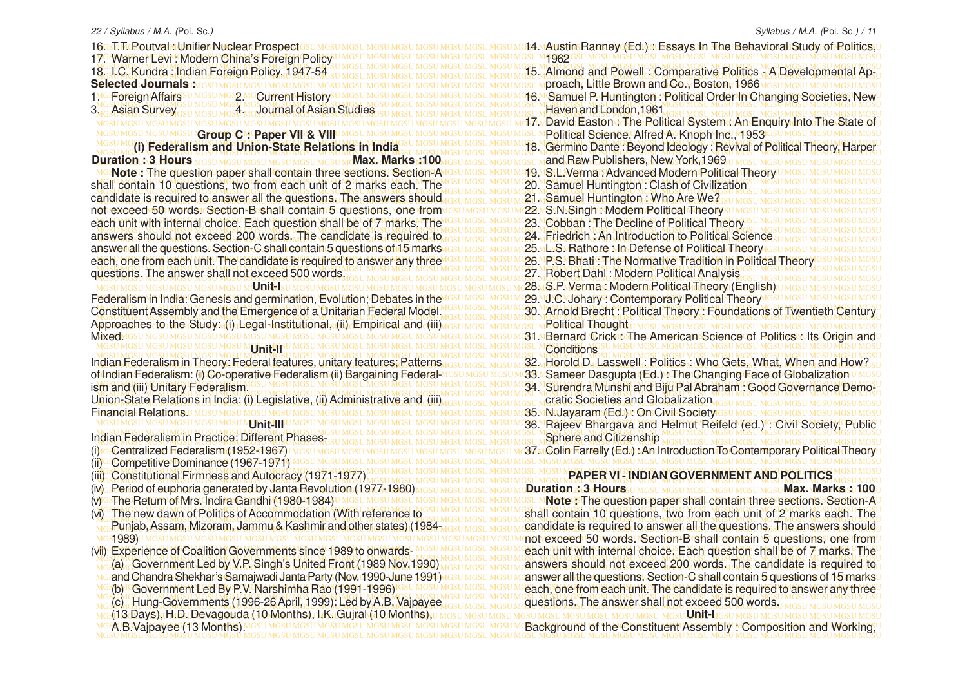MGSU MGSU MGSU MGSU MGSU MGSU MGSU MGSU MGSU MGSU MGSU MGSU MGSU MGSU MGSU MGSU MGSU MGSU MGSU MGSU MGSU MGSU MGSU MGSU MGSU MGSU MGSU MGSU MGSU MGSU MGSU MGSU 14. Austin Ranney (Ed.) : Essays In The Behavioral Study of Politics, MGSU MGSU MGSU MGSU MGSU MGSU MGSU MGSU MGSU MGSU MGSU MGSU MGSU MGSU MGSU MGSU MGSU MGSU MGSU MGSU MGSU MGSU MGSU MGSU MGSU MGSU MGSU MGSU MGSU MGSU MGSU MGSU 17. Warner Levi : Modern China's Foreign Policy MGSU MGSU MGSU MGSU MGSU MGSU MGSU MGSU MGSU MGSU MGSU MGSU MGSU MGSU MGSU MGSU MGSU MGSU MGSU MGSU MGSU MGSU MGSU MGSU MGSU MGSU MGSU MGSU MGSU MGSU MGSU MGSU MGSU MGSU MGSU MGSU MGSU MGSU MGSU MGSU MGSU MGSU MGSU MGSU MGSU MGSU MGSU MGSU MGSU MGSU MGSU MGSU MGSU MGSU MGSU MGSU MGSU MGSU MGSU MGSU MGSU MGSU MGSU MGSU 15. Almond and Powell : Comparative Politics - A Developmental Ap-MGSU MGSU MGSU MGSU MGSU MGSU MGSU MGSU MGSU MGSU MGSU MGSU MGSU MGSU MGSU MGSU MGSU MGSU MGSU MGSU MGSU MGSU MGSU MGSU MGSU MGSU MGSU MGSU MGSU MGSU MGSU MGSU proach, Little Brown and Co., Boston, 1966 MGSU MGSU MGSU MGSU MGSU MGSU MGSU MGSU MGSU MGSU MGSU MGSU MGSU MGSU MGSU MGSU MGSU MGSU MGSU MGSU MGSU MGSU MGSU MGSU MGSU MGSU MGSU MGSU MGSU MGSU MGSU MGSU 16. Samuel P. Huntington : Political Order In Changing Societies, New MGSU MGSU MGSU MGSU MGSU MGSU MGSU MGSU MGSU MGSU MGSU MGSU MGSU MGSU MGSU MGSU MGSU MGSU MGSU MGSU MGSU MGSU MGSU MGSU MGSU MGSU MGSU MGSU MGSU MGSU MGSU MGSU 3. Asian Survey 4. Journal of Asian Studies MGSU MGSU MGSU MGSU MGSU MGSU MGSU MGSU MGSU MGSU MGSU MGSU MGSU MGSU MGSU MGSU MGSU MGSU MGSU MGSU MGSU MGSU MGSU MGSU MGSU MGSU MGSU MGSU MGSU MGSU MGSU MGSU MGSU MGSU MGSU MGSU MGSU MGSU MGSU MGSU MGSU MGSU MGSU MGSU MGSU MGSU MGSU MGSU MGSU MGSU MGSU MGSU MGSU MGSU MGSU MGSU MGSU MGSU MGSU MGSU MGSU MGSU MGSU MGSU 17. David Easton : The Political System : An Enquiry Into The State of MGSU MGSU MGSU MGSU MGSU MGSU MGSU MGSU MGSU MGSU MGSU MGSU MGSU MGSU MGSU MGSU MGSU MGSU MGSU MGSU MGSU MGSU MGSU MGSU MGSU MGSU MGSU MGSU MGSU MGSU MGSU MGSU Political Science, Alfred A. Knoph Inc., 1953 MGSU MGSU MGSU MGSU MGSU MGSU MGSU MGSU MGSU MGSU MGSU MGSU MGSU MGSU MGSU MGSU MGSU MGSU MGSU MGSU MGSU MGSU MGSU MGSU MGSU MGSU MGSU MGSU MGSU MGSU MGSU MGSU MGSU MO(i) Federalism and Union-State Relations in India 350 MGSU MGSU MGSU MGSU MGSU MC 20 Cermino Dante : Beyond Ideology : Revival of Political Theory, Harper MGSU MGSU MGSU MGSU MGSU MGSU MGSU MGSU MGSU MGSU MGSU MGSU MGSU MGSU MGSU MGSU MGSU MGSU MGSU MGSU MGSU MGSU MGSU MGSU MGSU MGSU MGSU MGSU MGSU MGSU MGSU MGSU **Duration : 3 Hours Max. Marks :100** <mark>MG:Note :: The question paper shall contain three sections. Section</mark>PAMGs∪ MGs∪ MG\$9.MS:LI.Verma⊙Advanced Modern Political Theory∪ MGs∪ Mss∪ MGs∪ MGs∪ MGs∪ MGSU MGSU MGSU MGSU MGSU MGSU MGSU MGSU MGSU MGSU MGSU MGSU MGSU MGSU MGSU MGSU MGSU MGSU MGSU MGSU MGSU MGSU MGSU MGSU MGSU MGSU MGSU MGSU MGSU MGSU MGSU MGSU shall contain 10 questions, two from each unit of 2 marks each. The MGSU MGSU MGSU MGSU MGSU MGSU MGSU MGSU MGSU MGSU MGSU MGSU MGSU MGSU MGSU MGSU MGSU MGSU MGSU MGSU MGSU MGSU MGSU MGSU MGSU MGSU MGSU MGSU MGSU MGSU MGSU MGSU candidate is required to answer all the questions. The answers should result mesulings in 21 MSamuel Huntington.: Who Are We asu mesulings uncsulings in mesulings in the mesulings in the mesulings in the mesulings in the m MGSU MGSU MGSU MGSU MGSU MGSU MGSU MGSU MGSU MGSU MGSU MGSU MGSU MGSU MGSU MGSU MGSU MGSU MGSU MGSU MGSU MGSU MGSU MGSU MGSU MGSU MGSU MGSU MGSU MGSU MGSU MGSU not exceed 50 words. Section-B shall contain 5 questions, one from each unit with internal choice. Each question shall be of 7 marks. The IGSU MGSU MGSU MC3L Cobban : The Decline of Political Theory SU MGSU MGSU MGSU MGCU MCCU COLL MGSU MGSU MGSU MGSU MGSU MGSU MGSU MGSU MGSU MGSU MGSU MGSU MGSU MGSU MGSU MGSU MGSU MGSU MGSU MGSU MGSU MGSU MGSU MGSU MGSU MGSU MGSU MGSU MGSU MGSU MGSU MGSU answers should not exceed 200 words. The candidate is required to result mean Meson Mark **Eriedrich : An Introduction to Political Science**su Meso Meson Meson Meson answer all the questions. Section-C shall contain 5 questions of 15 marks result assumes to me 25 mb.S. Rathore Mn Defense of Political Theory resulted to mestimes under most each, one from each unit. The candidate is required to answer any three IGSU MGSU MGSU M 26. P.S. Bhati : The Normative Tradition in Political Theory GSU MGSU MGSU MGSU MGSU MGSU MGSU MGSU MGSU MGSU MGSU MGSU MGSU MGSU MGSU MGSU MGSU MGSU MGSU MGSU MGSU MGSU MGSU MGSU MGSU MGSU MGSU MGSU MGSU MGSU MGSU MGSU MGSU MGSU MGSU 27. Robert Dahl : Modern Political Analysis questions. The answer shall not exceed 500 words wasu Masu Masu Masu Masu Masu Mgsu Mgsu M**27 , Robert Dahl : Modern Political Analysis** asu Masu Masu Masu Masu Masu Mgsu mg MGSU MGSU MGSU MGSU MGSU MGSU MGSU MGSU MGSU MGSU MGSU MGSU MGSU MGSU MGSU MGSU MGSU MGSU MGSU MGSU MGSU MGSU MGSU MGSU MGSU MGSU MGSU MGSU MGSU MGSU MGSU MGSU **Unit-I** MGSU MGSU MGSU MGSU MGSU MGSU MGSU MGSU MGSU MGSU MGSU MGSU MGSU MGSU MGSU MGSU MGSU MGSU MGSU MGSU MGSU MGSU MGSU MGSU MGSU MGSU MGSU MGSU MGSU MGSU MGSU MGSU Federalism in India: Genesis and germination, Evolution; Debates in the MGSU MGSU MGSU MGSU MGSU MGSU MGSU MGSU MGSU MGSU MGSU MGSU MGSU MGSU MGSU MGSU MGSU MGSU MGSU MGSU MGSU MGSU MGSU MGSU MGSU MGSU MGSU MGSU MGSU MGSU MGSU MGSU Constituent Assembly and the Emergence of a Unitarian Federal Model Most Most Most Museum 30. Arnold Brecht: Political Theory: Foundations of Twentieth Century MGSU MGSU MGSU MGSU MGSU MGSU MGSU MGSU MGSU MGSU MGSU MGSU MGSU MGSU MGSU MGSU MGSU MGSU MGSU MGSU MGSU MGSU MGSU MGSU MGSU MGSU MGSU MGSU MGSU MGSU MGSU MGSU Approaches to the Study: (i) Legal-Institutional, (ii) Empirical and (iii) MGSU MGSU MGSU MGSU MGSU MGSU MGSU MGSU MGSU MGSU MGSU MGSU MGSU MGSU MGSU MGSU MGSU MGSU MGSU MGSU MGSU MGSU MGSU MGSU MGSU MGSU MGSU MGSU MGSU MGSU MGSU MGSU 31. Bernard Crick : The American Science of Politics : Its Origin and MGSU MGSU MGSU MGSU MGSU MGSU MGSU MGSU MGSU MGSU MGSU MGSU MGSU MGSU MGSU MGSU MGSU MGSU MGSU MGSU MGSU MGSU MGSU MGSU MGSU MGSU MGSU MGSU MGSU MGSU MGSU MGSU ndian Federalism in Theory: Federal features, unitary features; Patterns Gesu MGSU MGSU MGSU MGSU MGSU MGSU MG<br>and the Lasswell: Politics: Who Gets, What, When and How? Indian Federalism in Theory: Federal features, unitary features; Patterns <sub>ussumesums</sub> 32 . Horold D. Lasswell,: Politics .; Who Gets, What, When and How? su f Indian Federalism: (i) Co-operative Federalism (ii) Bargaining Federal-MGSU MGSU MGSU M**GSA Sameer Dasgupta (Ed.): The Changing Face of Globalization** U MGSU MGSU MGSU MGSU MGSU MGSU MGSU MGSU MGSU MGSU MGSU MGSU MGSU MGSU MGSU MGSU MGSU MGSU MGSU MGSU MGSU MGSU MGSU MGSU MGSU MGSU MGSU MGSU MGSU MGSU MGSU MGSU MGSU 34. Surendra Munshi and Biju Pal Abraham : Good Governance Demo-MGSU MGSU MGSU MGSU MGSU MGSU MGSU MGSU MGSU MGSU MGSU MGSU MGSU MGSU MGSU MGSU MGSU MGSU MGSU MGSU MGSU MGSU MGSU MGSU MGSU MGSU MGSU MGSU MGSU MGSU MGSU MGSU MGSU MGSU MGSU MGSU MGSU MGSU MGSU MGSU MGSU MGSU MGSU MGSU MGSU MGSU MGSU MGSU MGSU MGSU MGSU MGSU MGSU MGSU MGSU MGSU MGSU MGSU MGSU MGSU MGSU MGSU MGSU MGSU Union-State Relations in India: (i) Legislative, (ii) Administrative and (iii) MGSU MGSU MGSU MGSU MGSU MGSU MGSU MGSU MGSU MGSU MGSU MGSU MGSU MGSU MGSU MGSU MGSU MGSU MGSU MGSU MGSU MGSU MGSU MGSU MGSU MGSU MGSU MGSU MGSU MGSU MGSU MGSU 35. N.Jayaram (Ed.) : On Civil Society MGSU MGSU MGSU MGSU MGSU MGSU MGSU MGSU MGSU MGSU MGSU MGSU MGSU MGSU MGSU MGSU MGSU MGSU MGSU MGSU MGSU MGSU MGSU MGSU MGSU MGSU MGSU MGSU MGSU MGSU MGSU MGSU 36. Rajeev Bhargava and Helmut Reifeld (ed.) : Civil Society, Public MGSU MGSU MGSU MGSU MGSU MGSU MGSU MGSU MGSU MGSU MGSU MGSU MGSU MGSU MGSU MGSU MGSU MGSU MGSU MGSU MGSU MGSU MGSU MGSU MGSU MGSU MGSU MGSU MGSU MGSU MGSU MGSU MGSU MGSU MGSU MGSU MGSU MGSU MGSU MGSU MGSU MGSU MGSU MGSU MGSU MGSU MGSU MGSU MGSU MGSU MGSU MGSU MGSU MGSU MGSU MGSU MGSU MGSU MGSU MGSU MGSU MGSU MGSU MGSU Indian Federalism in Practice: Different Phases- MGSU MGSU MGSU MGSU MGSU MGSU MGSU MGSU MGSU MGSU MGSU MGSU MGSU MGSU MGSU MGSU MGSU MGSU MGSU MGSU MGSU MGSU MGSU MGSU MGSU MGSU MGSU MGSU MGSU MGSU MGSU MGSU 37. Colin Farrelly (Ed.) : An Introduction To Contemporary Political Theory MGSU MGSU MGSU MGSU MGSU MGSU MGSU MGSU MGSU MGSU MGSU MGSU MGSU MGSU MGSU MGSU MGSU MGSU MGSU MGSU MGSU MGSU MGSU MGSU MGSU MGSU MGSU MGSU MGSU MGSU MGSU MGSU MGSU MGSU MGSU MGSU MGSU MGSU MGSU MGSU MGSU MGSU MGSU MGSU MGSU MGSU MGSU MGSU MGSU MGSU MGSU MGSU MGSU MGSU MGSU MGSU MGSU MGSU MGSU MGSU MGSU MGSU MGSU MGSU (iii) Constitutional Firmness and Autocracy (1971-1977) V)s Period of euphoria generated by Janta Revolution (1977,1980) <sub>MGSU MGSU MGSU MGSU MG</sub>U m**cDuration : 13 Hours** : u mgsu mgsu mgsu mgsu mgsu **Max. Marks : 100** u A GThe Return of Mrs! Indira Gandhi (1980-1984)∪ MGSU MGSU MGSU MGSU MGSU MGSU MGSU M**Note⊙The question paper shall contain three sections. Section** AU بet a l d) The new dawn of Politics of Accommodation (With reference to SUMGSUMGSUMGSUMGSUMG Contain 10 questions, two from each unit of 2 marks each. The MGSU MGSU MGSU MGSU MGSU MGSU MGSU MGSU MGSU MGSU MGSU MGSU MGSU MGSU MGSU MGSU MGSU MGSU MGSU MGSU MGSU MGSU MGSU MGSU MGSU MGSU MGSU MGSU MGSU MGSU MGSU MGSU <u>мо Punjab, Assam, Mizoram, Jammu & Kashmir and other states) (1984 мози мози мози мсаndidate is required to answer all the questions. The answers should</u> MGSU MGSU MGSU MGSU MGSU MGSU MGSU MGSU MGSU MGSU MGSU MGSU MGSU MGSU MGSU MGSU MGSU MGSU MGSU MGSU MGSU MGSU MGSU MGSU MGSU MGSU MGSU MGSU MGSU MGSU MGSU MGSU not exceed 50 words. Section-B shall contain 5 questions, one from Vii) Experience of Coalition Governments since 1989 to onwards-MGSU MGSU MGSU MGSU MGBO unit with internal choice. Each question shall be of 7 marks. The MGSU MGSU MGSU MGSU MGSU MGSU MGSU MGSU MGSU MGSU MGSU MGSU MGSU MGSU MGSU MGSU MGSU MGSU MGSU MGSU MGSU MGSU MGSU MGSU MGSU MGSU MGSU MGSU MGSU MGSU MGSU MGSU <sub>MG</sub>(a), Government Led by V.P. Singh's United Front (1989 Nov.1990) MGSU MGSU MGSU M**ANSWETS, Should, not exceed, 200, words.** The candidate is required to <u>моз</u>and Chandra Shekhar's Samajwadi Janta Party (Nov. 1990-June 1991)мези мези мези мапswer all the questions. Section-C shall contain 5 questions of 15 marksu MGYb)! Government Led By P.V. Narshimha Rao (1991-1996)!GSUMGSUMGSUMGSUMGSUMGSUMGE The from each unit. The candidate is required to answer any three" MGSU MGSU MGSU MGSU MGSU MGSU MGSU MGSU MGSU MGSU MGSU MGSU MGSU MGSU MGSU MGSU MGSU MGSU MGSU MGSU MGSU MGSU MGSU MGSU MGSU MGSU MGSU MGSU MGSU MGSU MGSU MGSU MGSU MGSU MGSU MGSU MGSU MGSU MGSU MGSU MGSU MGSU MGSU MGSU MGSU MGSU MGSU MGSU MGSU MGSU MGSU MGSU MGSU MGSU MGSU MGSU MGSU MGSU MGSU MGSU MGSU MGSU MGSU MGSU (c) Hung-Governments (1996-26 April, 1999): Led by A.B. Vajpayee MGSU MGSU MGSU MGSU MGSU MGSU MGSU MGSU MGSU MGSU MGSU MGSU MGSU MGSU MGSU MGSU MGSU MGSU MGSU MGSU MGSU MGSU MGSU MGSU MGSU MGSU MGSU MGSU MGSU MGSU MGSU MGSU (13 Days), H.D. Devagouda (10 Months), I.K. Gujral (10 Months), MGSU MGSU MGSU MGSU MGSU MGSU MGSU MGSU MGSU MGSU MGSU MGSU MGSU MGSU MGSU MGSU MGSU MGSU MGSU MGSU MGSU MGSU MGSU MGSU MGSU MGSU MGSU MGSU MGSU MGSU MGSU MGSU Background of the Constituent Assembly : Composition and Working, 16csT.T.cPoutval : Unifier Nuclear Prospect 18. I.C. Kundra : Indian Foreign Policy, 1947-54 **Selected Journals :** 1MGSForeign Affairs SU MGSU MGS2 MGCUrrent History<sup>s</sup> **GSU IGroup C M Paper VIII & VIIIU MGSU MG (i) Federalism and Union-State Relations in India** Constituent Assembly and the Emergence of a Unitarian Federal Model. MIXedMGSU MGSU MGSU MGSU MGSI I MGSI I MG **Unit-II** of Indian Federalism: (i) Co-operative Federalism (ii) Bargaining Federalism and (iii) Unitary Federalism. **Financial Relations**. **Unit-III** (i) G**Centralized Federalism (1952-1967)** MGSU MGS (ii) GCompetitive Dominance (1967-1971) MGSU MGS (iv) Period of euphoria generated by Janta Revolution (1977-1980) (v) GSThe Return of Mrs. Indira Gandhi (1980-1984) U MGSU MGSU MGSU (vi) The new dawn of Politics of Accommodation (With reference to Punjab, Assam, Mizoram, Jammu & Kashmir and other states) (1984- 1989) (vii) Experience of Coalition Governments since 1989 to onwards- (a) Government Led by V.P. Singh's United Front (1989 Nov.1990) and Chandra Shekhar's Samajwadi Janta Party (Nov. 1990-June 1991) (b) Government Led By P.V. Narshimha Rao (1991-1996) A.B.Vajpayee (13 Months).

MGSU MGSU MGSU MGSU MGSU MGSU MGSU MGSU MGSU MGSU MGSU MGSU MGSU MGSU MGSU MGSU MGSU MGSU MGSU MGSU MGSU MGSU MGSU MGSU MGSU MGSU MGSU MGSU MGSU MGSU MGSU MGSU

MGSU MGSU MGSU MGSU MGSU MGSU MGSU MGSU MGSU MGSU MGSU MGSU MGSU MGSU MGSU MGSU MGSU MGSU MGSU MGSU MGSU MGSU MGSU MGSU MGSU MGSU MGSU MGSU MGSU MGSU MGSU MGSU 119620 Haven and London,1961 and Raw Publishers, New York,1969 19. S.L.Verma : Advanced Modern Political Theory 20. Samuel Huntington : Clash of Civilization 21. Samuel Huntington : Who Are We? 22. S.N.Singh : Modern Political Theory SUM 23. Cobban : The Decline of Political Theory 24. Friedrich : An Introduction to Political Science 25. L.S. Rathore Mn Defense of Political Theorwicsul 26. P.S. Bhati : The Normative Tradition in Political Theory 28. S.P. Verma : Modern Political Theory (English) 29. MJ.C. Mohary : Contemporary Political Theory SSU Political Thought **Conditions** cratic Societies and Globalization Sphere and Citizenship **PAPER VI - INDIAN GOVERNMENT AND POLITICS**

questions. The answer shall not exceed 500 words.

3SU MGSU MGSU MGSU MGSU MGSU MGSU **Unit-I**IGSU MGSU MGSU MGSU MGSU MGSU MGS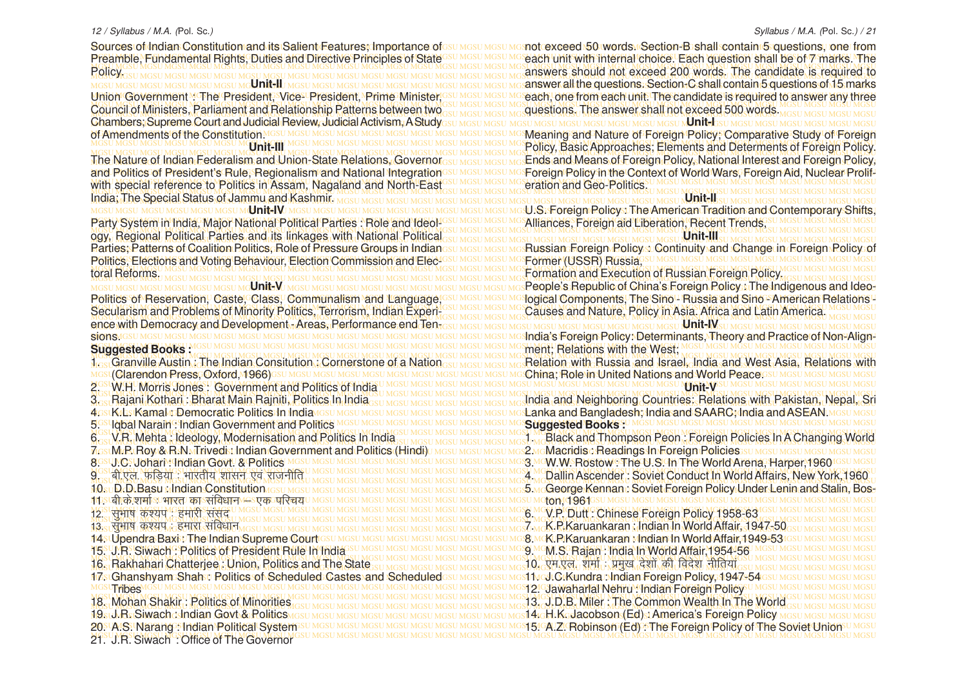Sources of Indian Constitution and its Salient Features; Importance of GSU MGSU MGSU MGSD MG exceed 50 words Section-B shall contain 5 questions, one from Preamble, Fundamental Rights, Duties and Directive Principles of State<sup>GSUMGSUMG</sup>each unit with internal choice. Each question shall be of 7 marks. The MGSU MGSU MGSU MGSU MGSU MGSU MGSU MGSU MGSU MGSU MGSU MGSU MGSU MGSU MGSU MGSU MGSU MGSU MGSU MGSU MGSU MGSU MGSU MGSU MGSU MGSU MGSU MGSU MGSU MGSU MGSU MGSU answers should not exceed 200 words. The candidate is required to MGSU MGSU MGSU MGSU MGSU MGSU MGSU MGSU MGSU MGSU MGSU MGSU MGSU MGSU MGSU MGSU MGSU MGSU MGSU MGSU MGSU MGSU MGSU MGSU MGSU MGSU MGSU MGSU MGSU MGSU MGSU MGSU Policy. MGSU MGSU MGSU MGSU MGSU MGSU MGSU MGSU MGSU MGSU MGSU MGSU MGSU MGSU MGSU MGSU MGSU MGSU MGSU MGSU MGSU MGSU MGSU MGSU MGSU MGSU MGSU MGSU MGSU MGSU MGSU MGSU MGSU MGSU MGSU MGSU MGSU MGSU MGSU MGSU MGSU MGSU MGSU MGSU MGSU MGSU MGSU MGSU MGSU MGSU MGSU MGSU MGSU MGSU MGSU MGSU MGSU MGSU MGSU MGSU MGSU MGSU MGSU MGSU answer all the questions. Section-C shall contain 5 questions of 15 markseach, one from each unit. The candidate is required to answer any three MGSU MGSU MGSU MGSU MGSU MGSU MGSU MGSU MGSU MGSU MGSU MGSU MGSU MGSU MGSU MGSU MGSU MGSU MGSU MGSU MGSU MGSU MGSU MGSU MGSU MGSU MGSU MGSU MGSU MGSU MGSU MGSU Council of Ministers, Parliament and Relationship Patterns between two as under most increased and **council of Ministers, Parliament and Relationship Patterns between two assured and most and the answer shall not exceed 50** MGSU MGSU MGSU MGSU MGSU MGSU MGSU MGSU MGSU MGSU MGSU MGSU MGSU MGSU MGSU MGSU MGSU MGSU MGSU MGSU MGSU MGSU MGSU MGSU MGSU MGSU MGSU MGSU MGSU MGSU MGSU MGSU Chambers; Supreme Court and Judicial Review, Judicial Activism, A Study MGSU MGSU MGSU MGSU MGSU MGSU MGSU MGSU MGSU MGSU MGSU MGSU MGSU MGSU MGSU MGSU MGSU MGSU MGSU MGSU MGSU MGSU MGSU MGSU MGSU MGSU MGSU MGSU MGSU MGSU MGSU MGSU Meaning and Nature of Foreign Policy; Comparative Study of Foreign MGSU MGSU MGSU MGSU MGSU MGSU MGSU MGSU MGSU MGSU MGSU MGSU MGSU MGSU MGSU MGSU MGSU MGSU MGSU MGSU MGSU MGSU MGSU MGSU MGSU MGSU MGSU MGSU MGSU MGSU MGSU MGSU MGSU MGSU MGSU MGSU MGSU MGSU MGSU MGSU MGSU MGSU MGSU MGSU MGSU MGSU MGSU MGSU MGSU MGSU MGSU MGSU MGSU MGSU MGSU MGSU MGSU MGSU MGSU MGSU MGSU MGSU MGSU MGSU Policy, Basic Approaches; Elements and Determents of Foreign Policy. The Nature of Indian Federalism and Union-State Relations, Governor<sub>GSU MGSU MGSU MGS</sub>Ends and Means of Foreign Policy, National Interest and Foreign Policy, and Politics of President's Rule, Regionalism and National Integrationsu MGSU MGSU MGS Poreign Policy in the Context of World Wars, Foreign Aid, Nuclear Prolif-MGSU MGSU MGSU MGSU MGSU MGSU MGSU MGSU MGSU MGSU MGSU MGSU MGSU MGSU MGSU MGSU MGSU MGSU MGSU MGSU MGSU MGSU MGSU MGSU MGSU MGSU MGSU MGSU MGSU MGSU MGSU MGSU with special reference to Politics in Assam, Nagaland and North-East MGSU MGSU MGSU MGSU MGSU MGSU MGSU MGSU MGSU MGSU MGSU MGSU MGSU MGSU MGSU MGSU MGSU MGSU MGSU MGSU MGSU MGSU MGSU MGSU MGSU MGSU MGSU MGSU MGSU MGSU MGSU MGSU MGSU MGSU MGSU MGSU MGSU MGSU MGSU MGSU MGSU MGSU MGSU MGSU MGSU MGSU MGSU MGSU MGSU MGSU MGSU MGSU MGSU MGSU MGSU MGSU MGSU MGSU MGSU MGSU MGSU MGSU MGSU MGSU India; The Special Status of Jammu and Kashmir. MGSU MGSU MGSU MGSU MGSU MGSU MGSU MGSU MGSU MGSU MGSU MGSU MGSU MGSU MGSU MGSU MGSU MGSU MGSU MGSU MGSU MGSU MGSU MGSU MGSU MGSU MGSU MGSU MGSU MGSU MGSU MGSU **Unit-IV** Party System in India, Major National Political Parties : Role and IdeoLIGSUMGUM SAlliances, Foreign aid Liberation, Recent Trends, SUMGSUMGSUMG SALL MGSU MGSU MGSU MGSU MGSU MGSU MGSU MGSU MGSU MGSU MGSU MGSU MGSU MGSU MGSU MGSU MGSU MGSU MGSU MGSU MGSU MGSU MGSU MGSU MGSU MGSU MGSU MGSU MGSU MGSU MGSU MGSU ogy, Regional Political Parties and its linkages with National Political Columnation Messi Messi Messi Messi Messi Messi Messi Messi Messi Messi Messi Messi Messi Messi Messi Messi Messi Messi Messi Messi Messi Messi Messi Parties; Patterns of Coalition Politics, Role of Pressure Groups in Indianesu Mesu Mesu Messian. Foreign Policys: Continuity and Change in Foreign Policy: of MGSU MGSU MGSU MGSU MGSU MGSU MGSU MGSU MGSU MGSU MGSU MGSU MGSU MGSU MGSU MGSU MGSU MGSU MGSU MGSU MGSU MGSU MGSU MGSU MGSU MGSU MGSU MGSU MGSU MGSU MGSU MGSU Politics, Elections and Voting Behaviour, Election Commission and Elec-MGSU MGSU MGSU MGSU MGSU MGSU MGSU MGSU MGSU MGSU MGSU MGSU MGSU MGSU MGSU MGSU MGSU MGSU MGSU MGSU MGSU MGSU MGSU MGSU MGSU MGSU MGSU MGSU MGSU MGSU MGSU MGSU MGSU MGSU MGSU MGSU MGSU MGSU MGSU MGSU MGSU MGSU MGSU MGSU MGSU MGSU MGSU MGSU MGSU MGSU MGSU MGSU MGSU MGSU MGSU MGSU MGSU MGSU MGSU MGSU MGSU MGSU MGSU MGSU Formation and Execution of Russian Foreign Policy. мсsu мсsu мсsu мсsu мсsu мс**su мсUnit-V**и мсsu мсsu мсsu мсsu мсsu мсsu мсsu мсsи мсs**People's Republic of China's Foreign Policy. The Indigenous and Ideo-**Politics of Reservation, Caste, Class, Communalism and Language, GSU MGSU MGSU MG**SOGICO COMPONENtS, The Sino - Russia and Sino - American Relations** -MGSU MGSU MGSU MGSU MGSU MGSU MGSU MGSU MGSU MGSU MGSU MGSU MGSU MGSU MGSU MGSU MGSU MGSU MGSU MGSU MGSU MGSU MGSU MGSU MGSU MGSU MGSU MGSU MGSU MGSU MGSU MGSU MGSU MGSU MGSU MGSU MGSU MGSU MGSU MGSU MGSU MGSU MGSU MGSU MGSU MGSU MGSU MGSU MGSU MGSU MGSU MGSU MGSU MGSU MGSU MGSU MGSU MGSU MGSU MGSU MGSU MGSU MGSU MGSU Causes and Nature, Policy in Asia. Africa and Latin America. MGSU MGSU MGSU MGSU MGSU MGSU MGSU MGSU MGSU MGSU MGSU MGSU MGSU MGSU MGSU MGSU MGSU MGSU MGSU MGSU MGSU MGSU MGSU MGSU MGSU MGSU MGSU MGSU MGSU MGSU MGSU MGSU ence with Democracy and Development - Areas, Performance end Ten-MGSU MGSU MGSU MGSU MGSU MGSU MGSU MGSU MGSU MGSU MGSU MGSU MGSU MGSU MGSU MGSU MGSU MGSU MGSU MGSU MGSU MGSU MGSU MGSU MGSU MGSU MGSU MGSU MGSU MGSU MGSU MGSU India's Foreign Policy: Determinants, Theory and Practice of Non-Align-MGSU MGSU MGSU MGSU MGSU MGSU MGSU MGSU MGSU MGSU MGSU MGSU MGSU MGSU MGSU MGSU MGSU MGSU MGSU MGSU MGSU MGSU MGSU MGSU MGSU MGSU MGSU MGSU MGSU MGSU MGSU MGSU ment; Relations with the West; MGSU MGSU MGSU MGSU MGSU MGSU MGSU MGSU MGSU MGSU MGSU MGSU MGSU MGSU MGSU MGSU MGSU MGSU MGSU MGSU MGSU MGSU MGSU MGSU MGSU MGSU MGSU MGSU MGSU MGSU MGSU MGSU 1<sub>GS</sub> Granville Austin, The Indian Consitution, Cornerstone of a Nation<sub>GSU MGSU MGSU MGSU MGS</sub> Relation with Russia and Israel, India and West Asia, Relations with MGSU MGSU MGSU MGSU MGSU MGSU MGSU MGSU MGSU MGSU MGSU MGSU MGSU MGSU MGSU MGSU MGSU MGSU MGSU MGSU MGSU MGSU MGSU MGSU MGSU MGSU MGSU MGSU MGSU MGSU MGSU MGSU China; Role in United Nations and World Peace. MGSU MGSU MGSU MGSU MGSU MGSU MGSU MGSU MGSU MGSU MGSU MGSU MGSU MGSU MGSU MGSU MGSU MGSU MGSU MGSU MGSU MGSU MGSU MGSU MGSU MGSU MGSU MGSU MGSU MGSU MGSU MGSU 2. W.H. Morris Jones : Government and Politics of India MGSU MGSU MGSU MGSU MGSU MGSU MGSU MGSU MGSU MGSU MGSU MGSU MGSU MGSU MGSU MGSU MGSU MGSU MGSU MGSU MGSU MGSU MGSU MGSU MGSU MGSU MGSU MGSU MGSU MGSU MGSU MGSU 3<sub>GS</sub> Rajani Kothari : Bharat Main Rajniti, Politics In India <sub>35U MGSU MGSU MGSU MGSU MGSU MGSU Mg</sub> India and Neighboring Countries: Relations with Pakistan, Nepal, Sri 4gstK/bstKamaMp**Democratic/Politics:In India**vissu Mgsu Mgsu Mgsu Mgsu Mgsu Mgs**u MgsLanka and Bangladesh; India and SAARC;India and ASEAN**.Mgsu Mgsu MGSU MGSU MGSU MGSU MGSU MGSU MGSU MGSU MGSU MGSU MGSU MGSU MGSU MGSU MGSU MGSU MGSU MGSU MGSU MGSU MGSU MGSU MGSU MGSU MGSU MGSU MGSU MGSU MGSU MGSU MGSU MGSU 5. Iqbal Narain : Indian Government and Politics MGSU MGSU MGSU MGSU MGSU MGSU MGSU MGSU MGSU MGSU MGSU MGSU MGSU MGSU MGSU MGSU MGSU MGSU MGSU MGSU MGSU MGSU MGSU MGSU MGSU MGSU MGSU MGSU MGSU MGSU MGSU MGSU 6. V.R. Mehta: Ideology, Modernisation and Politics In India Su MGSU MGSU MGSU MGSU MGSU MGSI MGSU MGSI MGSU MGSI MGSU MGSI MGSU MGSI MGSU MGSI MGSU MGSI MGSU MGSI MGGU MGGU MGROVID POD : Foreign Policies In A Changing Wor MGSU MGSU MGSU MGSU MGSU MGSU MGSU MGSU MGSU MGSU MGSU MGSU MGSU MGSU MGSU MGSU MGSU MGSU MGSU MGSU MGSU MGSU MGSU MGSU MGSU MGSU MGSU MGSU MGSU MGSU MGSU MGSU 2. Macridis : Readings In Foreign Policies MGSU MGSU MGSU MGSU MGSU MGSU MGSU MGSU MGSU MGSU MGSU MGSU MGSU MGSU MGSU MGSU MGSU MGSU MGSU MGSU MGSU MGSU MGSU MGSU MGSU MGSU MGSU MGSU MGSU MGSU MGSU MGSU 3. W.W. Rostow : The U.S. In The World Arena, Harper,1960 MGSU MGSU MGSU MGSU MGSU MGSU MGSU MGSU MGSU MGSU MGSU MGSU MGSU MGSU MGSU MGSU MGSU MGSU MGSU MGSU MGSU MGSU MGSU MGSU MGSU MGSU MGSU MGSU MGSU MGSU MGSU MGSU MGSU MGSU MGSU MGSU MGSU MGSU MGSU MGSU MGSU MGSU MGSU MGSU MGSU MGSU MGSU MGSU MGSU MGSU MGSU MGSU MGSU MGSU MGSU MGSU MGSU MGSU MGSU MGSU MGSU MGSU MGSU MGSU 4. Dallin Ascender : Soviet Conduct In World Affairs, New York,1960 MGSU MGSU MGSU MGSU MGSU MGSU MGSU MGSU MGSU MGSU MGSU MGSU MGSU MGSU MGSU MGSU MGSU MGSU MGSU MGSU MGSU MGSU MGSU MGSU MGSU MGSU MGSU MGSU MGSU MGSU MGSU MGSU 5. George Kennan : Soviet Foreign Policy Under Lenin and Stalin, Bos-MGSU MGSU MGSU MGSU MGSU MGSU MGSU MGSU MGSU MGSU MGSU MGSU MGSU MGSU MGSU MGSU MGSU MGSU MGSU MGSU MGSU MGSU MGSU MGSU MGSU MGSU MGSU MGSU MGSU MGSU MGSU MGSU ton, 1961 MGSU MGSU MGSU MGSU MGSU MGSU MGSU MGSU MGSU MGSU MGSU MGSU MGSU MGSU MGSU MGSU MGSU MGSU MGSU MGSU MGSU MGSU MGSU MGSU MGSU MGSU MGSU MGSU MGSU MGSU MGSU MGSU 6. V.P. Dutt : Chinese Foreign Policy 1958-63 MGSU MGSU MGSU MGSU MGSU MGSU MGSU MGSU MGSU MGSU MGSU MGSU MGSU MGSU MGSU MGSU MGSU MGSU MGSU MGSU MGSU MGSU MGSU MGSU MGSU MGSU MGSU MGSU MGSU MGSU MGSU MGSU MGSU MGSU MGSU MGSU MGSU MGSU MGSU MGSU MGSU MGSU MGSU MGSU MGSU MGSU MGSU MGSU MGSU MGSU MGSU MGSU MGSU MGSU MGSU MGSU MGSU MGSU MGSU MGSU MGSU MGSU MGSU MGSU 7. K.P.Karuankaran : Indian In World Affair, 1947-50 14st **Upendra Baxis: ThetIndian Supreme Court**icsu Mgsu Mgsu Mgsu Mgsu Mgsu Mgsu Mg**si McK, P:Karuankaran Mndian in World Affair,1949-53**1gsu Mgsu Mgsu Mgsu Mgsu MGSU MGSU MGSU MGSU MGSU MGSU MGSU MGSU MGSU MGSU MGSU MGSU MGSU MGSU MGSU MGSU MGSU MGSU MGSU MGSU MGSU MGSU MGSU MGSU MGSU MGSU MGSU MGSU MGSU MGSU MGSU MGSU 15. J.R. Siwach : Politics of President Rule In India MGSU MGSU MGSU MGSU MGSU MGSU MGSU MGSU MGSU MGSU MGSU MGSU MGSU MGSU MGSU MGSU MGSU MGSU MGSU MGSU MGSU MGSU MGSU MGSU MGSU MGSU MGSU MGSU MGSU MGSU MGSU MGSU MGSU MGSU MGSU MGSU MGSU MGSU MGSU MGSU MGSU MGSU MGSU MGSU MGSU MGSU MGSU MGSU MGSU MGSU MGSU MGSU MGSU MGSU MGSU MGSU MGSU MGSU MGSU MGSU MGSU MGSU MGSU MGSU 16. Rakhahari Chatterjee : Union, Politics and The State MGSU MGSU MGSU MGSU MGSU MGSU MGSU MGSU MGSU MGSU MGSU MGSU MGSU MGSU MGSU MGSU MGSU MGSU MGSU MGSU MGSU MGSU MGSU MGSU MGSU MGSU MGSU MGSU MGSU MGSU MGSU MGSU 17. Ghanshyam Shah : Politics of Scheduled Castes and Scheduled MGSU MGSU MGSU MGSU MGSU MGSU MGSU MGSU MGSU MGSU MGSU MGSU MGSU MGSU MGSU MGSU MGSU MGSU MGSU MGSU MGSU MGSU MGSU MGSU MGSU MGSU MGSU MGSU MGSU MGSU MGSU MGSU 12. Jawaharlal Nehru : Indian Foreign Policy MGSU MGSU MGSU MGSU MGSU MGSU MGSU MGSU MGSU MGSU MGSU MGSU MGSU MGSU MGSU MGSU MGSU MGSU MGSU MGSU MGSU MGSU MGSU MGSU MGSU MGSU MGSU MGSU MGSU MGSU MGSU MGSU MGSU MGSU MGSU MGSU MGSU MGSU MGSU MGSU MGSU MGSU MGSU MGSU MGSU MGSU MGSU MGSU MGSU MGSU MGSU MGSU MGSU MGSU MGSU MGSU MGSU MGSU MGSU MGSU MGSU MGSU MGSU MGSU 13. J.D.B. Miler : The Common Wealth In The World MGSU MGSU MGSU MGSU MGSU MGSU MGSU MGSU MGSU MGSU MGSU MGSU MGSU MGSU MGSU MGSU MGSU MGSU MGSU MGSU MGSU MGSU MGSU MGSU MGSU MGSU MGSU MGSU MGSU MGSU MGSU MGSU 14. H.K. Jacobson (Ed) : America's Foreign Policy 20. A.S. Narang : Indian Political System su MGsu MGsu Mgsu Mgsu Mgsu Mgsu Mgsu Mgsu Mgsu Robinson (Ed) : The Foreign Policy of The Soviet Union U Mgsu MGSU MGSU MGSU MGSU MGSU MGSU MGSU MGSU MGSU MGSU MGSU MGSU MGSU MGSU MGSU MGSU MGSU MGSU MGSU MGSU MGSU MGSU MGSU MGSU MGSU MGSU MGSU MGSU MGSU MGSU MGSU MGSU 21. J.R. Siwach : Office of The Governor Sources of Indian Constitution and its Salient Features; Importance of Preamble, Fundamental Rights, Duties and Directive Principles of State MGSU MGSU MGSU MG**U NIT-II**I MGSU MGSU MGSI Union Government "The President, Vice- President, Prime Minister of Amendments of the Constitution MGSU MGSU MGSU **Unit-III** The Nature of Indian Federalism and Union-State Relations, Governor and Politics of President's Rule, Regionalism and National Integration toral Reforms. MGSU MGSU MGSU MGSU MGSU MGSU MG**U NIT-V**U MGS Politics of Reservation, Caste, Class, Communalism and Language, Secularism and Problems of Minority Politics, Terrorism, Indian Experi-SIONS MGSU MGSU MGSU MGSU MGSU MGSU MGSU M **Suggested Books :** MGSU Clarendon Press, Oxford, 1966) GSU MGSU MGSU MGSU MGSU N 3. Rajani Kothari : Bharat Main Rajniti, Politics In India 4GSUK/LSUKamaMcDemocratic Politics In India 6. V.R. Mehta : Ideology, Modernisation and Politics In India 7.sstMrRtRoy & R.N. TrivedistIndian Government and Politics (Hindi) 8GSU.CSUohari. Indian Govt. & Politics MGSU MGSU M 9. <u>ch-एल, फडिया : भारतीय शासन एवं राजनीति</u> 10<sub>st</sub> D.D.Basu Mndian Constitution GSU MGS 11<mark>1. stan के शर्मा su भारत। का उस विधान 44. एक परिचय</mark> 12. समाप कश्यप हमारी संसद 13. <u>राभाष कश्यप, हमारा संविधान, त</u> 14. Upendra Baxi : The Indian Supreme Court **Tribes** 18. Mohan Shakir : Politics of Minorities 19su.R. Siwach : Indian Govt & Politics 20. A.S. Narang : Indian Political System

questions. The answer shall not exceed 500 words. **Unit-I** eration and Geo-Politics. **Unit-II** U.S. Foreign Policy : The American Tradition and Contemporary Shifts, Alliances, Foreign aid Liberation, Recent Trends, **Unit-III** Russian Foreign Policy : Continuity and Change in Foreign Policy of Former (USSR) Russia, MGSU MGSU MGSU MGSU MGSU MGSU <mark>Unit-IV</mark>ISU MGSU MGSU MGSU MGSU M Relation with Russia and Israel, India and West Asia, Relations with **Unit-V Suggested Books :** 9. M.S. Rajan : India In World Affair,1954-56 10. एम.एल. शर्मा : प्रमुख देशों की विदेश नीतियां s11vcJ.C.Kundra : Indian Foreign Policy, 1947-54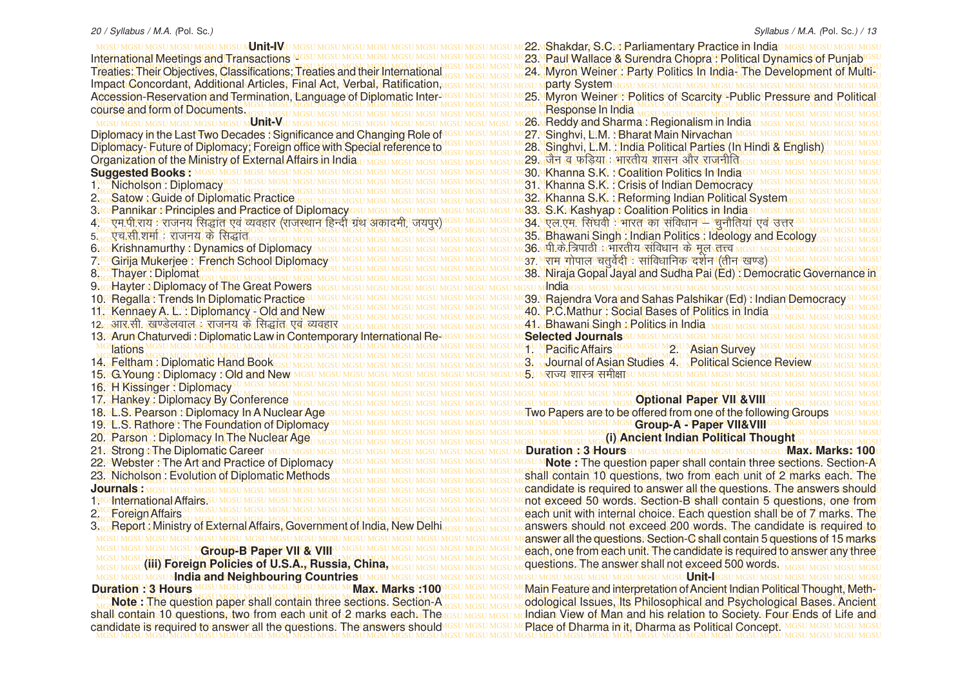MGSU MGSU MGSU MGSU MGSU MGSU MGSU MGSU MGSU MGSU MGSU MGSU MGSU MGSU MGSU MGSU MGSU MGSU MGSU MGSU MGSU MGSU MGSU MGSU MGSU MGSU MGSU MGSU MGSU MGSU MGSU MGSU 22. Shakdar, S.C. : Parliamentary Practice in India MGSU MGSU MGSU MGSU MGSU MGSU MGSU MGSU MGSU MGSU MGSU MGSU MGSU MGSU MGSU MGSU MGSU MGSU MGSU MGSU MGSU MGSU MGSU MGSU MGSU MGSU MGSU MGSU MGSU MGSU MGSU MGSU 23. Paul Wallace & Surendra Chopra : Political Dynamics of Punjab MGSU MGSU MGSU MGSU MGSU MGSU MGSU MGSU MGSU MGSU MGSU MGSU MGSU MGSU MGSU MGSU MGSU MGSU MGSU MGSU MGSU MGSU MGSU MGSU MGSU MGSU MGSU MGSU MGSU MGSU MGSU MGSU <u>reaties; Their Objectives, Classifications; Treaties and their International assumesum 24. Myron Weiner,: Party Politics In India, The Development of Multi-, India, The Development of Multi-, India, The Development of Mul</u> MGSU MGSU MGSU MGSU MGSU MGSU MGSU MGSU MGSU MGSU MGSU MGSU MGSU MGSU MGSU MGSU MGSU MGSU MGSU MGSU MGSU MGSU MGSU MGSU MGSU MGSU MGSU MGSU MGSU MGSU MGSU MGSU party System ccession-Reservation and Termination, Language of Diplomatic Inter MGSU MGSU MGSU M25. Myron Weiner Politics of Scarcity -Public Pressure and Political MGSU MGSU MGSU MGSU MGSU MGSU MGSU MGSU MGSU MGSU MGSU MGSU MGSU MGSU MGSU MGSU MGSU MGSU MGSU MGSU MGSU MGSU MGSU MGSU MGSU MGSU MGSU MGSU MGSU MGSU MGSU MGSU course and form of Documents. MGSU MGSU MGSU MGSU MGSU MGSU MGSU MGSU MGSU MGSU MGSU MGSU MGSU MGSU MGSU MGSU MGSU MGSU MGSU MGSU MGSU MGSU MGSU MGSU MGSU MGSU MGSU MGSU MGSU MGSU MGSU MGSU MGSU MGSU MGSU MGSU MGSU MGSU MGSU MGSU MGSU MGSU MGSU MGSU MGSU MGSU MGSU MGSU MGSU MGSU MGSU MGSU MGSU MGSU MGSU MGSU MGSU MGSU MGSU MGSU MGSU MGSU MGSU MGSU 26. Reddy and Sharma : Regionalism in India MGSU MGSU MGSU MGSU MGSU MGSU MGSU MGSU MGSU MGSU MGSU MGSU MGSU MGSU MGSU MGSU MGSU MGSU MGSU MGSU MGSU MGSU MGSU MGSU MGSU MGSU MGSU MGSU MGSU MGSU MGSU MGSU Diplomacy in the Last Two Decades : Significance and Changing Role of Diplomacy-Future of Diplomacy; Foreign office with Special reference to *ucsumesum* 28. Singhvi, L.M. : India Political Parties (In Hindi & English). MGSU MGSU MGSU MGSU MGSU MGSU MGSU MGSU MGSU MGSU MGSU MGSU MGSU MGSU MGSU MGSU MGSU MGSU MGSU MGSU MGSU MGSU MGSU MGSU MGSU MGSU MGSU MGSU MGSU MGSU MGSU MGSU Drganization of the Ministry of External Affairs in India,u Mgsu Mgsu Mgsu Mgsu Mgsu Mgsu Mg3u Mg3u Mg<del>anization of the Minist</del>y of External Affairs in India,u Mga u Mgsu Mgsu Mgsu Mga u Mga u Mgsu Mgsu Mgsu Mgsu Mgsu M MGSU MGSU MGSU MGSU MGSU MGSU MGSU MGSU MGSU MGSU MGSU MGSU MGSU MGSU MGSU MGSU MGSU MGSU MGSU MGSU MGSU MGSU MGSU MGSU MGSU MGSU MGSU MGSU MGSU MGSU MGSU MGSU 30. Khanna S.K. : Coalition Politics In India MGSU MGSU MGSU MGSU MGSU MGSU MGSU MGSU MGSU MGSU MGSU MGSU MGSU MGSU MGSU MGSU MGSU MGSU MGSU MGSU MGSU MGSU MGSU MGSU MGSU MGSU MGSU MGSU MGSU MGSU MGSU MGSU 31. Khanna S.K. : Crisis of Indian Democracy MGSU MGSU MGSU MGSU MGSU MGSU MGSU MGSU MGSU MGSU MGSU MGSU MGSU MGSU MGSU MGSU MGSU MGSU MGSU MGSU MGSU MGSU MGSU MGSU MGSU MGSU MGSU MGSU MGSU MGSU MGSU MGSU MGSU MGSU MGSU MGSU MGSU MGSU MGSU MGSU MGSU MGSU MGSU MGSU MGSU MGSU MGSU MGSU MGSU MGSU MGSU MGSU MGSU MGSU MGSU MGSU MGSU MGSU MGSU MGSU MGSU MGSU MGSU MGSU 32. Khanna S.K. : Reforming Indian Political System MGSU MGSU MGSU MGSU MGSU MGSU MGSU MGSU MGSU MGSU MGSU MGSU MGSU MGSU MGSU MGSU MGSU MGSU MGSU MGSU MGSU MGSU MGSU MGSU MGSU MGSU MGSU MGSU MGSU MGSU MGSU MGSU 33. S.K. Kashyap : Coalition Politics in India MGSU MGSU MGSU MGSU MGSU MGSU MGSU MGSU MGSU MGSU MGSU MGSU MGSU MGSU MGSU MGSU MGSU MGSU MGSU MGSU MGSU MGSU MGSU MGSU MGSU MGSU MGSU MGSU MGSU MGSU MGSU MGSU 4. ,e-ih-jk; % jktu; fl)kar ,oa O;ogkj ¼jktLFkku fgUnh xzaFk vdkneh] t;iqj½ MGSU MGSU MGSU MGSU MGSU MGSU MGSU MGSU MGSU MGSU MGSU MGSU MGSU MGSU MGSU MGSU MGSU MGSU MGSU MGSU MGSU MGSU MGSU MGSU MGSU MGSU MGSU MGSU MGSU MGSU MGSU MGSU MGSU MGSU MGSU MGSU MGSU MGSU MGSU MGSU MGSU MGSU MGSU MGSU MGSU MGSU MGSU MGSU MGSU MGSU MGSU MGSU MGSU MGSU MGSU MGSU MGSU MGSU MGSU MGSU MGSU MGSU MGSU MGSU 35. Bhawani Singh : Indian Politics : Ideology and Ecology MGSU MGSU MGSU MGSU MGSU MGSU MGSU MGSU MGSU MGSU MGSU MGSU MGSU MGSU MGSU MGSU MGSU MGSU MGSU MGSU MGSU MGSU MGSU MGSU MGSU MGSU MGSU MGSU MGSU MGSU MGSU MGSU 36. ih-ds-f=ikBh % Hkkjrh; lafo/kku ds ewy rÙo MGSU MGSU MGSU MGSU MGSU MGSU MGSU MGSU MGSU MGSU MGSU MGSU MGSU MGSU MGSU MGSU MGSU MGSU MGSU MGSU MGSU MGSU MGSU MGSU MGSU MGSU MGSU MGSU MGSU MGSU MGSU MGSU 37- jke xksiky prqosZnh % lkafo/kkfud n'kZu ¼rhu [k.M½ MGSU MGSU MGSU MGSU MGSU MGSU MGSU MGSU MGSU MGSU MGSU MGSU MGSU MGSU MGSU MGSU MGSU MGSU MGSU MGSU MGSU MGSU MGSU MGSU MGSU MGSU MGSU MGSU MGSU MGSU MGSU MGSU MGSU MGSU MGSU MGSU MGSU MGSU MGSU MGSU MGSU MGSU MGSU MGSU MGSU MGSU MGSU MGSU MGSU MGSU MGSU MGSU MGSU MGSU MGSU MGSU MGSU MGSU MGSU MGSU MGSU MGSU MGSU MGSU 38. Niraja Gopal Jayal and Sudha Pai (Ed) : Democratic Governance in MGSU MGSU MGSU MGSU MGSU MGSU MGSU MGSU MGSU MGSU MGSU MGSU MGSU MGSU MGSU MGSU MGSU MGSU MGSU MGSU MGSU MGSU MGSU MGSU MGSU MGSU MGSU MGSU MGSU MGSU MGSU MGSU India MGSU MGSU MGSU MGSU MGSU MGSU MGSU MGSU MGSU MGSU MGSU MGSU MGSU MGSU MGSU MGSU MGSU MGSU MGSU MGSU MGSU MGSU MGSU MGSU MGSU MGSU MGSU MGSU MGSU MGSU MGSU MGSU 39. Rajendra Vora and Sahas Palshikar (Ed) : Indian Democracy MGSU MGSU MGSU MGSU MGSU MGSU MGSU MGSU MGSU MGSU MGSU MGSU MGSU MGSU MGSU MGSU MGSU MGSU MGSU MGSU MGSU MGSU MGSU MGSU MGSU MGSU MGSU MGSU MGSU MGSU MGSU MGSU 40. P.C.Mathur : Social Bases of Politics in India MGSU MGSU MGSU MGSU MGSU MGSU MGSU MGSU MGSU MGSU MGSU MGSU MGSU MGSU MGSU MGSU MGSU MGSU MGSU MGSU MGSU MGSU MGSU MGSU MGSU MGSU MGSU MGSU MGSU MGSU MGSU MGSU MGSU MGSU MGSU MGSU MGSU MGSU MGSU MGSU MGSU MGSU MGSU MGSU MGSU MGSU MGSU MGSU MGSU MGSU MGSU MGSU MGSU MGSU MGSU MGSU MGSU MGSU MGSU MGSU MGSU MGSU MGSU MGSU 12- vkj-lh- [k.Msyoky % jktu; ds fl)kar ,oa O;ogkj MGSU MGSU MGSU MGSU MGSU MGSU MGSU MGSU MGSU MGSU MGSU MGSU MGSU MGSU MGSU MGSU MGSU MGSU MGSU MGSU MGSU MGSU MGSU MGSU MGSU MGSU MGSU MGSU MGSU MGSU MGSU MGSU 13. Arun Chaturvedi : Diplomatic Law in Contemporary International Re-MGSU MGSU MGSU MGSU MGSU MGSU MGSU MGSU MGSU MGSU MGSU MGSU MGSU MGSU MGSU MGSU MGSU MGSU MGSU MGSU MGSU MGSU MGSU MGSU MGSU MGSU MGSU MGSU MGSU MGSU MGSU MGSU 1. Pacific Affairs 2. Asian Survey MGSU MGSU MGSU MGSU MGSU MGSU MGSU MGSU MGSU MGSU MGSU MGSU MGSU MGSU MGSU MGSU MGSU MGSU MGSU MGSU MGSU MGSU MGSU MGSU MGSU MGSU MGSU MGSU MGSU MGSU MGSU MGSU 14. Feltham : Diplomatic Hand Book MGSU MGSU MGSU MGSU MGSU MGSU MGSU MGSU MGSU MGSU MGSU MGSU MGSU MGSU MGSU MGSU MGSU MGSU MGSU MGSU MGSU MGSU MGSU MGSU MGSU MGSU MGSU MGSU MGSU MGSU MGSU MGSU 3. Journal of Asian Studies 4. Political Science Review MGSU MGSU MGSU MGSU MGSU MGSU MGSU MGSU MGSU MGSU MGSU MGSU MGSU MGSU MGSU MGSU MGSU MGSU MGSU MGSU MGSU MGSU MGSU MGSU MGSU MGSU MGSU MGSU MGSU MGSU MGSU MGSU 5. jkT; 'kkL= leh{kk MGSU MGSU MGSU MGSU MGSU MGSU MGSU MGSU MGSU MGSU MGSU MGSU MGSU MGSU MGSU MGSU MGSU MGSU MGSU MGSU MGSU MGSU MGSU MGSU MGSU MGSU MGSU MGSU MGSU MGSU MGSU MGSU 16. H Kissinger : Diplomacy MGSU MGSU MGSU MGSU MGSU MGSU MGSU MGSU MGSU MGSU MGSU MGSU MGSU MGSU MGSU MGSU MGSU MGSU MGSU MGSU MGSU MGSU MGSU MGSU MGSU MGSU MGSU MGSU MGSU MGSU MGSU MGSU MGSU MGSU MGSU MGSU MGSU MGSU MGSU MGSU MGSU MGSU MGSU MGSU MGSU MGSU MGSU MGSU MGSU MGSU MGSU MGSU MGSU MGSU MGSU MGSU MGSU MGSU MGSU MGSU MGSU MGSU MGSU MGSU 17. Hankey : Diplomacy By Conference 80:LLS0:Rearsond:Diplomacy:In:A:Nuclear:Agessu Mgsu Mgsu Mgsu Mgsu Mgsu Mgsu Mg**Two Rapers:are:to:be offered from one of the following:Groups:** Mgsu Mgsu Mgsu MGSU MGSU MGSU MGSU MGSU MGSU MGSU MGSU MGSU MGSU MGSU MGSU MGSU MGSU MGSU MGSU MGSU MGSU MGSU MGSU MGSU MGSU MGSU MGSU MGSU MGSU MGSU MGSU MGSU MGSU MGSU MGSU 19. L.S. Rathore : The Foundation of Diplomacy MGSU MGSU MGSU MGSU MGSU MGSU MGSU MGSU MGSU MGSU MGSU MGSU MGSU MGSU MGSU MGSU MGSU MGSU MGSU MGSU MGSU MGSU MGSU MGSU MGSU MGSU MGSU MGSU MGSU MGSU MGSU MGSU MGSU MGSU MGSU MGSU MGSU MGSU MGSU MGSU MGSU MGSU MGSU MGSU MGSU MGSU MGSU MGSU MGSU MGSU MGSU MGSU MGSU MGSU MGSU MGSU MGSU MGSU MGSU MGSU MGSU MGSU MGSU MGSU **(i) Ancient Indian Political Thought** MGSU MGSU MGSU MGSU MGSU MGSU MGSU MGSU MGSU MGSU MGSU MGSU MGSU MGSU MGSU MGSU MGSU MGSU MGSU MGSU MGSU MGSU MGSU MGSU MGSU MGSU MGSU MGSU MGSU MGSU MGSU MGSU **Duration : 3 Hours Max. Marks: 100** 2. Webster : The Art and Practice of Diplomacy UMGSUMGSU MGSU MGSU MGSU MGSU MGSU MOTE : The question paper shall contain three sections. Section-AU MGSU MGSU MGSU MGSU MGSU MGSU MGSU MGSU MGSU MGSU MGSU MGSU MGSU MGSU MGSU MGSU MGSU MGSU MGSU MGSU MGSU MGSU MGSU MGSU MGSU MGSU MGSU MGSU MGSU MGSU MGSU MGSU MGSU MGSU MGSU MGSU MGSU MGSU MGSU MGSU MGSU MGSU MGSU MGSU MGSU MGSU MGSU MGSU MGSU MGSU MGSU MGSU MGSU MGSU MGSU MGSU MGSU MGSU MGSU MGSU MGSU MGSU MGSU MGSU shall contain 10 questions, two from each unit of 2 marks each. The MGSU MGSU MGSU MGSU MGSU MGSU MGSU MGSU MGSU MGSU MGSU MGSU MGSU MGSU MGSU MGSU MGSU MGSU MGSU MGSU MGSU MGSU MGSU MGSU MGSU MGSU MGSU MGSU MGSU MGSU MGSU MGSU candidate is required to answer all the questions. The answers should MGSU MGSU MGSU MGSU MGSU MGSU MGSU MGSU MGSU MGSU MGSU MGSU MGSU MGSU MGSU MGSU MGSU MGSU MGSU MGSU MGSU MGSU MGSU MGSU MGSU MGSU MGSU MGSU MGSU MGSU MGSU MGSU not exceed 50 words. Section-B shall contain 5 questions, one from MGSU MGSU MGSU MGSU MGSU MGSU MGSU MGSU MGSU MGSU MGSU MGSU MGSU MGSU MGSU MGSU MGSU MGSU MGSU MGSU MGSU MGSU MGSU MGSU MGSU MGSU MGSU MGSU MGSU MGSU MGSU MGSU each unit with internal choice. Each question shall be of 7 marks. The MGSU MGSU MGSU MGSU MGSU MGSU MGSU MGSU MGSU MGSU MGSU MGSU MGSU MGSU MGSU MGSU MGSU MGSU MGSU MGSU MGSU MGSU MGSU MGSU MGSU MGSU MGSU MGSU MGSU MGSU MGSU MGSU kro Report : Ministry of External Affairs, Government of India, New Delhingsu MGSU MGSU M**answers, should not exceed, 200, words. The candidate is required to** MGSU MGSU MGSU MGSU MGSU MGSU MGSU MGSU MGSU MGSU MGSU MGSU MGSU MGSU MGSU MGSU MGSU MGSU MGSU MGSU MGSU MGSU MGSU MGSU MGSU MGSU MGSU MGSU MGSU MGSU MGSU MGSU answer all the questions. Section-C shall contain 5 questions of 15 marks MGSU MGSU MGSU MGSU MGTOUP-B Paper VII & VIII<sup>U MGSU MGSU MGSU MGSU MGSU MGSU MGSU MG**ach, one from each unit. The candidate is required to answer any three way to the common way we are to be a strong to an information of </sup>** MGSU MGSU MGSU MGSU MGSU MGSU MGSU MGSU MGSU MGSU MGSU MGSU MGSU MGSU MGSU MGSU MGSU MGSU MGSU MGSU MGSU MGSU MGSU MGSU MGSU MGSU MGSU MGSU MGSU MGSU MGSU MGSU **(iii) Foreign Policies of U.S.A., Russia, China,** MGSU MGSU MGSU MGSU MGSU MGSU MGSU MGSU MGSU MGSU MGSU MGSU MGSU MGSU MGSU MGSU MGSU MGSU MGSU MGSU MGSU MGSU MGSU MGSU MGSU MGSU MGSU MGSU MGSU MGSU MGSU MGSU questions. The answer shall not exceed 500 words. MGSU MGSU MGSU MGSU MGSU MGSU MGSU MGSU MGSU MGSU MGSU MGSU MGSU MGSU MGSU MGSU MGSU MGSU MGSU MGSU MGSU MGSU MGSU MGSU MGSU MGSU MGSU MGSU MGSU MGSU MGSU MGSU **India and Neighbouring Countries** Duration": 3 Hours MGSU MGSU MGSU MGSU MGSU MGMAX: Marks '100MGSU MGSU MGSU MGSU MGHARA Feature and interpretation of Ancient Indian Political Thought, Meth<sup>20</sup> MGSU MGSU MGSU MGSU MGSU MGSU MGSU MGSU MGSU MGSU MGSU MGSU MGSU MGSU MGSU MGSU MGSU MGSU MGSU MGSU MGSU MGSU MGSU MGSU MGSU MGSU MGSU MGSU MGSU MGSU MGSU MGSU **MG Note : The question paper shall contain three sections. Section: Augsu MGSU MGSU MCGU MO<b>dological Issues, Its Philosophical and Psychological Bases. Ancient** hall contain 10 questions, two from each unit of 2 marks each പിലപ്പെട്ടു മദാധരാധതിനിലെ Wiew of Man and his relation to Society. Four Ends of Life and MGSU MGSU MGSU MGSU MGSU MGSU MGSU MGSU MGSU MGSU MGSU MGSU MGSU MGSU MGSU MGSU MGSU MGSU MGSU MGSU MGSU MGSU MGSU MGSU MGSU MGSU MGSU MGSU MGSU MGSU MGSU MGSU candidate is required to answer all the questions. The answers shouldMGSU MGSU MGSU MGSU MGSU MGSU MGSU MGSU MGSU MGSU MGSU MGSU MGSU MGSU MGSU MGSU MGSU MGSU MGSU MGSU MGSU MGSU MGSU MGSU MGSU MGSU MGSU MGSU MGSU MGSU MGSU MGSU MGSU MGSU MGSU MGSU MGSU MGSU M**JNIt-IV**AU MGSU MGSU International Meetings and Transactions MG Treaties: Their Objectives, Classifications; Treaties and their International Impact Concordant, Additional Articles, Final Act, Verbal, Ratification, Accession-Reservation and Termination, Language of Diplomatic Inter-MGSU MGSU MGSU MGSU MGSU MGSU M**Unit<sub>-</sub>V**SI Organization of the Ministry of External Affairs in India **Suggested Books UMGSU MGSU MGSU MGSU MGSI** 1<sup>MG</sup>Nicholson : Diplomacy 2. Satow : Guide of Diplomatic Practice 3MG Pannikar : Principles and Practice of Diplomacy 5, , एच.सी.शर्मा, राजनय के सिद्धांत 6. 6 Krishnamurthy : Dynamics of Diplomacy 7. Girija Mukerjee : French School Diplomacy 8. Thayer : Diplomat 9. G.Hayter : Diplomacy of The Great Powers 10. Regalla : Trends In Diplomatic Practices 11. Kennaey A. L. : Diplomancy - Old and New lations 15. G.Young : Diplomacy : Old and New 18str.SaRearsonasDiplomacy In A Nuclear Age 20. Parson : Diplomacy In The Nuclear Age 21. Strong : The Diplomatic Career 22. Webster : The Art and Practice of Diplomacy 23. Nicholson : Evolution of Diplomatic Methods **Journals**<sup>I</sup> MGSILMGSILMGSILMGS 1MGSInternational Affairs.SU 2. Foreign Affairs 3. Report : Ministry of External Affairs, Government of India, New De **GSU MGroup-B Paper VII & VIII Duration : 3 Hours** MGSU MGSU MGSU MGSU MGSU MGSU MG**MAX. Marks : 100 Note :** The question paper shall contain three sections. Section-A shall contain 10 questions, two from each unit of 2 marks each. The

Response In India 27. MSinghvi, L.M. MBharat Main Nirvachan MGSU MGSU M 28. Singhvi, L.M. : India Political Parties (In Hindi & English) 34. "एल.एम<sup>.</sup> सिर्घकी "भारत का 'संविधान<sup>s।</sup> 'चुनौतिया एवं उत्तर **41. Bhawani Singh: Politics in India Messi MGSILM** Selected Journals<sup>3</sup>SU MGSU MGSU MGSU MGSU MGS **Optional Paper VII & VIII Group-A - Paper VII&VIII** ISU MGSU MGSU MGSU MGSU MGSU MGSU **U MT-I**IGSU MGSU MGSU MGSU M

Place of Dharma in it, Dharma as Political Concept.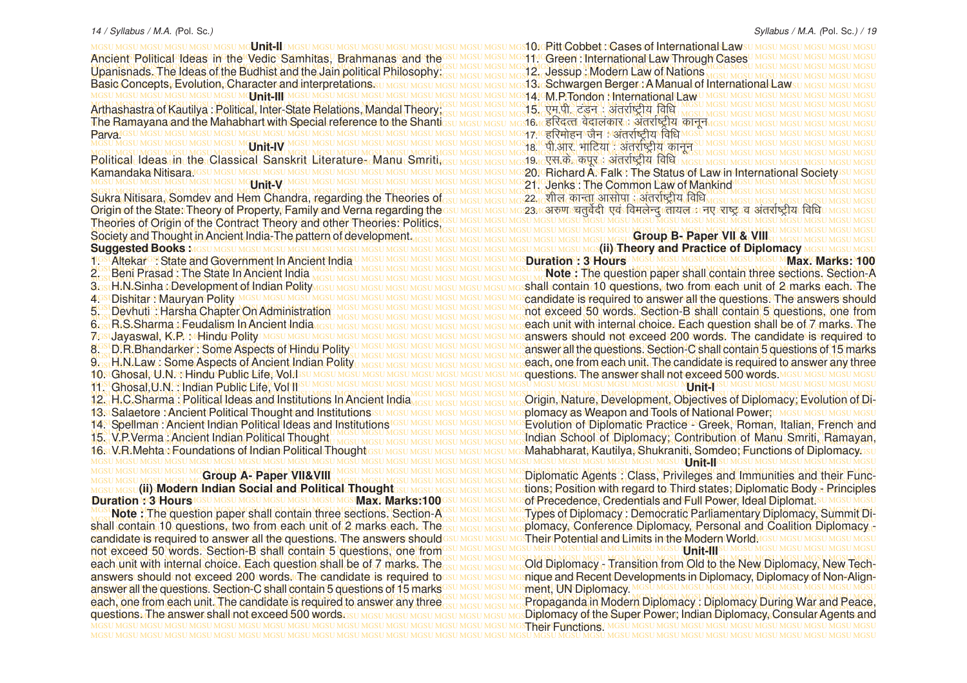MGSU MGSU MGSU MGSU MGSU MGSU MGSU MGSU MGSU MGSU MGSU MGSU MGSU MGSU MGSU MGSU MGSU MGSU MGSU MGSU MGSU MGSU MGSU MGSU MGSU MGSU MGSU MGSU MGSU MGSU MGSU MGSU MGSU MGSU MGSU MGSU MGSU MGSU MGSU MGSU MGSU MGSU MGSU MGSU MGSU MGSU MGSU MGSU MGSU MGSU MGSU MGSU MGSU MGSU MGSU MGSU MGSU MGSU MGSU MGSU MGSU MGSU MGSU MGSU Society and Thought in Ancient India-The pattern of development. MGSU MGSU MGSU MGSU MGSU MGSU MGSU MGSU MGSU MGSU MGSU MGSU MGSU MGSU MGSU MGSU MGSU MGSU MGSU MGSU MGSU MGSU MGSU MGSU MGSU MGSU MGSU MGSU MGSU MGSU MGSU MGSU **(ii) Theory and Practice of Diplomacy** MGSU MGSU MGSU MGSU MGSU MGSU MGSU MGSU MGSU MGSU MGSU MGSU MGSU MGSU MGSU MGSU MGSU MGSU MGSU MGSU MGSU MGSU MGSU MGSU MGSU MGSU MGSU MGSU MGSU MGSU MGSU MGSU 1. Altekar : State and Government In Ancient India MGSU MGSU MGSU MGSU MGSU MGSU MGSU MGSU MGSU MGSU MGSU MGSU MGSU MGSU MGSU MGSU MGSU MGSU MGSU MGSU MGSU MGSU MGSU MGSU MGSU MGSU MGSU MGSU MGSU MGSU MGSU MGSU MGSU MGSU MGSU MGSU MGSU MGSU MGSU MGSU MGSU MGSU MGSU MGSU MGSU MGSU MGSU MGSU MGSU MGSU MGSU MGSU MGSU MGSU MGSU MGSU MGSU MGSU MGSU MGSU MGSU MGSU MGSU MGSU 11. Ghosal,U.N. : Indian Public Life, Vol II MGSU MGSU MGSU MGSU MGSU MGSU MGSU MGSU MGSU MGSU MGSU MGSU MGSU MGSU MGSU MGSU MGSU MGSU MGSU MGSU MGSU MGSU MGSU MGSU MGSU MGSU MGSU MGSU MGSU MGSU MGSU MGSU MGSU MGSU MGSU MGSU MGSU MGSU MGSU MGSU MGSU MGSU MGSU MGSU MGSU MGSU MGSU MGSU MGSU MGSU MGSU MGSU MGSU MGSU MGSU MGSU MGSU MGSU MGSU MGSU MGSU MGSU MGSU MGSU **Unit-II USINIGHU MGSU MGSU MGSU MGSU Unit-IV** Kamandaka Nitisara GSU MGSU **Unit-V Suggested Books: MGSU MGSU MGSU MGSU MGSU MGSU MGS** 2. Beni Prasad : The State In Ancient India 3. **3. H.N. Sinha : Development of Indian Polity** 4. GSLDIShitar : Mauryan Polity MGSU MGSU MGSU MGSU 5. Devhuti : Harsha Chapter On Administration 6. R.S.Sharma : Feudalism In Ancient India *Institute* 7GSUJayaswal, KCPU MHindusPolity MGSU MGSU MGSU MGS 8. D.R.Bhandarker : Some Aspects of Hindu Polity 9. H.N.Law : Some Aspects of Ancient Indian Polity 10. Ghosal, U.N. : Hindu Rublic Life Woldsu MGSU MGSU 12. H.C.Sharma : Political Ideas and Institutions In Ancient India 13. Salaetore : Ancient Political Thought and Institutions 14. Spellman : Ancient Indian Political Ideas and Institutions 15. V.P.Verma : Ancient Indian Political Thought 16. V.R.Mehta : Foundations of Indian Political Thought

### **Group A- Paper VII&VIII**

MGSU MGSU MGSU MGSU MGSU MGSU MGSU MGSU MGSU MGSU MGSU MGSU MGSU MGSU MGSU MGSU MGSU MGSU MGSU MGSU MGSU MGSU MGSU MGSU MGSU MGSU MGSU MGSU MGSU MGSU MGSU MGSU of Precedence, Credentials and Full Power, Ideal Diplomat. MGSU MGSU MGSU MGSU MGSU MGSU MGSU MGSU MGSU MGSU MGSU MGSU MGSU MGSU MGSU MGSU MGSU MGSU MGSU MGSU MGSU MGSU MGSU MGSU MGSU MGSU MGSU MGSU MGSU MGSU MGSU MGSU Moss Note: The question paper shall contain three sections. Section-A GSU MGSU MGSU MC Types of Diplomacy: Democratic Parliamentary Diplomacy, Summit Di-<u>shall contain 10 questions, two from each unit of 2 marks each oThecsu Mosu Mosu Mosumo plomacy. Conference Diplomacy, Personal and Coalition Diplomacy -</u> MGSU MGSU MGSU MGSU MGSU MGSU MGSU MGSU MGSU MGSU MGSU MGSU MGSU MGSU MGSU MGSU MGSU MGSU MGSU MGSU MGSU MGSU MGSU MGSU MGSU MGSU MGSU MGSU MGSU MGSU MGSU MGSU Their Potential and Limits in the Modern World. MGSU MGSU MGSU MGSU MGSU MGSU MGSU MGSU MGSU MGSU MGSU MGSU MGSU MGSU MGSU MGSU MGSU MGSU MGSU MGSU MGSU MGSU MGSU MGSU MGSU MGSU MGSU MGSU MGSU MGSU MGSU MGSU not exceed 50 words. Section-B shall contain 5 questions, one from MGSU MGSU MGSU MGSU MGSU MGSU MGSU MGSU MGSU MGSU MGSU MGSU MGSU MGSU MGSU MGSU MGSU MGSU MGSU MGSU MGSU MGSU MGSU MGSU MGSU MGSU MGSU MGSU MGSU MGSU MGSU MGSU each unit with internal choice. Each question shall be of 7 marks. The<sub>GSU MGSU MGSU MGSU MG</sub>Old Diplomacy <sub>□</sub> Transition from Old to the New Diplomacy, New Techanswers⊧should⊲not⊴exceed⊧200⊴words∉Thercandidatesis⊧required⊴tossu <u>Mosu Mosu Mo</u>snique and Recent⊧Developmentsin Diplomacy, Diplomacy of Non÷Align-MGSU MGSU MGSU MGSU MGSU MGSU MGSU MGSU MGSU MGSU MGSU MGSU MGSU MGSU MGSU MGSU MGSU MGSU MGSU MGSU MGSU MGSU MGSU MGSU MGSU MGSU MGSU MGSU MGSU MGSU MGSU MGSU answer all the questions. Section-C shall contain 5 questions of 15 marks MGSU MGSU MGSU MGSU MGSU MGSU MGSU MGSU MGSU MGSU MGSU MGSU MGSU MGSU MGSU MGSU MGSU MGSU MGSU MGSU MGSU MGSU MGSU MGSU MGSU MGSU MGSU MGSU MGSU MGSU MGSU MGSU each, one from each unit. The candidate is required to answer any three su masu masu mg Propaganda in Modern Diplomacy : Diplomacy During War and Peace, questionsപThe answer shall not exceed 500 words ദൃധ MGSU MGSU MGSU MGSU MGSU MGSU MGS**Diplomacy of the Super Rower; Indian Diplomacy, Consular Agents and** MGSU MGSU MGSU MGSU MGSU MGSU MGSU MGSU MGSU MGSU MGSU MGSU MGSU MGSU MGSU MGSU MGSU MGSU MGSU MGSU MGSU MGSU MGSU MGSU MGSU MGSU MGSU MGSU MGSU MGSU MGSU MGSU Their Functions.**MGSU MGSU (iii) Modern Indian Social and Political Thought Duration : 3 Hours IGSU MGSU MGSU MGSU MGSU MGSU MGSU Max. Marks: 100** candidate is required to answer all the questions. The answers should answers should not exceed 200 words. The candidate is required to each, one from each unit. The candidate is required to answer any three questions. The answer shall not exceed 500 words. GSU MGSU

#### Syllabus / M.A. (Pol. Sc.) / 19

MGSU MGSU MGSU MGSU MGSU MGSU MGSU MGSU MGSU MGSU MGSU MGSU MGSU MGSU MGSU MGSU MGSU MGSU MGSU MGSU MGSU MGSU MGSU MGSU MGSU MGSU MGSU MGSU MGSU MGSU MGSU MGSU **Unit-II** MGSU MGSU MGSU MGSU MGSU MGSU MGSU MGSU MGSU MGSU MGSU MGSU MGSU MGSU MGSU MGSU MGSU MGSU MGSU MGSU MGSU MGSU MGSU MGSU MGSU MGSU MGSU MGSU MGSU MGSU MGSU MGSU Ancient Political Ideas in the Vedic Samhitas, Brahmanas and the MGSU MGSU MGSU MGSU MGSU MGSU MGSU MGSU MGSU MGSU MGSU MGSU MGSU MGSU MGSU MGSU MGSU MGSU MGSU MGSU MGSU MGSU MGSU MGSU MGSU MGSU MGSU MGSU MGSU MGSU MGSU MGSU MGSU MGSU MGSU MGSU MGSU MGSU MGSU MGSU MGSU MGSU MGSU MGSU MGSU MGSU MGSU MGSU MGSU MGSU MGSU MGSU MGSU MGSU MGSU MGSU MGSU MGSU MGSU MGSU MGSU MGSU MGSU MGSU Upanisnads. The Ideas of the Budhist and the Jain political Philosophy: MGSU MGSU MGSU MGSU MGSU MGSU MGSU MGSU MGSU MGSU MGSU MGSU MGSU MGSU MGSU MGSU MGSU MGSU MGSU MGSU MGSU MGSU MGSU MGSU MGSU MGSU MGSU MGSU MGSU MGSU MGSU MGSU Basic Concepts, Evolution, Character and interpretations. MGSU MGSU MGSU MGSU MGSU MGSU MGSU MGSU MGSU MGSU MGSU MGSU MGSU MGSU MGSU MGSU MGSU MGSU MGSU MGSU MGSU MGSU MGSU MGSU MGSU MGSU MGSU MGSU MGSU MGSU MGSU MGSU 14. M.P.Tondon : International Law MGSU MGSU MGSU MGSU MGSU MGSU MGSU MGSU MGSU MGSU MGSU MGSU MGSU MGSU MGSU MGSU MGSU MGSU MGSU MGSU MGSU MGSU MGSU MGSU MGSU MGSU MGSU MGSU MGSU MGSU MGSU MGSU MGSU MGSU MGSU MGSU MGSU MGSU MGSU MGSU MGSU MGSU MGSU MGSU MGSU MGSU MGSU MGSU MGSU MGSU MGSU MGSU MGSU MGSU MGSU MGSU MGSU MGSU MGSU MGSU MGSU MGSU MGSU MGSU Arthashastra of Kautilya : Political, Inter-State Relations, Mandal Theory; MGSU MGSU MGSU MGSU MGSU MGSU MGSU MGSU MGSU MGSU MGSU MGSU MGSU MGSU MGSU MGSU MGSU MGSU MGSU MGSU MGSU MGSU MGSU MGSU MGSU MGSU MGSU MGSU MGSU MGSU MGSU MGSU The Ramayana and the Mahabhart with Special reference to the Shanti MGSU MGSU MGSU MGSU MGSU MGSU MGSU MGSU MGSU MGSU MGSU MGSU MGSU MGSU MGSU MGSU MGSU MGSU MGSU MGSU MGSU MGSU MGSU MGSU MGSU MGSU MGSU MGSU MGSU MGSU MGSU MGSU Parva. MGSU MGSU MGSU MGSU MGSU MGSU MGSU MGSU MGSU MGSU MGSU MGSU MGSU MGSU MGSU MGSU MGSU MGSU MGSU MGSU MGSU MGSU MGSU MGSU MGSU MGSU MGSU MGSU MGSU MGSU MGSU MGSU 18- ih-vkj- HkkfV;k % varjkZ"Vªh; dkuwu MGSU MGSU MGSU MGSU MGSU MGSU MGSU MGSU MGSU MGSU MGSU MGSU MGSU MGSU MGSU MGSU MGSU MGSU MGSU MGSU MGSU MGSU MGSU MGSU MGSU MGSU MGSU MGSU MGSU MGSU MGSU MGSU 19- ,l-ds- diwj % varjkZ"Vªh; fof/k MGSU MGSU MGSU MGSU MGSU MGSU MGSU MGSU MGSU MGSU MGSU MGSU MGSU MGSU MGSU MGSU MGSU MGSU MGSU MGSU MGSU MGSU MGSU MGSU MGSU MGSU MGSU MGSU MGSU MGSU MGSU MGSU Political Ideas in the Classical Sanskrit Literature- Manu Smriti, MGSU MGSU MGSU MGSU MGSU MGSU MGSU MGSU MGSU MGSU MGSU MGSU MGSU MGSU MGSU MGSU MGSU MGSU MGSU MGSU MGSU MGSU MGSU MGSU MGSU MGSU MGSU MGSU MGSU MGSU MGSU MGSU 20. Richard A. Falk : The Status of Law in International Society MGSU MGSU MGSU MGSU MGSU MGSU MGSU MGSU MGSU MGSU MGSU MGSU MGSU MGSU MGSU MGSU MGSU MGSU MGSU MGSU MGSU MGSU MGSU MGSU MGSU MGSU MGSU MGSU MGSU MGSU MGSU MGSU 21. Jenks : The Common Law of Mankind MGSU MGSU MGSU MGSU MGSU MGSU MGSU MGSU MGSU MGSU MGSU MGSU MGSU MGSU MGSU MGSU MGSU MGSU MGSU MGSU MGSU MGSU MGSU MGSU MGSU MGSU MGSU MGSU MGSU MGSU MGSU MGSU MGSU MGSU MGSU MGSU MGSU MGSU MGSU MGSU MGSU MGSU MGSU MGSU MGSU MGSU MGSU MGSU MGSU MGSU MGSU MGSU MGSU MGSU MGSU MGSU MGSU MGSU MGSU MGSU MGSU MGSU MGSU MGSU Sukra Nitisara, Somdev and Hem Chandra, regarding the Theories of Origin of the State:Theory of Property, Family and Verna regarding the esu Mesu Mesu Meszaw अलग नेतृवेदी। एवः विभलेन्दु । तायलः जपः राष्ट्राष्ट्राव । अतरोष्ट्रीय विधि। Mesu Mesu Mesu MGSU MGSU MGSU MGSU MGSU MGSU MGSU MGSU MGSU MGSU MGSU MGSU MGSU MGSU MGSU MGSU MGSU MGSU MGSU MGSU MGSU MGSU MGSU MGSU MGSU MGSU MGSU MGSU MGSU MGSU MGSU MGSU Theories of Origin of the Contract Theory and other Theories: Politics, s10. General Cobbet : Cases of International Lawsu MGSU MGSU MGS 11. Green : International Law Through Cases 12. Jessup : Modern Law of Nations 13. Schwargen Berger : A Manual of International Law  $^{815}$ िएम पी $^{814}$ डीजे अंतर्राष्टीय विधि <u>16. हरिदत्त वेदालकार : अंतर्राष्ट्रीय कानन</u> <u>17. G</u> दिमोहन जैन अअंतर्राष्ट्रीय विधि 22. शील कान्ता आसोपा : अंतर्राष्ट्रीय विधि 23- v#.k prqosZnh ,oa foeysUnq rk;y % u, jk"Vª o varjkZ"Vªh; fof/k

## **Group B- Paper VII & VIII Duration : 3 Hours MGSU MGSU MGSU MGSU MGSU MMAX. CMarks: 100**

2. Beni Prasad: The State In Ancient India was under the state of the state of the section of the question paper shall contain three sections. Section-A 3<sub>GSU</sub>H.N.Sinha nDevelopment of Indian Rolity<sub>MGSU MGSU MGSU MGSU MGSU MGSU MGS**hall contain 10 questions, two from each unit of 2 marks each. The**</sub> MGSU MGSU MGSU MGSU MGSU MGSU MGSU MGSU MGSU MGSU MGSU MGSU MGSU MGSU MGSU MGSU MGSU MGSU MGSU MGSU MGSU MGSU MGSU MGSU MGSU MGSU MGSU MGSU MGSU MGSU MGSU MGSU candidate is required to answer all the questions. The answers should MGSU MGSU MGSU MGSU MGSU MGSU MGSU MGSU MGSU MGSU MGSU MGSU MGSU MGSU MGSU MGSU MGSU MGSU MGSU MGSU MGSU MGSU MGSU MGSU MGSU MGSU MGSU MGSU MGSU MGSU MGSU MGSU 5. Devhuti: Harsha Chapter On Administration MGSU MGSU MGSU MGSU MGSU MGSU MGSU MG not exceed 50 words. Section-B shall contain 5 questions, one from 6<sub>GSL</sub>R.S.Sharma.;Feudalism In Ancient India<sub>MGSU MGSU MGSU MGSU MGSU MGSU MGSU Mg**seach unit with internal choice..Each question shall be of 7 marks. The**</sub> MGSU MGSU MGSU MGSU MGSU MGSU MGSU MGSU MGSU MGSU MGSU MGSU MGSU MGSU MGSU MGSU MGSU MGSU MGSU MGSU MGSU MGSU MGSU MGSU MGSU MGSU MGSU MGSU MGSU MGSU MGSU MGSU answers should not exceed 200 words. The candidate is required to MGSU MGSU MGSU MGSU MGSU MGSU MGSU MGSU MGSU MGSU MGSU MGSU MGSU MGSU MGSU MGSU MGSU MGSU MGSU MGSU MGSU MGSU MGSU MGSU MGSU MGSU MGSU MGSU MGSU MGSU MGSU MGSU 8. D.R.Bhandarker : Some Aspects of Hindu Polity & Museum Missulmasu Missulmasu Missulman answer all the questions. Section-C shall contain 5 questions of 15 marks 9<sub>Gs</sub> H.N.Law : Some Aspects of Ancient Indian Rolity<sub>U MGSU MGSU MGSU MGSU MGSU MGSU MG**seach, one from each unit. The candidate is required to answer any three**</sub> MGSU MGSU MGSU MGSU MGSU MGSU MGSU MGSU MGSU MGSU MGSU MGSU MGSU MGSU MGSU MGSU MGSU MGSU MGSU MGSU MGSU MGSU MGSU MGSU MGSU MGSU MGSU MGSU MGSU MGSU MGSU MGSU questions. The answer shall not exceed 500 words. **Unit-I**

MGSU MGSU MGSU MGSU MGSU MGSU MGSU MGSU MGSU MGSU MGSU MGSU MGSU MGSU MGSU MGSU MGSU MGSU MGSU MGSU MGSU MGSU MGSU MGSU MGSU MGSU MGSU MGSU MGSU MGSU MGSU MGSU Origin, Nature, Development, Objectives of Diplomacy; Evolution of Di-MGSU MGSU MGSU MGSU MGSU MGSU MGSU MGSU MGSU MGSU MGSU MGSU MGSU MGSU MGSU MGSU MGSU MGSU MGSU MGSU MGSU MGSU MGSU MGSU MGSU MGSU MGSU MGSU MGSU MGSU MGSU MGSU plomacy as Weapon and Tools of National Power; 14. Spellman : Ancient Indian Political Ideas and Institutions<sup>1GSU MGSU MGSU MGSU MGSU MGSU MG</sup>Evolution of Diplomatic Practice<sup>rs</sup> Greek, Roman, Italian, French and MGSU MGSU MGSU MGSU MGSU MGSU MGSU MGSU MGSU MGSU MGSU MGSU MGSU MGSU MGSU MGSU MGSU MGSU MGSU MGSU MGSU MGSU MGSU MGSU MGSU MGSU MGSU MGSU MGSU MGSU MGSU MGSU 15. V.P.Verma: Ancient Indian Political Thought was under the state of state and the state of the school of Diplomacy; Contribution of Manu Smriti, Ramayan, <u>16stV.B.MehtaMFoundations of Indian Political Thought est Mest Mest Mest Mest Mest MestAbharat, Kautilya, Shukraniti, Somdeo; Functions of Diplomacy.su</u>

MGSU MGSU MGSU MGSU MGSU MGSU MGSU MGSU MGSU MGSU MGSU MGSU MGSU MGSU MGSU MGSU MGSU MGSU MGSU MGSU MGSU MGSU MGSU MGSU MGSU MGSU MGSU MGSU MGSU MGSU MGSU MGSU MGSU MGSU MGSU MGSU MGSU MGSU MGSU MGSU MGSU MGSU MGSU MGSU MGSU MGSU MGSU MGSU MGSU MGSU MGSU MGSU MGSU MGSU MGSU MGSU MGSU MGSU MGSU MGSU MGSU MGSU MGSU MGSU Diplomatic Agents : Class, Privileges and Immunities and their Func-MGSU MGSU**(ii) Modern Indian Social and Political Thought**esu Mesu Mesu Mesu Mesu Mes**tions) Rosition with regard to Third states, Diplomatic Bodyst Principles** Types of Diplomacy : Democratic Parliamentary Diplomacy, Summit Diplomacy, Conference Diplomacy, Personal and Coalition Diplomacy - **Unit-III**

Old Diplomacy - Transition from Old to the New Diplomacy, New Techment, UN Diplomacy.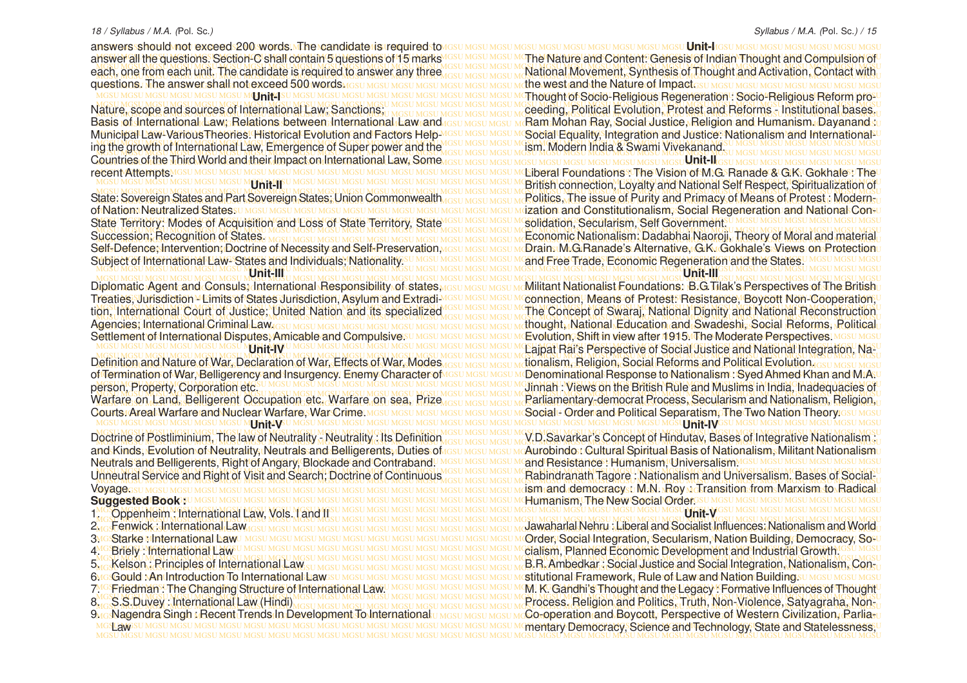MGSU MGSU MGSU MGSU MGSU MGSU MGSU MGSU MGSU MGSU MGSU MGSU MGSU MGSU MGSU MGSU MGSU MGSU MGSU MGSU MGSU MGSU MGSU MGSU MGSU MGSU MGSU MGSU MGSU MGSU MGSU MGSU answers should not exceed 200 words. The candidate is required to answer all the questions. Section-C shall contain 5 questions of 15 marks each, one from each unit. The candidate is required to answer any three questions. The answer shall not exceed 500 words and IGSU MGSU MGSU MGSU MGSU MGSU M**4 J FITL**I SU

MGSU MGSU MGSU MGSU MGSU MGSU MGSU MGSU MGSU MGSU MGSU MGSU MGSU MGSU MGSU MGSU MGSU MGSU MGSU MGSU MGSU MGSU MGSU MGSU MGSU MGSU MGSU MGSU MGSU MGSU MGSU MGSU ing the growth of International Law, Emergence of Super power and the MGSU MGSU MGSU MGSU MGSU MGSU MGSU MGSU MGSU MGSU MGSU MGSU MGSU MGSU MGSU MGSU MGSU MGSU MGSU MGSU MGSU MGSU MGSU MGSU MGSU MGSU MGSU MGSU MGSU MGSU MGSU MGSU Countries of the Third World and their Impact on International Law, Some Basis of International Law; Relations between International Law and Municipal Law-VariousTheories. Historical Evolution and Factors Helprecent Attempts MGSU MGSU MGSU MGSU MGSU MGSU MGSU

## **Unit-II**

MGSU MGSU MGSU MGSU MGSU MGSU MGSU MGSU MGSU MGSU MGSU MGSU MGSU MGSU MGSU MGSU MGSU MGSU MGSU MGSU MGSU MGSU MGSU MGSU MGSU MGSU MGSU MGSU MGSU MGSU MGSU MGSU State Territory: Modes of Acquisition and Loss of State Territory, State State: Sovereign States and Part Sovereign States; Union Commonwealt of Nation: Neutralized States. Succession; Recognition of States. Self-Defence; Intervention; Doctrine of Necessity and Self-Preservation

MGSU MGSU MGSU MGSU MGSU MGSU MGSU MGSU MGSU MGSU MGSU MGSU MGSU MGSU MGSU MGSU MGSU MGSU MGSU MGSU MGSU MGSU MGSU MGSU MGSU MGSU MGSU MGSU MGSU MGSU MGSU MGSU **Unit-III**

Treaties, Jurisdiction - Limits of States Jurisdiction, Asylum and Extradi-Settlement of International Disputes, Amicable and Compulsive.

#### **Unit-IV**

MGSU MGSU MGSU MGSU MGSU MGSU MGSU MGSU MGSU MGSU MGSU MGSU MGSU MGSU MGSU MGSU MGSU MGSU MGSU MGSU MGSU MGSU MGSU MGSU MGSU MGSU MGSU MGSU MGSU MGSU MGSU MGSU Warfare on Land, Belligerent Occupation etc. Warfare on sea, Prize of Termination of War, Belligerency and Insurgency. Enemy Character of person, Property, Corporation etc. Courts. Areal Warfare and Nuclear Warfare, War Crime. MGSL **Unit-V**

Doctrine of Postliminium, The law of Neutrality - Neutrality : Its Definition and Kinds, Evolution of Neutrality, Neutrals and Belligerents, Duties of Neutrals and Belligerents, Right of Angary, Blockade and Contraband. Unneutral Service and Right of Visit and Search; Doctrine of Continuous Voyage.

#### **Suggested Book :** U MGSU MGSU MGSU MGS

- MGSU MGSU MGSU MGSU MGSU MGSU MGSU MGSU MGSU MGSU MGSU MGSU MGSU MGSU MGSU MGSU MGSU MGSU MGSU MGSU MGSU MGSU MGSU MGSU MGSU MGSU MGSU MGSU MGSU MGSU MGSU MGSU 1. Oppenheim : International Law, Vols. I and II
- 2. Fenwick : International Law
- 3MGStarke Mnternational Law
- 4. Briely : International Law
- 5. Kelson : Principles of International Law
- 6. Gould : An Introduction To International Law
- 7. Friedman : The Changing Structure of International Law.
- 8. S.S.Duvey : International Law (Hindi)
- <u>Mos</u>Nagendra Singh : RecentTrends In Development To International umesumesumeCo-operation and Boycott, Perspective of Western Civilization, Rarlia-u MGSU MGSU MGSU MGSU MGSU MGSU MGSU MGSU MGSU MGSU MGSU MGSU MGSU MGSU MGSU MGSU MGSU MGSU MGSU MGSU MGSU MGSU MGSU MGSU MGSU MGSU MGSU MGSU MGSU MGSU MGSU MGSU mentary Democracy, Science and Technology, State and Statelessness, MGSU MGSU MGSU MGSU MGSU MGSU MGSU MGSU MGSU MGSU MGSU MGSU MGSU MGSU MGSU MGSU MGSU MGSU MGSU MGSU MGSU MGSU MGSU MGSU MGSU MGSU MGSU MGSU MGSU MGSU MGSU MGSU 9<u>∿GNagendra Singh rRecent</u> Trends In Development To International **SUAWEST**

nswer all the questions. Section-C shall contain 5 questions of 15 marks<sup>MGSU MGSU MGSU MThe Nature</sup> and Content: Genesis of Indian Thought and Compulsion of MGSU MGSU MGSU MGSU MGSU MGSU MGSU MGSU MGSU MGSU MGSU MGSU MGSU MGSU MGSU MGSU MGSU MGSU MGSU MGSU MGSU MGSU MGSU MGSU MGSU MGSU MGSU MGSU MGSU MGSU MGSU MGSU ach, one from each unit. The candidate is required to answer any three asy mosulational Movement, Synthesis of Thought and Activation, Contact with MGSU MGSU MGSU MGSU MGSU MGSU MGSU MGSU MGSU MGSU MGSU MGSU MGSU MGSU MGSU MGSU MGSU MGSU MGSU MGSU MGSU MGSU MGSU MGSU MGSU MGSU MGSU MGSU MGSU MGSU MGSU MGSU the west and the Nature of Impact. MGSU MGSU MGSU MGSU MGSU MGSU MGSU MGSU MGSU MGSU MGSU MGSU MGSU MGSU MGSU MGSU MGSU MGSU MGSU MGSU MGSU MGSU MGSU MGSU MGSU MGSU MGSU MGSU MGSU MGSU MGSU MGSU Thought of Socio-Religious Regeneration : Socio-Religious Reform prolature, scope and sources of International Law; Sanctions, I MGSU MGSU MGSU MGSU MGSU MGG UNICAL Evolution, Protest and Reforms - Institutional bases. MGSU MGSU MGSU MGSU MGSU MGSU MGSU MGSU MGSU MGSU MGSU MGSU MGSU MGSU MGSU MGSU MGSU MGSU MGSU MGSU MGSU MGSU MGSU MGSU MGSU MGSU MGSU MGSU MGSU MGSU MGSU MGSU Nature, scope and sources of International Law; Sanctions; lasis of International Law; Relations between International Law and <sub>IGSU MGSU MGSU M</sub>Ram Mohan Ray, Social Justice, Religion and Humanism. Dayanand su lunicipal Law-VariousTheories. Historical Evolution and Factors Help™ssu Mosu Mosu McSocial Equality, Integration and Justice. Nationalism and International-⊔ MGSU MGSU MGSU MGSU MGSU MGSU MGSU MGSU MGSU MGSU MGSU MGSU MGSU MGSU MGSU MGSU MGSU MGSU MGSU MGSU MGSU MGSU MGSU MGSU MGSU MGSU MGSU MGSU MGSU MGSU MGSU MGSU MGSU MGSU MGSU MGSU MGSU **Unit-I**IGSU MGSU MGSU MGSU MGSU MGSU MGSU ism. Modern India & Swami Vivekanand.

MGSU MGSU MGSU MGSU MGSU MGSU MGSU MGSU MGSU MGSU MGSU MGSU MGSU MGSU MGSU MGSU MGSU MGSU MGSU MGSU MGSU MGSU MGSU MGSU MGSU MGSU MGSU MGSU MGSU MGSU MGSU MGSU Liberal Foundations : The Vision of M.G. Ranade & G.K. Gokhale : The MGSU MGSU MGSU MGSU MGSU MGSU MGSU MGSU MGSU MGSU MGSU MGSU MGSU MGSU MGSU MGSU MGSU MGSU MGSU MGSU MGSU MGSU MGSU MGSU MGSU MGSU MGSU MGSU MGSU MGSU MGSU MGSU British connection, Loyalty and National Self Respect, Spiritualization of MGSU MGSU MGSU MGSU MGSU MGSU MGSU MGSU MGSU MGSU MGSU MGSU MGSU MGSU MGSU MGSU MGSU MGSU MGSU MGSU MGSU MGSU MGSU MGSU MGSU MGSU MGSU MGSU MGSU MGSU MGSU MGSU tate: Sovereign States and Part Sovereign States; Union Commonwealth assumes in Rolitics, The issue of Purity and Primacy of Means of Protest : Modernsu MGSU MGSU MGSU MGSU MGSU MGSU MGSU MGSU MGSU MGSU MGSU MGSU MGSU MGSU MGSU MGSU MGSU MGSU MGSU MGSU MGSU MGSU MGSU MGSU MGSU MGSU MGSU MGSU MGSU MGSU MGSU MGSU ization and Constitutionalism, Social Regeneration and National Con-MGSU MGSU MGSU MGSU MGSU MGSU MGSU MGSU MGSU MGSU MGSU MGSU MGSU MGSU MGSU MGSU MGSU MGSU MGSU MGSU MGSU MGSU MGSU MGSU MGSU MGSU MGSU MGSU MGSU MGSU MGSU MGSU MGSU MGSU MGSU MGSU MGSU MGSU MGSU MGSU MGSU MGSU MGSU MGSU MGSU MGSU MGSU MGSU MGSU MGSU MGSU MGSU MGSU MGSU MGSU MGSU MGSU MGSU MGSU MGSU MGSU MGSU MGSU MGSU Economic Nationalism: Dadabhai Naoroji, Theory of Moral and material ielf-Defence; Intervention; Doctrine of Necessity and Self-Preservation,<u>wesu Mesu McCuransuMuGuRanade's Alternative, G.K. Gokhale's Views on Protectionu</u> MGSU MGSU MGSU MGSU MGSU MGSU MGSU MGSU MGSU MGSU MGSU MGSU MGSU MGSU MGSU MGSU MGSU MGSU MGSU MGSU MGSU MGSU MGSU MGSU MGSU MGSU MGSU MGSU MGSU MGSU MGSU MGSU Subject of International Law- States and Individuals; Nationality. **SU MGSU MGSU MGSU MGSU MGSU MGSU Unit-II**IG solidation, Secularism, Self Government. and Free Trade, Economic Regeneration and the States.

**Unit-III**

MGSU MGSU MGSU MGSU MGSU MGSU MGSU MGSU MGSU MGSU MGSU MGSU MGSU MGSU MGSU MGSU MGSU MGSU MGSU MGSU MGSU MGSU MGSU MGSU MGSU MGSU MGSU MGSU MGSU MGSU MGSU MGSU Diplomatic Agent and Consuls; International Responsibility of states, Diplomatic Agent and Consuls; International Responsibility of states <sub>MGSU MGSU MGSU M</sub>Militant Nationalist Foundations: B.G.Tilak's Perspectives of The Britishu Yeaties, Jurisdiction™Limits of States Jurisdiction, Asylum and Extradi™GSU MGSU MGSU MC**onnection, Means of Protest: Resistance, Boycott Non-Cooperation**, U MGSU MGSU MGSU MGSU MGSU MGSU MGSU MGSU MGSU MGSU MGSU MGSU MGSU MGSU MGSU MGSU MGSU MGSU MGSU MGSU MGSU MGSU MGSU MGSU MGSU MGSU MGSU MGSU MGSU MGSU MGSU MGSU tion, International Court of Justice; United Nation and its specialized Most Most Most Most Most Most Most of Swaraj, National Dignity and National Reconstruction MGSU MGSU MGSU MGSU MGSU MGSU MGSU MGSU MGSU MGSU MGSU MGSU MGSU MGSU MGSU MGSU MGSU MGSU MGSU MGSU MGSU MGSU MGSU MGSU MGSU MGSU MGSU MGSU MGSU MGSU MGSU MGSU Agencies; International Criminal Law. iettlement of International Disputes, Amicable and Compulsive SU MGSU MGSU MGSU MG**Evolution, Shift in view after 1915. The Moderate Perspectives**, MGSU MGSU MGSU MGSU MGSU MGSU MGSU MGSU MGSU MGSU MGSU MGSU MGSU MGSU MGSU MGSU MGSU MGSU MGSU MGSU MGSU MGSU MGSU MGSU MGSU MGSU MGSU MGSU MGSU MGSU MGSU MGSU MGSU MGSU Lajpat Rai's Perspective of Social Justice and National Integration, Na-Definition and Nature of War, Declaration of War, Effects of War, Modes and Modes and Motor Meaning Religion, Social Reforms and Political Evolution assumes unesul lefinition and Nature of War, Declaration of War, Effects of War, Modes <sub>MGSU MGSU MGSU M</sub>tionalism, Religion, Social Reforms and Political Evolution. <sub>GSU MGSU</sub> Mgsu Mgsu f Termination of War, Belligerency and Insurgency. Enemy Character of MGSU MGSU MGSU MC**Penominational Response to Nationalism : Syed Ahmed Khan and M:A:U** erson, Property, Corporation etcsumesum assumesum assumesum assumesum assumesum contract in the British Rule and Muslims in India, Inadequacies of Varfare on Land, Belligerent Occupation etc. Warfare on sea, Prize<sub>MGSU MGSU MGSU MGSU M</sub>Parliamentary-democrat Process, Secularism and Nationalism, Religion, MGSU MGSU MGSU MGSU MGSU MGSU MGSU MGSU MGSU MGSU MGSU MGSU MGSU MGSU MGSU MGSU MGSU MGSU MGSU MGSU MGSU MGSU MGSU MGSU MGSU MGSU MGSU MGSU MGSU MGSU MGSU MGSU Social - Order and Political Separatism, The Two Nation Theory. MGSU MGSU MGSU MGSU MGSU MGSU MGSU MGSU MGSU MGSU MGSU MGSU MGSU MGSU MGSU MGSU MGSU MGSU MGSU MGSU MGSU MGSU MGSU MGSU MGSU MGSU MGSU MGSU MGSU MGSU MGSU MGSU The Concept of Swaraj, National Dignity and National Reconstruction thought, National Education and Swadeshi, Social Reforms, Political **Unit-IV**

MGSU MGSU MGSU MGSU MGSU MGSU MGSU MGSU MGSU MGSU MGSU MGSU MGSU MGSU MGSU MGSU MGSU MGSU MGSU MGSU MGSU MGSU MGSU MGSU MGSU MGSU MGSU MGSU MGSU MGSU MGSU MGSU  $\rm{Doctrine}$  of Postliminium, The law of Neutrality , Neutrality : Its Definition assumes may be the V.D.Savarkar's Concept of Hindutav, Bases of Integrative Nationalism :  $\rm{D}$ nd Kinds, Evolution of Neutrality, Neutrals and Belligerents, Duties of GSU MGSU MGSU MCAurobindo: Cultural Spiritual Basis of Nationalism, Militant Nationalismu MGSU MGSU MGSU MGSU MGSU MGSU MGSU MGSU MGSU MGSU MGSU MGSU MGSU MGSU MGSU MGSU MGSU MGSU MGSU MGSU MGSU MGSU MGSU MGSU MGSU MGSU MGSU MGSU MGSU MGSU MGSU MGSU and Resistance : Humanism, Universalism. MGSU MGSU MGSU MGSU MGSU MGSU MGSU MGSU MGSU MGSU MGSU MGSU MGSU MGSU MGSU MGSU MGSU MGSU MGSU MGSU MGSU MGSU MGSU MGSU MGSU MGSU MGSU MGSU MGSU MGSU MGSU MGSU Inneutral Service and Right of Visit and Search; Doctrine of Continuous Masu Mosum Rabindranath Tagore: Nationalism and Universalism. Bases of Social-MGSU MGSU MGSU MGSU MGSU MGSU MGSU MGSU MGSU MGSU MGSU MGSU MGSU MGSU MGSU MGSU MGSU MGSU MGSU MGSU MGSU MGSU MGSU MGSU MGSU MGSU MGSU MGSU MGSU MGSU MGSU MGSU ism and democracy : M.N. Roy : Transition from Marxism to Radical MGSU MGSU MGSU MGSU MGSU MGSU MGSU MGSU MGSU MGSU MGSU MGSU MGSU MGSU MGSU MGSU MGSU MGSU MGSU MGSU MGSU MGSU MGSU MGSU MGSU MGSU MGSU MGSU MGSU MGSU MGSU MGSU Humanism, The New Social Order. **Unit-V**

MGSU MGSU MGSU MGSU MGSU MGSU MGSU MGSU MGSU MGSU MGSU MGSU MGSU MGSU MGSU MGSU MGSU MGSU MGSU MGSU MGSU MGSU MGSU MGSU MGSU MGSU MGSU MGSU MGSU MGSU MGSU MGSU MGSU MGSU MGSU MGSU MGSU MGSU MGSU MGSU MGSU MGSU MGSU MGSU MGSU MGSU MGSU MGSU MGSU MGSU MGSU MGSU MGSU MGSU MGSU MGSU MGSU MGSU MGSU MGSU MGSU MGSU MGSU MGSU Jawaharlal Nehru : Liberal and Socialist Influences: Nationalism and World MGSU MGSU MGSU MGSU MGSU MGSU MGSU MGSU MGSU MGSU MGSU MGSU MGSU MGSU MGSU MGSU MGSU MGSU MGSU MGSU MGSU MGSU MGSU MGSU MGSU MGSU MGSU MGSU MGSU MGSU MGSU MGSU Order, Social Integration, Secularism, Nation Building, Democracy, So-MGSU MGSU MGSU MGSU MGSU MGSU MGSU MGSU MGSU MGSU MGSU MGSU MGSU MGSU MGSU MGSU MGSU MGSU MGSU MGSU MGSU MGSU MGSU MGSU MGSU MGSU MGSU MGSU MGSU MGSU MGSU MGSU cialism, Planned Economic Development and Industrial Growth. MGSU MGSU MGSU MGSU MGSU MGSU MGSU MGSU MGSU MGSU MGSU MGSU MGSU MGSU MGSU MGSU MGSU MGSU MGSU MGSU MGSU MGSU MGSU MGSU MGSU MGSU MGSU MGSU MGSU MGSU MGSU MGSU MGSU MGSU MGSU MGSU MGSU MGSU MGSU MGSU MGSU MGSU MGSU MGSU MGSU MGSU MGSU MGSU MGSU MGSU MGSU MGSU MGSU MGSU MGSU MGSU MGSU MGSU MGSU MGSU MGSU MGSU MGSU MGSU B.R. Ambedkar : Social Justice and Social Integration, Nationalism, Con-MGSU MGSU MGSU MGSU MGSU MGSU MGSU MGSU MGSU MGSU MGSU MGSU MGSU MGSU MGSU MGSU MGSU MGSU MGSU MGSU MGSU MGSU MGSU MGSU MGSU MGSU MGSU MGSU MGSU MGSU MGSU MGSU stitutional Framework, Rule of Law and Nation Building. MG Friedman : The Changing Structure of International Law UMGSU MGSU MGSU MGSU MGGU MGCU K. Gandhi's Thought and the Legacy : Formative Influences of Thought MGSU MGSU MGSU MGSU MGSU MGSU MGSU MGSU MGSU MGSU MGSU MGSU MGSU MGSU MGSU MGSU MGSU MGSU MGSU MGSU MGSU MGSU MGSU MGSU MGSU MGSU MGSU MGSU MGSU MGSU MGSU MGSU  $\sim$  S.S.Duvey : International Law (Hindi) wasu Mosulmasu Mosulmasu Mosulmasu Mosulmasu Mosulmasu Mosulmasu Mosulmasu Mosulmasu Mosulmasu Mosulmasu Mosulmasu Mosulmasu Mosulmasu Mosulmasu Mosulmasu Mosulmasu Mosulmasu Mos